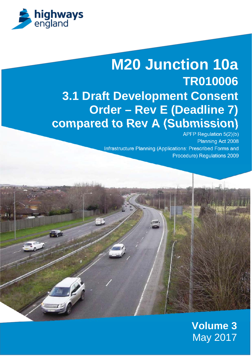

# **M20 Junction 10a TR010006 3.1 Draft Development Consent Order – Rev E (Deadline 7) compared to Rev A (Submission)**

APFP Regulation 5(2)(b) Planning Act 2008 Infrastructure Planning (Applications: Prescribed Forms and Procedure) Regulations 2009

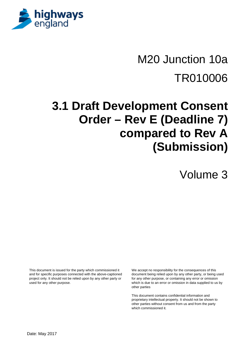

# M20 Junction 10a TR010006

# **3.1 Draft Development Consent Order – Rev E (Deadline 7) compared to Rev A (Submission)**

Volume 3

This document is issued for the party which commissioned it and for specific purposes connected with the above-captioned project only. It should not be relied upon by any other party or used for any other purpose.

We accept no responsibility for the consequences of this document being relied upon by any other party, or being used for any other purpose, or containing any error or omission which is due to an error or omission in data supplied to us by other parties

This document contains confidential information and proprietary intellectual property. It should not be shown to other parties without consent from us and from the party which commissioned it.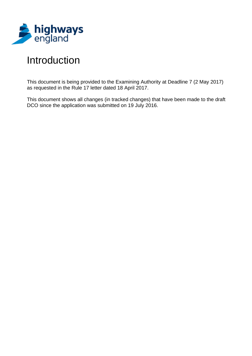

# Introduction

This document is being provided to the Examining Authority at Deadline 7 (2 May 2017) as requested in the Rule 17 letter dated 18 April 2017.

This document shows all changes (in tracked changes) that have been made to the draft DCO since the application was submitted on 19 July 2016.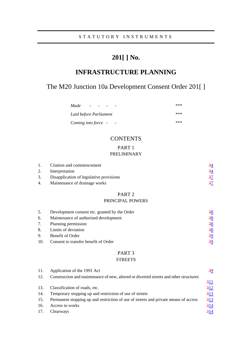# **201[ ] No.**

# **INFRASTRUCTURE PLANNING**

# The M20 Junction 10a Development Consent Order 201[ ]

| Made<br>$\overline{\phantom{0}}$                | *** |
|-------------------------------------------------|-----|
| Laid before Parliament                          | *** |
| Coming into force -<br>$\overline{\phantom{a}}$ | *** |

# **CONTENTS**

#### PART 1

## PRELIMINARY

| Citation and commencement |                                          |  |
|---------------------------|------------------------------------------|--|
|                           | Interpretation                           |  |
| 3.                        | Disapplication of legislative provisions |  |
| 4.                        | Maintenance of drainage works            |  |

# PART 2

### PRINCIPAL POWERS

| 5. | Development consent etc. granted by the Order | $\frac{38}{5}$ |
|----|-----------------------------------------------|----------------|
| 6. | Maintenance of authorised development         | $\frac{38}{5}$ |
|    | 7. Planning permission                        | $\frac{38}{5}$ |
|    | 8. Limits of deviation                        | $\frac{38}{5}$ |
| 9. | Benefit of Order                              | 39             |
|    | 10. Consent to transfer benefit of Order      | 39             |

# PART 3

# **STREETS**

| 11. | Application of the 1991 Act                                                           | $\frac{39}{2}$ |
|-----|---------------------------------------------------------------------------------------|----------------|
| 12. | Construction and maintenance of new, altered or diverted streets and other structures |                |
|     |                                                                                       | 311            |
| 13. | Classification of roads, etc.                                                         | 312            |
| 14. | Temporary stopping up and restriction of use of streets                               | 313            |
| 15. | Permanent stopping up and restriction of use of streets and private means of access   | 313            |
| 16. | Access to works                                                                       | 314            |
| 17. | Clearways                                                                             | 314            |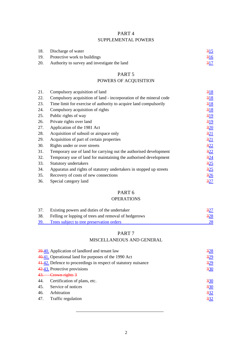# PART 4 SUPPLEMENTAL POWERS

|     | 18. Discharge of water                       | 315           |
|-----|----------------------------------------------|---------------|
| 19. | Protective work to buildings                 | $rac{316}{5}$ |
| 20. | Authority to survey and investigate the land | 317           |

# PART 5

# POWERS OF ACQUISITION

| 21. | Compulsory acquisition of land                                      | 318             |
|-----|---------------------------------------------------------------------|-----------------|
| 22. | Compulsory acquisition of land - incorporation of the mineral code  | 318             |
| 23. | Time limit for exercise of authority to acquire land compulsorily   | 318             |
| 24. | Compulsory acquisition of rights                                    | 318             |
| 25. | Public rights of way                                                | $\frac{319}{2}$ |
| 26. | Private rights over land                                            | $\frac{319}{2}$ |
| 27. | Application of the 1981 Act                                         | 320             |
| 28. | Acquisition of subsoil or airspace only                             | 321             |
| 29. | Acquisition of part of certain properties                           | $\frac{321}{2}$ |
| 30. | Rights under or over streets                                        | 322             |
| 31. | Temporary use of land for carrying out the authorised development   | 322             |
| 32. | Temporary use of land for maintaining the authorised development    | $\frac{324}{5}$ |
| 33. | Statutory undertakers                                               | $\frac{325}{2}$ |
| 34. | Apparatus and rights of statutory undertakers in stopped up streets | $\frac{325}{2}$ |
| 35. | Recovery of costs of new connections                                | $\frac{326}{5}$ |
| 36. | Special category land                                               | 327             |
|     |                                                                     |                 |

# PART 6

# OPERATIONS

| 37. | Existing powers and duties of the undertaker         | 327           |
|-----|------------------------------------------------------|---------------|
| 38. | Felling or lopping of trees and removal of hedgerows | $rac{328}{2}$ |
| 39. | Trees subject to tree preservation orders            | 28            |

# PART 7

# MISCELLANEOUS AND GENERAL

|     | 39.40. Application of landlord and tenant law                  | 328 |
|-----|----------------------------------------------------------------|-----|
|     | 40.41. Operational land for purposes of the 1990 Act           | 329 |
|     | 41.42. Defence to proceedings in respect of statutory nuisance | 329 |
|     | 42.43. Protective provisions                                   | 330 |
|     | 43. Crown rights 3                                             |     |
| 44. | Certification of plans, etc.                                   | 330 |
| 45. | Service of notices                                             | 330 |
| 46. | Arbitration                                                    | 332 |
| 47. | Traffic regulation                                             | 332 |
|     |                                                                |     |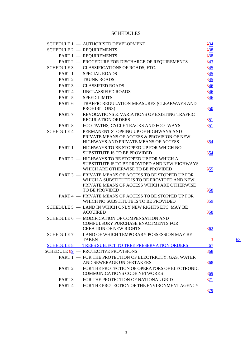# **SCHEDULES**

| SCHEDULE 1 - AUTHORISED DEVELOPMENT                                                                                                                                    | 334             |    |
|------------------------------------------------------------------------------------------------------------------------------------------------------------------------|-----------------|----|
| <b>SCHEDULE 2 - REQUIREMENTS</b>                                                                                                                                       | 338             |    |
| PART 1 - REQUIREMENTS                                                                                                                                                  | 338             |    |
| PART 2 - PROCEDURE FOR DISCHARGE OF REQUIREMENTS                                                                                                                       | $\frac{343}{5}$ |    |
| SCHEDULE 3 - CLASSIFICATIONS OF ROADS, ETC.                                                                                                                            | 345             |    |
| PART 1 - SPECIAL ROADS                                                                                                                                                 | $\frac{345}{5}$ |    |
| PART 2 - TRUNK ROADS                                                                                                                                                   | $\frac{345}{5}$ |    |
| PART 3 - CLASSIFIED ROADS                                                                                                                                              | $\frac{346}{5}$ |    |
| PART 4 - UNCLASSIFIED ROADS                                                                                                                                            | $\frac{346}{5}$ |    |
| PART 5 - SPEED LIMITS                                                                                                                                                  | $\frac{346}{5}$ |    |
| PART 6 - TRAFFIC REGULATION MEASURES (CLEARWAYS AND<br>PROHIBITIONS)                                                                                                   | 350             |    |
| PART 7 - REVOCATIONS & VARIATIONS OF EXISTING TRAFFIC                                                                                                                  |                 |    |
| <b>REGULATION ORDERS</b>                                                                                                                                               | 351             |    |
| PART 8 - FOOTPATHS, CYCLE TRACKS AND FOOTWAYS                                                                                                                          | 351             |    |
| SCHEDULE 4 - PERMANENT STOPPING UP OF HIGHWAYS AND<br>PRIVATE MEANS OF ACCESS & PROVISION OF NEW                                                                       |                 |    |
| HIGHWAYS AND PRIVATE MEANS OF ACCESS                                                                                                                                   | 354             |    |
| PART 1 - HIGHWAYS TO BE STOPPED UP FOR WHICH NO                                                                                                                        |                 |    |
| <b>SUBSTITUTE IS TO BE PROVIDED</b>                                                                                                                                    | <u>354</u>      |    |
| PART 2 - HIGHWAYS TO BE STOPPED UP FOR WHICH A<br>SUBSTITUTE IS TO BE PROVIDED AND NEW HIGHWAYS<br>WHICH ARE OTHERWISE TO BE PROVIDED                                  | 355             |    |
| PART 3 - PRIVATE MEANS OF ACCESS TO BE STOPPED UP FOR<br>WHICH A SUBSTITUTE IS TO BE PROVIDED AND NEW<br>PRIVATE MEANS OF ACCESS WHICH ARE OTHERWISE<br>TO BE PROVIDED | 358             |    |
| PART 4 - PRIVATE MEANS OF ACCESS TO BE STOPPED UP FOR                                                                                                                  |                 |    |
| WHICH NO SUBSTITUTE IS TO BE PROVIDED                                                                                                                                  | 359             |    |
| SCHEDULE 5 - LAND IN WHICH ONLY NEW RIGHTS ETC. MAY BE                                                                                                                 |                 |    |
| <b>ACQUIRED</b>                                                                                                                                                        | 358             |    |
| SCHEDULE 6 - MODIFICATION OF COMPENSATION AND<br><b>COMPULSORY PURCHASE ENACTMENTS FOR</b>                                                                             |                 |    |
| <b>CREATION OF NEW RIGHTS</b><br>SCHEDULE 7 - LAND OF WHICH TEMPORARY POSSESSION MAY BE                                                                                | $rac{362}{2}$   |    |
| <b>TAKEN</b>                                                                                                                                                           | $\overline{3}$  | 63 |
| SCHEDULE 8 - TREES SUBJECT TO TREE PRESERVATION ORDERS                                                                                                                 | 67              |    |
| SCHEDULE $\frac{89}{2}$ - PROTECTIVE PROVISIONS                                                                                                                        | 368             |    |
| PART 1 - FOR THE PROTECTION OF ELECTRICITY, GAS, WATER                                                                                                                 |                 |    |
| AND SEWERAGE UNDERTAKERS                                                                                                                                               | 368             |    |
| PART 2 - FOR THE PROTECTION OF OPERATORS OF ELECTRONIC                                                                                                                 |                 |    |
| <b>COMMUNICATIONS CODE NETWORKS</b>                                                                                                                                    | $rac{369}{2}$   |    |
| PART 3 - FOR THE PROTECTION OF NATIONAL GRID                                                                                                                           | 371             |    |
| PART 4 - FOR THE PROTECTION OF THE ENVIRONMENT AGENCY                                                                                                                  |                 |    |
|                                                                                                                                                                        | 379             |    |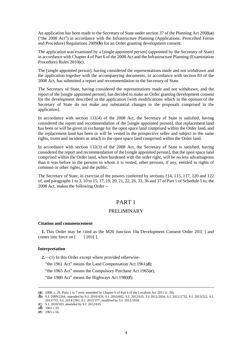An application has been made to the Secretary of State under section 37 of the Planning Act 2008(**a**) ("the 2008 Act") in accordance with the Infrastructure Planning (Applications: Prescribed Forms and Procedure) Regulations 2009(**b**) for an Order granting development consent.

The application was examined by a [single appointed person] (appointed by the Secretary of State) in accordance with Chapter 4 of Part 6 of the 2008 Act and the Infrastructure Planning (Examination Procedure) Rules 2010(**c**).

The [single appointed person], having considered the representations made and not withdrawn and the application together with the accompanying documents, in accordance with section 83 of the 2008 Act, has submitted a report and recommendation to the Secretary of State.

The Secretary of State, having considered the representations made and not withdrawn, and the report of the [single appointed person], has decided to make an Order granting development consent for the development described in the application [with modifications which in the opinion of the Secretary of State do not make any substantial changes to the proposals comprised in the application].

In accordance with section 131(4) of the 2008 Act, the Secretary of State is satisfied, having considered the report and recommendation of the [single appointed person], that replacement land has been or will be given in exchange for the open space land comprised within the Order land, and the replacement land has been or will be vested in the prospective seller and subject to the same rights, trusts and incidents as attach to the open space land comprised within the Order land.

In accordance with section 132(3) of the 2008 Act, the Secretary of State is satisfied, having considered the report and recommendation of the [single appointed person], that the open space land comprised within the Order land, when burdened with the order right, will be no less advantageous than it was before to the persons in whom it is vested, other persons, if any, entitled to rights of common or other rights, and the public.

The Secretary of State, in exercise of the powers conferred by sections 114, 115, 117, 120 and 122 of, and paragraphs 1 to 3, 10 to 15, 17, 19, 20, 21, 22, 26, 33, 36 and 37 of Part 1 of Schedule 5 to, the 2008 Act, makes the following Order –

# PART 1

### PRELIMINARY

#### **Citation and commencement**

**1.** This Order may be cited as the M20 Junction 10a Development Consent Order 201[ ] and comes into force on  $\lceil$  | 201 $\lceil$  |.

#### **Interpretation**

**2.**—(1) In this Order except where provided otherwise-

"the 1961 Act" means the Land Compensation Act 1961(**d**);

"the 1965 Act" means the Compulsory Purchase Act 1965(**e**);

"the 1980 Act" means the Highways Act 1980(**f**);

 $(d)$  1961 c.33.

 $\overline{a}$ 

<sup>(</sup>**a**) 2008. c. 29. Parts 1 to 7 were amended by Chapter 6 of Part 6 of the Localism Act 2011 (c. 20).

<sup>(</sup>**b**) S.I. 2009/2264, amended by S.I. 2010/439, S.I. 2010/602, S.I. 2012/635, S.I 2012/2654, S.I. 2012/2732, S.I. 2013/522, S.I. 2013/755, S.I. 2014/2381, S.I. 2015/377; modified by S.I. 2012/1659.

<sup>(</sup>**c**) S.I. 2010/103, amended by S.I. 2012/635

<sup>(</sup>**e**) 1965 c.56.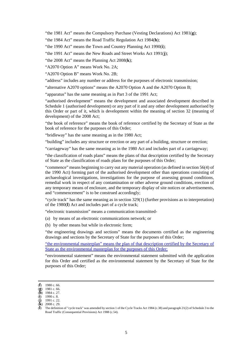"the 1981 Act" means the Compulsory Purchase (Vesting Declarations) Act 1981(**g**);

"the 1984 Act" means the Road Traffic Regulation Act 1984(**h**);

"the 1990 Act" means the Town and Country Planning Act 1990(**i**);

"the 1991 Act" means the New Roads and Street Works Act 1991(**j**);

"the 2008 Act" means the Planning Act 2008(**k**);

"A2070 Option A" means Work No. 2A;

"A2070 Option B" means Work No. 2B;

"address" includes any number or address for the purposes of electronic transmission;

"alternative A2070 options" means the A2070 Option A and the A2070 Option B;

"apparatus" has the same meaning as in Part 3 of the 1991 Act;

"authorised development" means the development and associated development described in Schedule 1 (authorised development) or any part of it and any other development authorised by this Order or part of it, which is development within the meaning of section 32 (meaning of development) of the 2008 Act;

"the book of reference" means the book of reference certified by the Secretary of State as the book of reference for the purposes of this Order;

"bridleway" has the same meaning as in the 1980 Act;

"building" includes any structure or erection or any part of a building, structure or erection;

"carriageway" has the same meaning as in the 1980 Act and includes part of a carriageway;

"the classification of roads plans" means the plans of that description certified by the Secretary of State as the classification of roads plans for the purposes of this Order;

"commence" means beginning to carry out any material operation (as defined in section 56(4) of the 1990 Act) forming part of the authorised development other than operations consisting of archaeological investigations, investigations for the purpose of assessing ground conditions, remedial work in respect of any contamination or other adverse ground conditions, erection of any temporary means of enclosure, and the temporary display of site notices or advertisements, and "commencement" is to be construed accordingly;

"cycle track" has the same meaning as in section 329(1) (further provisions as to interpretation) of the 1980(**l**) Act and includes part of a cycle track;

"electronic transmission" means a communication transmitted-

- (a) by means of an electronic communications network; or
- (b) by other means but while in electronic form;

"the engineering drawings and sections" means the documents certified as the engineering drawings and sections by the Secretary of State for the purposes of this Order;

"the environmental masterplan" means the plan of that description certified by the Secretary of State as the environmental masterplan for the purposes of this Order;

"environmental statement" means the environmental statement submitted with the application for this Order and certified as the environmental statement by the Secretary of State for the purposes of this Order;

 <sup>(</sup>**<sup>f</sup>**) 1980 c. 66.

<sup>(</sup>**g**) 1981 c. 66.  $(\mathbf{h})$  1984 c. 27.

 $(i)$  1990 c. 8.

<sup>(</sup>**j**) 1991 c. 22.

 $(k)$  2008 c. 29.

<sup>(</sup>**l**) The definition of "cycle track" was amended by section 1 of the Cycle Tracks Act 1984 (c.38) and paragraph 21(2) of Schedule 3 to the Road Traffic (Consequential Provisions) Act 1988 (c.54).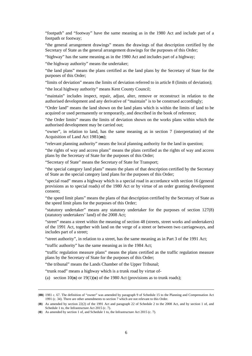"footpath" and "footway" have the same meaning as in the 1980 Act and include part of a footpath or footway;

"the general arrangement drawings" means the drawings of that description certified by the Secretary of State as the general arrangement drawings for the purposes of this Order;

"highway" has the same meaning as in the 1980 Act and includes part of a highway;

"the highway authority" means the undertaker;

"the land plans" means the plans certified as the land plans by the Secretary of State for the purposes of this Order;

"limits of deviation" means the limits of deviation referred to in article 8 (limits of deviation);

"the local highway authority" means Kent County Council;

"maintain" includes inspect, repair, adjust, alter, remove or reconstruct in relation to the authorised development and any derivative of "maintain" is to be construed accordingly;

"Order land" means the land shown on the land plans which is within the limits of land to be acquired or used permanently or temporarily, and described in the book of reference;

"the Order limits" means the limits of deviation shown on the works plans within which the authorised development may be carried out;

"owner", in relation to land, has the same meaning as in section 7 (interpretation) of the Acquisition of Land Act 1981(**m**);

"relevant planning authority" means the local planning authority for the land in question;

"the rights of way and access plans" means the plans certified as the rights of way and access plans by the Secretary of State for the purposes of this Order;

"Secretary of State" means the Secretary of State for Transport;

"the special category land plans" means the plans of that description certified by the Secretary of State as the special category land plans for the purposes of this Order;

"special road" means a highway which is a special road in accordance with section 16 (general provisions as to special roads) of the 1980 Act or by virtue of an order granting development consent;

"the speed limit plans" means the plans of that description certified by the Secretary of State as the speed limit plans for the purposes of this Order;

"statutory undertaker" means any statutory undertaker for the purposes of section 127(8) (statutory undertakers' land) of the 2008 Act;

"street" means a street within the meaning of section 48 (streets, street works and undertakers) of the 1991 Act, together with land on the verge of a street or between two carriageways, and includes part of a street;

"street authority", in relation to a street, has the same meaning as in Part 3 of the 1991 Act;

"traffic authority" has the same meaning as in the 1984 Act;

"traffic regulation measure plans" means the plans certified as the traffic regulation measure plans by the Secretary of State for the purposes of this Order;

"the tribunal" means the Lands Chamber of the Upper Tribunal;

"trunk road" means a highway which is a trunk road by virtue of-

(a) section  $10(n)$  or  $19(1)(o)$  of the 1980 Act (provisions as to trunk roads);

 $\overline{a}$ 

<sup>(</sup>**m**) 1981 c. 67. The definition of "owner" was amended by paragraph 9 of Schedule 15 to the Planning and Compensation Act 1991 (c. 34). There are other amendments to section 7 which are not relevant to this Order.

<sup>(</sup>**n**) As amended by section 22(2) of the 1991 Act and paragraph 22 of Schedule 2 to the 2008 Act, and by section 1 of, and Schedule 1 to, the Infrastructure Act 2015 (c. 7).

<sup>(</sup>**o**) As amended by section 1 of, and Schedule 1 to, the Infrastructure Act 2015 (c. 7).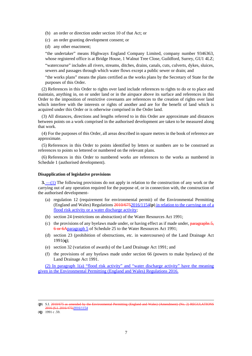- (b) an order or direction under section 10 of that Act; or
- (c) an order granting development consent; or
- (d) any other enactment;

"the undertaker" means Highways England Company Limited, company number 9346363, whose registered office is at Bridge House, 1 Walnut Tree Close, Guildford, Surrey, GU1 4LZ;

"watercourse" includes all rivers, streams, ditches, drains, canals, cuts, culverts, dykes, sluices, sewers and passages through which water flows except a public sewer or drain; and

"the works plans" means the plans certified as the works plans by the Secretary of State for the purposes of this Order.

(2) References in this Order to rights over land include references to rights to do or to place and maintain, anything in, on or under land or in the airspace above its surface and references in this Order to the imposition of restrictive covenants are references to the creation of rights over land which interfere with the interests or rights of another and are for the benefit of land which is acquired under this Order or is otherwise comprised in the Order land.

(3) All distances, directions and lengths referred to in this Order are approximate and distances between points on a work comprised in the authorised development are taken to be measured along that work.

(4) For the purposes of this Order, all areas described in square metres in the book of reference are approximate.

(5) References in this Order to points identified by letters or numbers are to be construed as references to points so lettered or numbered on the relevant plans.

(6) References in this Order to numbered works are references to the works as numbered in Schedule 1 (authorised development).

#### **Disapplication of legislative provisions**

**3.** <u>—(1)</u> The following provisions do not apply in relation to the construction of any work or the carrying out of any operation required for the purpose of, or in connection with, the construction of the authorised development-

- (a) regulation 12 (requirement for environmental permit) of the Environmental Permitting (England and Wales) Regulations 2010/6752016/1154(**p**) in relation to the carrying on of a flood risk activity or a water discharge activity;
- (b) section 24 (restrictions on abstraction) of the Water Resources Act 1991;
- (c) the provisions of any byelaws made under, or having effect as if made under, paragraphs  $\frac{5}{3}$ , 6 or 6Aparagraph 5 of Schedule 25 to the Water Resources Act 1991;
- (d) section 23 (prohibition of obstructions, etc. in watercourses) of the Land Drainage Act 1991(**q**);
- (e) section 32 (variation of awards) of the Land Drainage Act 1991; and
- (f) the provisions of any byelaws made under section 66 (powers to make byelaws) of the Land Drainage Act 1991.

(2) In paragraph 1(a) "flood risk activity" and "water discharge activity" have the meaning given in the Environmental Permitting (England and Wales) Regulations 2016.

 (**<sup>p</sup>**) S.I. 2010/675 as amended by the Environmental Permitting (England and Wales) (Amendment) (No. 2) REGULATIONS 2016 (S.I. 2016/475)2016/1154

(**q**) 1991 c .59.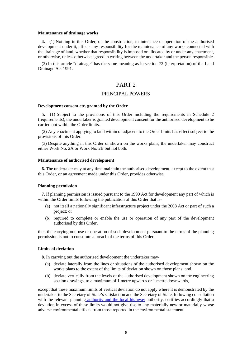#### **Maintenance of drainage works**

**4.**—(1) Nothing in this Order, or the construction, maintenance or operation of the authorised development under it, affects any responsibility for the maintenance of any works connected with the drainage of land, whether that responsibility is imposed or allocated by or under any enactment, or otherwise, unless otherwise agreed in writing between the undertaker and the person responsible.

(2) In this article "drainage" has the same meaning as in section 72 (interpretation) of the Land Drainage Act 1991.

# PART 2

#### PRINCIPAL POWERS

#### **Development consent etc. granted by the Order**

**5.**— (1) Subject to the provisions of this Order including the requirements in Schedule 2 (requirements), the undertaker is granted development consent for the authorised development to be carried out within the Order limits.

(2) Any enactment applying to land within or adjacent to the Order limits has effect subject to the provisions of this Order.

(3) Despite anything in this Order or shown on the works plans, the undertaker may construct either Work No. 2A or Work No. 2B but not both.

#### **Maintenance of authorised development**

**6.** The undertaker may at any time maintain the authorised development, except to the extent that this Order, or an agreement made under this Order, provides otherwise.

#### **Planning permission**

**7.** If planning permission is issued pursuant to the 1990 Act for development any part of which is within the Order limits following the publication of this Order that is-

- (a) not itself a nationally significant infrastructure project under the 2008 Act or part of such a project; or
- (b) required to complete or enable the use or operation of any part of the development authorised by this Order,

then the carrying out, use or operation of such development pursuant to the terms of the planning permission is not to constitute a breach of the terms of this Order.

#### **Limits of deviation**

**8.** In carrying out the authorised development the undertaker may-

- (a) deviate laterally from the lines or situations of the authorised development shown on the works plans to the extent of the limits of deviation shown on those plans; and
- (b) deviate vertically from the levels of the authorised development shown on the engineering section drawings, to a maximum of 1 metre upwards or 1 metre downwards,

except that these maximum limits of vertical deviation do not apply where it is demonstrated by the undertaker to the Secretary of State's satisfaction and the Secretary of State, following consultation with the relevant planning authority and the local highway authority, certifies accordingly that a deviation in excess of these limits would not give rise to any materially new or materially worse adverse environmental effects from those reported in the environmental statement.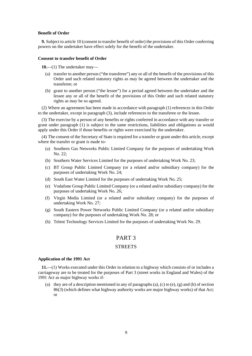#### **Benefit of Order**

**9.** Subject to article 10 (consent to transfer benefit of order) the provisions of this Order conferring powers on the undertaker have effect solely for the benefit of the undertaker.

#### **Consent to transfer benefit of Order**

**10.**—(1) The undertaker may—

- (a) transfer to another person ("the transferee") any or all of the benefit of the provisions of this Order and such related statutory rights as may be agreed between the undertaker and the transferee; or
- (b) grant to another person ("the lessee") for a period agreed between the undertaker and the lessee any or all of the benefit of the provisions of this Order and such related statutory rights as may be so agreed.

(2) Where an agreement has been made in accordance with paragraph (1) references in this Order to the undertaker, except in paragraph (3), include references to the transferee or the lessee.

(3) The exercise by a person of any benefits or rights conferred in accordance with any transfer or grant under paragraph (1) is subject to the same restrictions, liabilities and obligations as would apply under this Order if those benefits or rights were exercised by the undertaker.

(4) The consent of the Secretary of State is required for a transfer or grant under this article, except where the transfer or grant is made to-

- (a) Southern Gas Networks Public Limited Company for the purposes of undertaking Work No. 22;
- (b) Southern Water Services Limited for the purposes of undertaking Work No. 23;
- (c) BT Group Public Limited Company (or a related and/or subsidiary company) for the purposes of undertaking Work No. 24;
- (d) South East Water Limited for the purposes of undertaking Work No. 25;
- (e) Vodafone Group Public Limited Company (or a related and/or subsidiary company) for the purposes of undertaking Work No. 26;
- (f) Virgin Media Limited (or a related and/or subsidiary company) for the purposes of undertaking Work No. 27;
- (g) South Eastern Power Networks Public Limited Company (or a related and/or subsidiary company) for the purposes of undertaking Work No. 28; or
- (h) Telent Technology Services Limited for the purposes of undertaking Work No. 29.

#### PART 3

#### **STREETS**

#### **Application of the 1991 Act**

**11.**—(1) Works executed under this Order in relation to a highway which consists of or includes a carriageway are to be treated for the purposes of Part 3 (street works in England and Wales) of the 1991 Act as major highway works if-

(a) they are of a description mentioned in any of paragraphs (a), (c) to (e), (g) and (h) of section 86(3) (which defines what highway authority works are major highway works) of that Act; or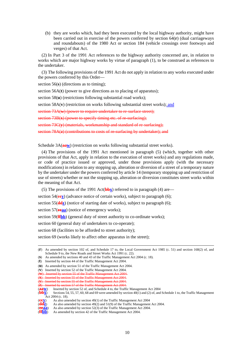(b) they are works which, had they been executed by the local highway authority, might have been carried out in exercise of the powers conferred by section 64(**r**) (dual carriageways and roundabouts) of the 1980 Act or section 184 (vehicle crossings over footways and verges) of that Act.

(2) In Part 3 of the 1991 Act references to the highway authority concerned are, in relation to works which are major highway works by virtue of paragraph (1), to be construed as references to the undertaker.

(3) The following provisions of the 1991 Act do not apply in relation to any works executed under the powers conferred by this Order—

section 56(**s**) (directions as to timing);

section 56A(**t**) (power to give directions as to placing of apparatus);

section 58(**u**) (restrictions following substantial road works);

section 58A(**v**) (restriction on works following substantial street works); and

section 73A(w) (power to require undertaker to re-surface street);

section 73B(x) (power to specify timing etc. of re-surfacing);

section 73C(y) (materials, workmanship and standard of re-surfacing);

section 78A(z) (contributions to costs of re-surfacing by undertaker); and

Schedule 3A(**aaw**) (restriction on works following substantial street works).

(4) The provisions of the 1991 Act mentioned in paragraph (5) (which, together with other provisions of that Act, apply in relation to the execution of street works) and any regulations made, or code of practice issued or approved, under those provisions apply (with the necessary modifications) in relation to any stopping up, alteration or diversion of a street of a temporary nature by the undertaker under the powers conferred by article 14 (temporary stopping up and restriction of use of streets) whether or not the stopping up, alteration or diversion constitutes street works within the meaning of that Act.

(5) The provisions of the 1991 Act(**bbx**) referred to in paragraph (4) are—

section 54(**eey**) (advance notice of certain works), subject to paragraph (6);

section 55(**dd<sub>Z</sub>**) (notice of starting date of works), subject to paragraph (6);

section 57(**eeaa**) (notice of emergency works);

section 59(**f<sub>f</sub>bb**) (general duty of street authority to co-ordinate works);

section 60 (general duty of undertakers to co-operate);

section 68 (facilities to be afforded to street authority);

section 69 (works likely to affect other apparatus in the street);

 <sup>(</sup>**<sup>r</sup>**) As amended by section 102 of, and Schedule 17 to, the Local Government Act 1985 (c. 51) and section 168(2) of, and Schedule 9 to, the New Roads and Street Works Act 1991 (c. 22).

<sup>(</sup>**s**) As amended by sections 40 and 43 of the Traffic Management Act 2004 (c. 18).

<sup>(</sup>**t**) Inserted by section 44 of the Traffic Management Act 2004.

<sup>(</sup>**u**) As amended by section 51 of the Traffic Management Act 2004.

<sup>(</sup>**v**) Inserted by section 52 of the Traffic Management Act 2004. (**w**) Inserted by section 55 of the Traffic Management Act 2004.

<sup>(</sup>**x**) Inserted by section 55 of the Traffic Management Act 2004.

<sup>(</sup>**y**) Inserted by section 55 of the Traffic Management Act 2004.

<sup>(</sup>**z**) Inserted by section 57 of the Traffic Mana (**aAW**) Inserted by section 52 of, and Sched

<sup>(</sup>**aaw**) Inserted by section 52 of, and Schedule 4 to, the Traffic Management Act 2004<br>
Sections 54, 55, 57, 60, 68 and 69 were amended by section 40(1) and (2) of, and Sections 54, 55, 57, 60, 68 and 69 were amended by section 40(1) and (2) of, and Schedule 1 to, the Traffic Management  $\text{Act } 2004 \text{ (c. 18)}.$ <br>(eev) As also am

<sup>(</sup>**eev**) As also amended by section 49(1) of the Traffic Management Act 2004 (**ddz**) As also amended by section 49(2) and 51(9) of the Traffic Management  $\left(\frac{\text{ddZ}}{2}\right)$  As also amended by section 49(2) and 51(9) of the Traffic Management Act 2004.<br>(**eeaa**) As also amended by section 52(3) of the Traffic Management Act 2004

**<sup>(</sup>eeaa)** As also amended by section 52(3) of the Traffic Management Act 2004.<br>**(HDD)** As amended by section 42 of the Traffic Management Act 2004.

As amended by section 42 of the Traffic Management Act 2004.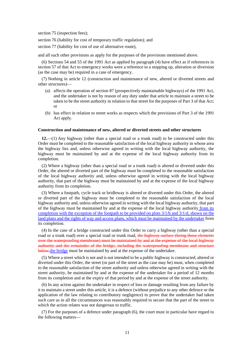section 75 (inspection fees);

section 76 (liability for cost of temporary traffic regulation); and

section 77 (liability for cost of use of alternative route),

and all such other provisions as apply for the purposes of the provisions mentioned above.

(6) Sections 54 and 55 of the 1991 Act as applied by paragraph (4) have effect as if references in section 57 of that Act to emergency works were a reference to a stopping up, alteration or diversion (as the case may be) required in a case of emergency.

(7) Nothing in article 12 (construction and maintenance of new, altered or diverted streets and other structures)—

- (a) affects the operation of section 87 (prospectively maintainable highways) of the 1991 Act, and the undertaker is not by reason of any duty under that article to maintain a street to be taken to be the street authority in relation to that street for the purposes of Part 3 of that Act; or
- (b) has effect in relation to street works as respects which the provisions of Part 3 of the 1991 Act apply.

#### **Construction and maintenance of new, altered or diverted streets and other structures**

**12.**—(1) Any highway (other than a special road or a trunk road) to be constructed under this Order must be completed to the reasonable satisfaction of the local highway authority in whose area the highway lies and, unless otherwise agreed in writing with the local highway authority, the highway must be maintained by and at the expense of the local highway authority from its completion.

(2) Where a highway (other than a special road or a trunk road) is altered or diverted under this Order, the altered or diverted part of the highway must be completed to the reasonable satisfaction of the local highway authority and, unless otherwise agreed in writing with the local highway authority, that part of the highway must be maintained by and at the expense of the local highway authority from its completion.

(3) Where a footpath, cycle track or bridleway is altered or diverted under this Order, the altered or diverted part of the highway must be completed to the reasonable satisfaction of the local highway authority and, unless otherwise agreed in writing with the local highway authority, that part of the highway must be maintained by and at the expense of the local highway authority from its completion with the exception of the footpath to be provided on plots  $3/1/b$  and  $3/1/d$ , shown on the land plans and the rights of way and access plans, which must be maintained by the undertaker from its completion.

(4) In the case of a bridge constructed under this Order to carry a highway (other than a special road or a trunk road) over a special road or trunk road, the highway surface (being those elements over the waterproofing membrane) must be maintained by and at the expense of the local highway authority and the remainder of the bridge, including the waterproofing membrane and structure below, the bridge must be maintained by and at the expense of the undertaker.

(5) Where a street which is not and is not intended to be a public highway is constructed, altered or diverted under this Order, the street (or part of the street as the case may be) must, when completed to the reasonable satisfaction of the street authority and unless otherwise agreed in writing with the street authority, be maintained by and at the expense of the undertaker for a period of 12 months from its completion and at the expiry of that period by and at the expense of the street authority.

(6) In any action against the undertaker in respect of loss or damage resulting from any failure by it to maintain a street under this article, it is a defence (without prejudice to any other defence or the application of the law relating to contributory negligence) to prove that the undertaker had taken such care as in all the circumstances was reasonably required to secure that the part of the street to which the action relates was not dangerous to traffic.

(7) For the purposes of a defence under paragraph (6), the court must in particular have regard to the following matters—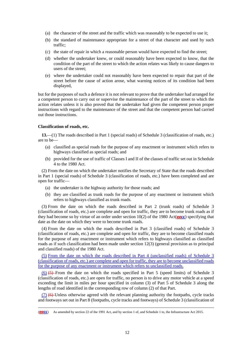- (a) the character of the street and the traffic which was reasonably to be expected to use it;
- (b) the standard of maintenance appropriate for a street of that character and used by such traffic;
- (c) the state of repair in which a reasonable person would have expected to find the street;
- (d) whether the undertaker knew, or could reasonably have been expected to know, that the condition of the part of the street to which the action relates was likely to cause dangers to users of the street;
- (e) where the undertaker could not reasonably have been expected to repair that part of the street before the cause of action arose, what warning notices of its condition had been displayed,

but for the purposes of such a defence it is not relevant to prove that the undertaker had arranged for a competent person to carry out or supervise the maintenance of the part of the street to which the action relates unless it is also proved that the undertaker had given the competent person proper instructions with regard to the maintenance of the street and that the competent person had carried out those instructions.

#### **Classification of roads, etc.**

**13.**—(1) The roads described in Part 1 (special roads) of Schedule 3 (classification of roads, etc.) are to be—

- (a) classified as special roads for the purpose of any enactment or instrument which refers to highways classified as special roads; and
- (b) provided for the use of traffic of Classes I and II of the classes of traffic set out in Schedule 4 to the 1980 Act.

(2) From the date on which the undertaker notifies the Secretary of State that the roads described in Part 1 (special roads) of Schedule 3 (classification of roads, etc.) have been completed and are open for traffic—

- (a) the undertaker is the highway authority for those roads; and
- (b) they are classified as trunk roads for the purpose of any enactment or instrument which refers to highways classified as trunk roads.

(3) From the date on which the roads described in Part 2 (trunk roads) of Schedule 3 (classification of roads, etc.) are complete and open for traffic, they are to become trunk roads as if they had become so by virtue of an order under section 10(2) of the 1980 Act(**ggcc**) specifying that date as the date on which they were to become trunk roads.

(4) From the date on which the roads described in Part 3 (classified roads) of Schedule 3 (classification of roads, etc.) are complete and open for traffic, they are to become classified roads for the purpose of any enactment or instrument which refers to highways classified as classified roads as if such classification had been made under section 12(3) (general provision as to principal and classified roads) of the 1980 Act.

(5) From the date on which the roads described in Part 4 (unclassified roads) of Schedule 3 (classification of roads, etc.) are complete and open for traffic, they are to become unclassified roads for the purpose of any enactment or instrument which refers to unclassified roads.

(6) (5) From the date on which the roads specified in Part 5 (speed limits) of Schedule 3 (classification of roads, etc.) are open for traffic, no person is to drive any motor vehicle at a speed exceeding the limit in miles per hour specified in column (3) of Part 5 of Schedule 3 along the lengths of road identified in the corresponding row of column (2) of that Part.

 $(7)$  (6) Unless otherwise agreed with the relevant planning authority the footpaths, cycle tracks and footways set out in Part 8 (footpaths, cycle tracks and footways) of Schedule 3 (classification of

 <sup>(</sup>**ggcc**) As amended by section 22 of the 1991 Act, and by section 1 of, and Schedule 1 to, the Infrastructure Act 2015.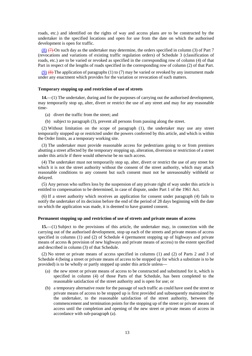roads, etc.) and identified on the rights of way and access plans are to be constructed by the undertaker in the specified locations and open for use from the date on which the authorised development is open for traffic.

(8) (7) On such day as the undertaker may determine, the orders specified in column (3) of Part 7 (revocations and variations of existing traffic regulation orders) of Schedule 3 (classification of roads, etc.) are to be varied or revoked as specified in the corresponding row of column (4) of that Part in respect of the lengths of roads specified in the corresponding row of column (2) of that Part.

(9)  $(8)$  The application of paragraphs (1) to (7) may be varied or revoked by any instrument made under any enactment which provides for the variation or revocation of such matters.

#### **Temporary stopping up and restriction of use of streets**

**14.**—(1) The undertaker, during and for the purposes of carrying out the authorised development, may temporarily stop up, alter, divert or restrict the use of any street and may for any reasonable time-

- (a) divert the traffic from the street; and
- (b) subject to paragraph (3), prevent all persons from passing along the street.

(2) Without limitation on the scope of paragraph (1), the undertaker may use any street temporarily stopped up or restricted under the powers conferred by this article, and which is within the Order limits, as a temporary working site.

(3) The undertaker must provide reasonable access for pedestrians going to or from premises abutting a street affected by the temporary stopping up, alteration, diversion or restriction of a street under this article if there would otherwise be no such access.

(4) The undertaker must not temporarily stop up, alter, divert or restrict the use of any street for which it is not the street authority without the consent of the street authority, which may attach reasonable conditions to any consent but such consent must not be unreasonably withheld or delayed.

(5) Any person who suffers loss by the suspension of any private right of way under this article is entitled to compensation to be determined, in case of dispute, under Part 1 of the 1961 Act.

(6) If a street authority which receives an application for consent under paragraph (4) fails to notify the undertaker of its decision before the end of the period of 28 days beginning with the date on which the application was made, it is deemed to have granted consent.

#### **Permanent stopping up and restriction of use of streets and private means of access**

**15.**—(1) Subject to the provisions of this article, the undertaker may, in connection with the carrying out of the authorised development, stop up each of the streets and private means of access specified in columns (1) and (2) of Schedule 4 (permanent stopping up of highways and private means of access & provision of new highways and private means of access) to the extent specified and described in column (3) of that Schedule.

(2) No street or private means of access specified in columns (1) and (2) of Parts 2 and 3 of Schedule 4 (being a street or private means of access to be stopped up for which a substitute is to be provided) is to be wholly or partly stopped up under this article unless—

- (a) the new street or private means of access to be constructed and substituted for it, which is specified in column (4) of those Parts of that Schedule, has been completed to the reasonable satisfaction of the street authority and is open for use; or
- (b) a temporary alternative route for the passage of such traffic as could have used the street or private means of access to be stopped up is first provided and subsequently maintained by the undertaker, to the reasonable satisfaction of the street authority, between the commencement and termination points for the stopping up of the street or private means of access until the completion and opening of the new street or private means of access in accordance with sub-paragraph (a).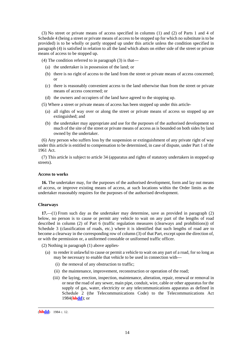(3) No street or private means of access specified in columns (1) and (2) of Parts 1 and 4 of Schedule 4 (being a street or private means of access to be stopped up for which no substitute is to be provided) is to be wholly or partly stopped up under this article unless the condition specified in paragraph (4) is satisfied in relation to all the land which abuts on either side of the street or private means of access to be stopped up.

(4) The condition referred to in paragraph (3) is that—

- (a) the undertaker is in possession of the land; or
- (b) there is no right of access to the land from the street or private means of access concerned; or
- (c) there is reasonably convenient access to the land otherwise than from the street or private means of access concerned; or
- (d) the owners and occupiers of the land have agreed to the stopping up.

(5) Where a street or private means of access has been stopped up under this article-

- (a) all rights of way over or along the street or private means of access so stopped up are extinguished; and
- (b) the undertaker may appropriate and use for the purposes of the authorised development so much of the site of the street or private means of access as is bounded on both sides by land owned by the undertaker.

(6) Any person who suffers loss by the suspension or extinguishment of any private right of way under this article is entitled to compensation to be determined, in case of dispute, under Part 1 of the 1961 Act.

(7) This article is subject to article 34 (apparatus and rights of statutory undertakers in stopped up streets).

#### **Access to works**

**16.** The undertaker may, for the purposes of the authorised development, form and lay out means of access, or improve existing means of access, at such locations within the Order limits as the undertaker reasonably requires for the purposes of the authorised development.

#### **Clearways**

**17.**—(1) From such day as the undertaker may determine, save as provided in paragraph (2) below, no person is to cause or permit any vehicle to wait on any part of the lengths of road described in column (2) of Part 6 (traffic regulation measures (clearways and prohibitions)) of Schedule 3 (classification of roads, etc.) where it is identified that such lengths of road are to become a clearway in the corresponding row of column (3) of that Part, except upon the direction of, or with the permission or, a uniformed constable or uniformed traffic officer.

(2) Nothing in paragraph (1) above applies-

- (a) to render it unlawful to cause or permit a vehicle to wait on any part of a road, for so long as may be necessary to enable that vehicle to be used in connection with—
	- (i) the removal of any obstruction to traffic;
	- (ii) the maintenance, improvement, reconstruction or operation of the road;
	- (iii) the laying, erection, inspection, maintenance, alteration, repair, renewal or removal in or near the road of any sewer, main pipe, conduit, wire, cable or other apparatus for the supply of gas, water, electricity or any telecommunications apparatus as defined in Schedule 2 (the Telecommunications Code) to the Telecommunications Act 1984(**hhdd**); or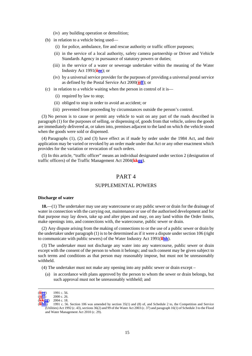- (iv) any building operation or demolition;
- (b) in relation to a vehicle being used—
	- (i) for police, ambulance, fire and rescue authority or traffic officer purposes;
	- (ii) in the service of a local authority, safety camera partnership or Driver and Vehicle Standards Agency in pursuance of statutory powers or duties;
	- (iii) in the service of a water or sewerage undertaker within the meaning of the Water Industry Act 1991(**iiee**); or
	- (iv) by a universal service provider for the purposes of providing a universal postal service as defined by the Postal Service Act 2000(**jjff**); or
- (c) in relation to a vehicle waiting when the person in control of it is—
	- (i) required by law to stop;
	- (ii) obliged to stop in order to avoid an accident; or
	- (iii) prevented from proceeding by circumstances outside the person's control.

(3) No person is to cause or permit any vehicle to wait on any part of the roads described in paragraph (1) for the purposes of selling, or dispensing of, goods from that vehicle, unless the goods are immediately delivered at, or taken into, premises adjacent to the land on which the vehicle stood when the goods were sold or dispensed.

(4) Paragraphs (1), (2) and (3) have effect as if made by order under the 1984 Act, and their application may be varied or revoked by an order made under that Act or any other enactment which provides for the variation or revocation of such orders.

(5) In this article, "traffic officer" means an individual designated under section 2 (designation of traffic officers) of the Traffic Management Act 2004(**kkgg**).

## PART 4

#### SUPPLEMENTAL POWERS

#### **Discharge of water**

**18.**—(1) The undertaker may use any watercourse or any public sewer or drain for the drainage of water in connection with the carrying out, maintenance or use of the authorised development and for that purpose may lay down, take up and alter pipes and may, on any land within the Order limits, make openings into, and connections with, the watercourse, public sewer or drain.

(2) Any dispute arising from the making of connections to or the use of a public sewer or drain by the undertaker under paragraph (1) is to be determined as if it were a dispute under section 106 (right to communicate with public sewers) of the Water Industry Act 1991(**llhh**).

(3) The undertaker must not discharge any water into any watercourse, public sewer or drain except with the consent of the person to whom it belongs; and such consent may be given subject to such terms and conditions as that person may reasonably impose, but must not be unreasonably withheld.

(4) The undertaker must not make any opening into any public sewer or drain except –

(a) in accordance with plans approved by the person to whom the sewer or drain belongs, but such approval must not be unreasonably withheld; and

 <sup>(</sup>**iiee**) 1991 c. 56.

<sup>(</sup>**jjff**) 2000 c. 26.

**kkgg**) 2004 c. 18.<br>**Thin** 1991 c. 56

<sup>(</sup>**llhh**) 1991 c. 56. Section 106 was amended by section 35(1) and (8) of, and Schedule 2 to, the Competition and Service (Utilities) Act 1992 (c. 43), sections 36(2) and 99 of the Water Act 2003 (c. 37) and paragraph 16(1) of Schedule 3 to the Flood and Water Management Act 2010 (c. 29).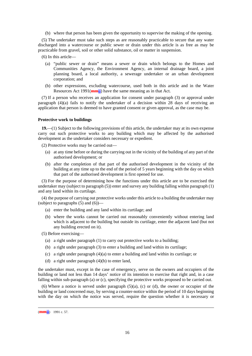(b) where that person has been given the opportunity to supervise the making of the opening.

(5) The undertaker must take such steps as are reasonably practicable to secure that any water discharged into a watercourse or public sewer or drain under this article is as free as may be practicable from gravel, soil or other solid substance, oil or matter in suspension.

- (6) In this article—
	- (a) "public sewer or drain" means a sewer or drain which belongs to the Homes and Communities Agency, the Environment Agency, an internal drainage board, a joint planning board, a local authority, a sewerage undertaker or an urban development corporation; and
	- (b) other expressions, excluding watercourse, used both in this article and in the Water Resources Act 1991(**mmii**) have the same meaning as in that Act.

(7) If a person who receives an application for consent under paragraph (3) or approval under paragraph  $(4)(a)$  fails to notify the undertaker of a decision within 28 days of receiving an application that person is deemed to have granted consent or given approval, as the case may be.

#### **Protective work to buildings**

**19.**—(1) Subject to the following provisions of this article, the undertaker may at its own expense carry out such protective works to any building which may be affected by the authorised development as the undertaker considers necessary or expedient.

(2) Protective works may be carried out—

- (a) at any time before or during the carrying out in the vicinity of the building of any part of the authorised development; or
- (b) after the completion of that part of the authorised development in the vicinity of the building at any time up to the end of the period of 5 years beginning with the day on which that part of the authorised development is first opened for use.

(3) For the purpose of determining how the functions under this article are to be exercised the undertaker may (subject to paragraph (5)) enter and survey any building falling within paragraph (1) and any land within its curtilage.

(4) the purpose of carrying out protective works under this article to a building the undertaker may (subject to paragraphs  $(5)$  and  $(6)$ )–

- (a) enter the building and any land within its curtilage; and
- (b) where the works cannot be carried out reasonably conveniently without entering land which is adjacent to the building but outside its curtilage, enter the adjacent land (but not any building erected on it).

(5) Before exercising—

- (a) a right under paragraph (1) to carry out protective works to a building;
- (b) a right under paragraph (3) to enter a building and land within its curtilage;
- (c) a right under paragraph (4)(a) to enter a building and land within its curtilage; or
- (d) a right under paragraph (4)(b) to enter land,

the undertaker must, except in the case of emergency, serve on the owners and occupiers of the building or land not less than 14 days' notice of its intention to exercise that right and, in a case falling within sub-paragraph (a) or (c), specifying the protective works proposed to be carried out.

(6) Where a notice is served under paragraph  $(5)(a)$ , (c) or (d), the owner or occupier of the building or land concerned may, by serving a counter-notice within the period of 10 days beginning with the day on which the notice was served, require the question whether it is necessary or

 <sup>(</sup>**mmii**) 1991 c. 57.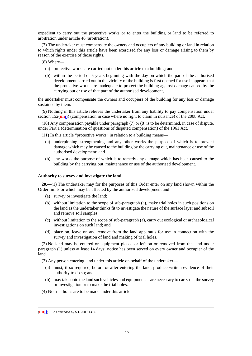expedient to carry out the protective works or to enter the building or land to be referred to arbitration under article 46 (arbitration).

(7) The undertaker must compensate the owners and occupiers of any building or land in relation to which rights under this article have been exercised for any loss or damage arising to them by reason of the exercise of those rights.

(8) Where—

- (a) protective works are carried out under this article to a building; and
- (b) within the period of 5 years beginning with the day on which the part of the authorised development carried out in the vicinity of the building is first opened for use it appears that the protective works are inadequate to protect the building against damage caused by the carrying out or use of that part of the authorised development,

the undertaker must compensate the owners and occupiers of the building for any loss or damage sustained by them.

(9) Nothing in this article relieves the undertaker from any liability to pay compensation under section 152(**nn**ji) (compensation in case where no right to claim in nuisance) of the 2008 Act.

(10) Any compensation payable under paragraph (7) or (8) is to be determined, in case of dispute, under Part 1 (determination of questions of disputed compensation) of the 1961 Act.

(11) In this article "protective works" in relation to a building means—

- (a) underpinning, strengthening and any other works the purpose of which is to prevent damage which may be caused to the building by the carrying out, maintenance or use of the authorised development; and
- (b) any works the purpose of which is to remedy any damage which has been caused to the building by the carrying out, maintenance or use of the authorised development.

#### **Authority to survey and investigate the land**

**20.**—(1) The undertaker may for the purposes of this Order enter on any land shown within the Order limits or which may be affected by the authorised development and—

- (a) survey or investigate the land;
- (b) without limitation to the scope of sub-paragraph (a), make trial holes in such positions on the land as the undertaker thinks fit to investigate the nature of the surface layer and subsoil and remove soil samples;
- (c) without limitation to the scope of sub-paragraph (a), carry out ecological or archaeological investigations on such land; and
- (d) place on, leave on and remove from the land apparatus for use in connection with the survey and investigation of land and making of trial holes.

(2) No land may be entered or equipment placed or left on or removed from the land under paragraph (1) unless at least 14 days' notice has been served on every owner and occupier of the land.

(3) Any person entering land under this article on behalf of the undertaker—

- (a) must, if so required, before or after entering the land, produce written evidence of their authority to do so; and
- (b) may take onto the land such vehicles and equipment as are necessary to carry out the survey or investigation or to make the trial holes.
- (4) No trial holes are to be made under this article—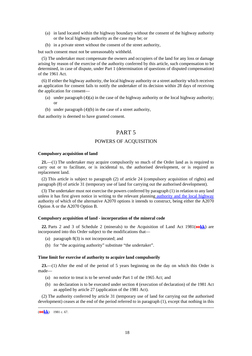- (a) in land located within the highway boundary without the consent of the highway authority or the local highway authority as the case may be; or
- (b) in a private street without the consent of the street authority,

but such consent must not be unreasonably withheld.

(5) The undertaker must compensate the owners and occupiers of the land for any loss or damage arising by reason of the exercise of the authority conferred by this article, such compensation to be determined, in case of dispute, under Part 1 (determination of questions of disputed compensation) of the 1961 Act.

(6) If either the highway authority, the local highway authority or a street authority which receives an application for consent fails to notify the undertaker of its decision within 28 days of receiving the application for consent—

- (a) under paragraph  $(4)(a)$  in the case of the highway authority or the local highway authority; or
- (b) under paragraph (4)(b) in the case of a street authority,

that authority is deemed to have granted consent.

## PART 5

#### POWERS OF ACQUISITION

#### **Compulsory acquisition of land**

**21.**—(1) The undertaker may acquire compulsorily so much of the Order land as is required to carry out or to facilitate, or is incidental to, the authorised development, or is required as replacement land.

(2) This article is subject to paragraph (2) of article 24 (compulsory acquisition of rights) and paragraph (8) of article 31 (temporary use of land for carrying out the authorised development).

(3) The undertaker must not exercise the powers conferred by paragraph (1) in relation to any land unless it has first given notice in writing to the relevant planning authority and the local highway authority of which of the alternative A2070 options it intends to construct, being either the A2070 Option A or the A2070 Option B.

#### **Compulsory acquisition of land - incorporation of the mineral code**

**22.** Parts 2 and 3 of Schedule 2 (minerals) to the Acquisition of Land Act 1981(**ookk**) are incorporated into this Order subject to the modifications that—

- (a) paragraph 8(3) is not incorporated; and
- (b) for "the acquiring authority" substitute "the undertaker".

#### **Time limit for exercise of authority to acquire land compulsorily**

**23.**—(1) After the end of the period of 5 years beginning on the day on which this Order is made—

- (a) no notice to treat is to be served under Part 1 of the 1965 Act; and
- (b) no declaration is to be executed under section 4 (execution of declaration) of the 1981 Act as applied by article 27 (application of the 1981 Act).

(2) The authority conferred by article 31 (temporary use of land for carrying out the authorised development) ceases at the end of the period referred to in paragraph (1), except that nothing in this

 <sup>(</sup>**ookk**) 1981 c. 67.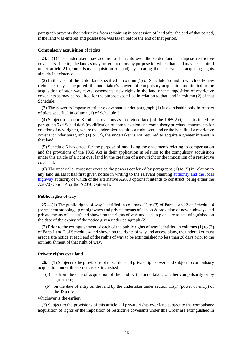paragraph prevents the undertaker from remaining in possession of land after the end of that period, if the land was entered and possession was taken before the end of that period.

#### **Compulsory acquisition of rights**

**24.**—(1) The undertaker may acquire such rights over the Order land or impose restrictive covenants affecting the land as may be required for any purpose for which that land may be acquired under article 21 (compulsory acquisition of land) by creating them as well as acquiring rights already in existence.

(2) In the case of the Order land specified in column (1) of Schedule 5 (land in which only new rights etc. may be acquired) the undertaker's powers of compulsory acquisition are limited to the acquisition of such wayleaves, easements, new rights in the land or the imposition of restrictive covenants as may be required for the purpose specified in relation to that land in column (2) of that Schedule.

(3) The power to impose restrictive covenants under paragraph (1) is exercisable only in respect of plots specified in column (1) of Schedule 5.

(4) Subject to section 8 (other provisions as to divided land) of the 1965 Act, as substituted by paragraph 5 of Schedule 6 (modification of compensation and compulsory purchase enactments for creation of new rights), where the undertaker acquires a right over land or the benefit of a restrictive covenant under paragraph (1) or (2), the undertaker is not required to acquire a greater interest in that land.

(5) Schedule 6 has effect for the purpose of modifying the enactments relating to compensation and the provisions of the 1965 Act in their application in relation to the compulsory acquisition under this article of a right over land by the creation of a new right or the imposition of a restrictive covenant.

(6) The undertaker must not exercise the powers conferred by paragraphs (1) to (5) in relation to any land unless it has first given notice in writing to the relevant planning authority and the local highway authority of which of the alternative A2070 options it intends to construct, being either the A2070 Option A or the A2070 Option B.

#### **Public rights of way**

**25.**—(1) The public rights of way identified in columns (1) to (3) of Parts 1 and 2 of Schedule 4 (permanent stopping up of highways and private means of access & provision of new highways and private means of access) and shown on the rights of way and access plans are to be extinguished on the date of the expiry of the notice given under paragraph (2).

(2) Prior to the extinguishment of each of the public rights of way identified in columns (1) to (3) of Parts 1 and 2 of Schedule 4 and shown on the rights of way and access plans, the undertaker must erect a site notice at each end of the rights of way to be extinguished no less than 28 days prior to the extinguishment of that right of way.

#### **Private rights over land**

**26.**—(1) Subject to the provisions of this article, all private rights over land subject to compulsory acquisition under this Order are extinguished –

- (a) as from the date of acquisition of the land by the undertaker, whether compulsorily or by agreement; or
- (b) on the date of entry on the land by the undertaker under section  $11(1)$  (power of entry) of the 1965 Act,

whichever is the earlier.

(2) Subject to the provisions of this article, all private rights over land subject to the compulsory acquisition of rights or the imposition of restrictive covenants under this Order are extinguished in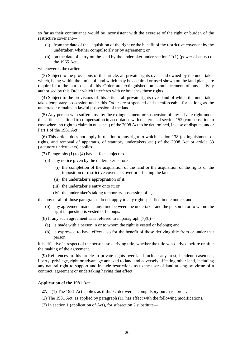so far as their continuance would be inconsistent with the exercise of the right or burden of the restrictive covenant—

- (a) from the date of the acquisition of the right or the benefit of the restrictive covenant by the undertaker, whether compulsorily or by agreement; or
- (b) on the date of entry on the land by the undertaker under section  $11(1)$  (power of entry) of the 1965 Act,

whichever is the earlier.

(3) Subject to the provisions of this article, all private rights over land owned by the undertaker which, being within the limits of land which may be acquired or used shown on the land plans, are required for the purposes of this Order are extinguished on commencement of any activity authorised by this Order which interferes with or breaches those rights.

(4) Subject to the provisions of this article, all private rights over land of which the undertaker takes temporary possession under this Order are suspended and unenforceable for as long as the undertaker remains in lawful possession of the land.

(5) Any person who suffers loss by the extinguishment or suspension of any private right under this article is entitled to compensation in accordance with the terms of section 152 (compensation in case where no right to claim in nuisance) of the 2008 Act to be determined, in case of dispute, under Part 1 of the 1961 Act.

(6) This article does not apply in relation to any right to which section 138 (extinguishment of rights, and removal of apparatus, of statutory undertakers etc.) of the 2008 Act or article 33 (statutory undertakers) applies.

(7) Paragraphs (1) to (4) have effect subject to—

- (a) any notice given by the undertaker before—
	- (i) the completion of the acquisition of the land or the acquisition of the rights or the imposition of restrictive covenants over or affecting the land;
	- (ii) the undertaker's appropriation of it;
	- (iii) the undertaker's entry onto it; or
	- (iv) the undertaker's taking temporary possession of it,

that any or all of those paragraphs do not apply to any right specified in the notice; and

(b) any agreement made at any time between the undertaker and the person in or to whom the right in question is vested or belongs.

(8) If any such agreement as is referred to in paragraph  $(7)(b)$ —

- (a) is made with a person in or to whom the right is vested or belongs; and
- (b) is expressed to have effect also for the benefit of those deriving title from or under that person,

it is effective in respect of the persons so deriving title, whether the title was derived before or after the making of the agreement.

(9) References in this article to private rights over land include any trust, incident, easement, liberty, privilege, right or advantage annexed to land and adversely affecting other land, including any natural right to support and include restrictions as to the user of land arising by virtue of a contract, agreement or undertaking having that effect.

#### **Application of the 1981 Act**

**27.**—(1) The 1981 Act applies as if this Order were a compulsory purchase order.

- (2) The 1981 Act, as applied by paragraph (1), has effect with the following modifications.
- (3) In section 1 (application of Act), for subsection 2 substitute—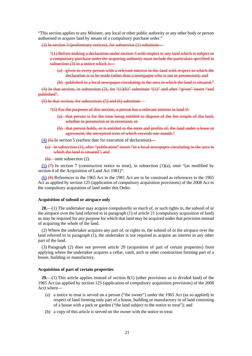"This section applies to any Minister, any local or other public authority or any other body or person authorised to acquire land by means of a compulsory purchase order."

(3) In section 3 (preliminary notices), for subsection (1) substitute—

"(1) Before making a declaration under section 4 with respect to any land which is subject to a compulsory purchase order the acquiring authority must include the particulars specified in subsection (3) in a notice which is—

- (a) given to every person with a relevant interest in the land with respect to which the declaration is to be made (other than a mortgagee who is not in possession); and
- (b) published in a local newspaper circulating in the area in which the land is situated."

(4) In that section, in subsection (2), for "(1)(b)" substitute "(1)" and after "given" insert "and published".

 $(5)$  In that section, for subsections  $(5)$  and  $(6)$  substitute

"(5) For the purposes of this section, a person has a relevant interest in land if-

- (a) that person is for the time being entitled to dispose of the fee simple of the land, whether in possession or in reversion; or
- (b) that person holds, or is entitled to the rents and profits of, the land under a lease or agreement, the unexpired term of which exceeds one month."

 $(4)$  (6) In section 5 (earliest date for execution of declaration)—

(a) in subsection (1), after "publication" insert "in a local newspaper circulating in the area in which the land is situated": and

 $(b)$  omit subsection (2).

 $(5)$  (7) In section 7 (constructive notice to treat), in subsection (1)(a), omit "(as modified by section 4 of the Acquisition of Land Act 1981)".

(6) (8) References to the 1965 Act in the 1981 Act are to be construed as references to the 1965 Act as applied by section 125 (application of compulsory acquisition provisions) of the 2008 Act to the compulsory acquisition of land under this Order.

#### **Acquisition of subsoil or airspace only**

**28.**—(1) The undertaker may acquire compulsorily so much of, or such rights in, the subsoil of or the airspace over the land referred to in paragraph (1) of article 21 (compulsory acquisition of land) as may be required for any purpose for which that land may be acquired under that provision instead of acquiring the whole of the land.

(2) Where the undertaker acquires any part of, or rights in, the subsoil of or the airspace over the land referred to in paragraph (1), the undertaker is not required to acquire an interest in any other part of the land.

(3) Paragraph (2) does not prevent article 29 (acquisition of part of certain properties) from applying where the undertaker acquires a cellar, vault, arch or other construction forming part of a house, building or manufactory.

#### **Acquisition of part of certain properties**

**29.**—(1) This article applies instead of section 8(1) (other provisions as to divided land) of the 1965 Act (as applied by section 125 (application of compulsory acquisition provisions) of the 2008 Act) where—

- (a) a notice to treat is served on a person ("the owner") under the 1965 Act (as so applied) in respect of land forming only part of a house, building or manufactory or of land consisting of a house with a park or garden ("the land subject to the notice to treat"); and
- (b) a copy of this article is served on the owner with the notice to treat.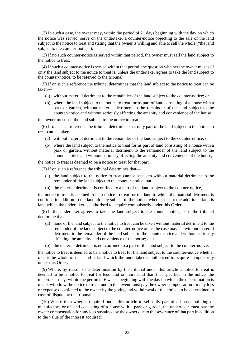(2) In such a case, the owner may, within the period of 21 days beginning with the day on which the notice was served, serve on the undertaker a counter-notice objecting to the sale of the land subject to the notice to treat and stating that the owner is willing and able to sell the whole ("the land subject to the counter-notice").

(3) If no such counter-notice is served within that period, the owner must sell the land subject to the notice to treat.

(4) If such a counter-notice is served within that period, the question whether the owner must sell only the land subject to the notice to treat is, unless the undertaker agrees to take the land subject to the counter-notice, to be referred to the tribunal.

(5) If on such a reference the tribunal determines that the land subject to the notice to treat can be taken—

- (a) without material detriment to the remainder of the land subject to the counter-notice; or
- (b) where the land subject to the notice to treat forms part of land consisting of a house with a park or garden, without material detriment to the remainder of the land subject to the counter-notice and without seriously affecting the amenity and convenience of the house,

the owner must sell the land subject to the notice to treat.

(6) If on such a reference the tribunal determines that only part of the land subject to the notice to treat can be taken—

- (a) without material detriment to the remainder of the land subject to the counter-notice; or
- (b) where the land subject to the notice to treat forms part of land consisting of a house with a park or garden, without material detriment to the remainder of the land subject to the counter-notice and without seriously affecting the amenity and convenience of the house,

the notice to treat is deemed to be a notice to treat for that part.

(7) If on such a reference the tribunal determines that—

- (a) the land subject to the notice to treat cannot be taken without material detriment to the remainder of the land subject to the counter-notice; but
- (b) the material detriment is confined to a part of the land subject to the counter-notice,

the notice to treat is deemed to be a notice to treat for the land to which the material detriment is confined in addition to the land already subject to the notice, whether or not the additional land is land which the undertaker is authorised to acquire compulsorily under this Order.

(8) If the undertaker agrees to take the land subject to the counter-notice, or if the tribunal determine that-

- (a) none of the land subject to the notice to treat can be taken without material detriment to the remainder of the land subject to the counter-notice or, as the case may be, without material detriment to the remainder of the land subject to the counter-notice and without seriously affecting the amenity and convenience of the house; and
- (b) the material detriment is not confined to a part of the land subject to the counter-notice,

the notice to treat is deemed to be a notice to treat for the land subject to the counter-notice whether or not the whole of that land is land which the undertaker is authorised to acquire compulsorily under this Order.

(9) Where, by reason of a determination by the tribunal under this article a notice to treat is deemed to be a notice to treat for less land or more land than that specified in the notice, the undertaker may, within the period of 6 weeks beginning with the day on which the determination is made, withdraw the notice to treat; and in that event must pay the owner compensation for any loss or expense occasioned to the owner by the giving and withdrawal of the notice, to be determined in case of dispute by the tribunal.

(10) Where the owner is required under this article to sell only part of a house, building or manufactory or of land consisting of a house with a park or garden, the undertaker must pay the owner compensation for any loss sustained by the owner due to the severance of that part in addition to the value of the interest acquired.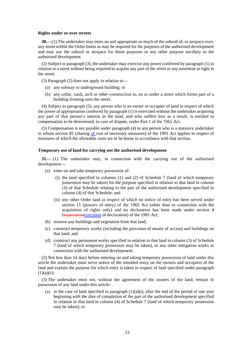#### **Rights under or over streets**

**30.**—(1) The undertaker may enter on and appropriate so much of the subsoil of, or airspace over, any street within the Order limits as may be required for the purposes of the authorised development and may use the subsoil or airspace for those purposes or any other purpose ancillary to the authorised development.

(2) Subject to paragraph (3), the undertaker may exercise any power conferred by paragraph (1) in relation to a street without being required to acquire any part of the street or any easement or right in the street.

(3) Paragraph (2) does not apply in relation to—

- (a) any subway or underground building; or
- (b) any cellar, vault, arch or other construction in, on or under a street which forms part of a building fronting onto the street.

(4) Subject to paragraph (5), any person who is an owner or occupier of land in respect of which the power of appropriation conferred by paragraph (1) is exercised without the undertaker acquiring any part of that person's interest in the land, and who suffers loss as a result, is entitled to compensation to be determined, in case of dispute, under Part 1 of the 1961 Act.

(5) Compensation is not payable under paragraph (4) to any person who is a statutory undertaker to whom section 85 (sharing of cost of necessary measures) of the 1991 Act applies in respect of measures of which the allowable costs are to be borne in accordance with that section.

#### **Temporary use of land for carrying out the authorised development**

**31.**— (1) The undertaker may, in connection with the carrying out of the authorised development—

- (a) enter on and take temporary possession of-
	- (i) the land specified in columns (1) and (2) of Schedule 7 (land of which temporary possession may be taken) for the purpose specified in relation to that land in column (3) of that Schedule relating to the part of the authorised development specified in column (4) of that Schedule; and
	- (ii) any other Order land in respect of which no notice of entry has been served under section 11 (powers of entry) of the 1965 Act (other than in connection with the acquisition of rights only) and no declaration has been made under section 4 (expectationexecution of declaration) of the 1981 Act;
- (b) remove any buildings and vegetation from that land;
- (c) construct temporary works (including the provision of means of access) and buildings on that land; and
- (d) construct any permanent works specified in relation to that land in column (3) of Schedule 7 (land of which temporary possession may be taken), or any other mitigation works in connection with the authorised development.

(2) Not less than 14 days before entering on and taking temporary possession of land under this article the undertaker must serve notice of the intended entry on the owners and occupiers of the land and explain the purpose for which entry is taken in respect of land specified under paragraph  $(1)(a)(ii)$ .

(3) The undertaker must not, without the agreement of the owners of the land, remain in possession of any land under this article-

(a) in the case of land specified in paragraph  $(1)(a)(i)$ , after the end of the period of one year beginning with the date of completion of the part of the authorised development specified in relation to that land in column (4) of Schedule 7 (land of which temporary possession may be taken); or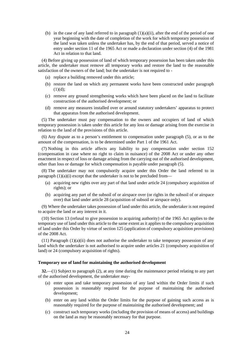(b) in the case of any land referred to in paragraph  $(1)(a)(ii)$ , after the end of the period of one year beginning with the date of completion of the work for which temporary possession of the land was taken unless the undertaker has, by the end of that period, served a notice of entry under section 11 of the 1965 Act or made a declaration under section (4) of the 1981 Act in relation to that land.

(4) Before giving up possession of land of which temporary possession has been taken under this article, the undertaker must remove all temporary works and restore the land to the reasonable satisfaction of the owners of the land; but the undertaker is not required to -

- (a) replace a building removed under this article;
- (b) restore the land on which any permanent works have been constructed under paragraph  $(1)(d);$
- (c) remove any ground strengthening works which have been placed on the land to facilitate construction of the authorised development; or
- (d) remove any measures installed over or around statutory undertakers' apparatus to protect that apparatus from the authorised development.

(5) The undertaker must pay compensation to the owners and occupiers of land of which temporary possession is taken under this article for any loss or damage arising from the exercise in relation to the land of the provisions of this article.

(6) Any dispute as to a person's entitlement to compensation under paragraph (5), or as to the amount of the compensation, is to be determined under Part 1 of the 1961 Act.

(7) Nothing in this article affects any liability to pay compensation under section 152 (compensation in case where no right to claim in nuisance) of the 2008 Act or under any other enactment in respect of loss or damage arising from the carrying out of the authorised development, other than loss or damage for which compensation is payable under paragraph (5).

(8) The undertaker may not compulsorily acquire under this Order the land referred to in paragraph  $(1)(a)(i)$  except that the undertaker is not to be precluded from—

- (a) acquiring new rights over any part of that land under article 24 (compulsory acquisition of rights); or
- (b) acquiring any part of the subsoil of or airspace over (or rights in the subsoil of or airspace over) that land under article 28 (acquisition of subsoil or airspace only).

(9) Where the undertaker takes possession of land under this article, the undertaker is not required to acquire the land or any interest in it.

(10) Section 13 (refusal to give possession to acquiring authority) of the 1965 Act applies to the temporary use of land under this article to the same extent as it applies to the compulsory acquisition of land under this Order by virtue of section 125 (application of compulsory acquisition provisions) of the 2008 Act.

 $(11)$  Paragraph  $(1)(a)(ii)$  does not authorise the undertaker to take temporary possession of any land which the undertaker is not authorised to acquire under articles 21 (compulsory acquisition of land) or 24 (compulsory acquisition of rights).

#### **Temporary use of land for maintaining the authorised development**

**32.**—(1) Subject to paragraph (2), at any time during the maintenance period relating to any part of the authorised development, the undertaker may-

- (a) enter upon and take temporary possession of any land within the Order limits if such possession is reasonably required for the purpose of maintaining the authorised development;
- (b) enter on any land within the Order limits for the purpose of gaining such access as is reasonably required for the purpose of maintaining the authorised development; and
- (c) construct such temporary works (including the provision of means of access) and buildings on the land as may be reasonably necessary for that purpose.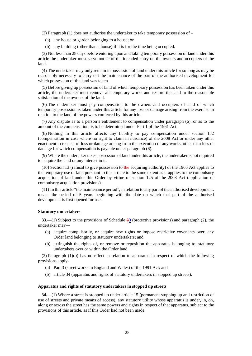(2) Paragraph (1) does not authorise the undertaker to take temporary possession of –

- (a) any house or garden belonging to a house; or
- (b) any building (other than a house) if it is for the time being occupied.

(3) Not less than 28 days before entering upon and taking temporary possession of land under this article the undertaker must serve notice of the intended entry on the owners and occupiers of the land.

(4) The undertaker may only remain in possession of land under this article for so long as may be reasonably necessary to carry out the maintenance of the part of the authorised development for which possession of the land was taken.

(5) Before giving up possession of land of which temporary possession has been taken under this article, the undertaker must remove all temporary works and restore the land to the reasonable satisfaction of the owners of the land.

(6) The undertaker must pay compensation to the owners and occupiers of land of which temporary possession is taken under this article for any loss or damage arising from the exercise in relation to the land of the powers conferred by this article.

(7) Any dispute as to a person's entitlement to compensation under paragraph (6), or as to the amount of the compensation, is to be determined under Part 1 of the 1961 Act.

(8) Nothing in this article affects any liability to pay compensation under section 152 (compensation in case where no right to claim in nuisance) of the 2008 Act or under any other enactment in respect of loss or damage arising from the execution of any works, other than loss or damage for which compensation is payable under paragraph (6).

(9) Where the undertaker takes possession of land under this article, the undertaker is not required to acquire the land or any interest in it.

 $(10)$  Section 13 (refusal to give possession to the acquiring authority) of the 1965 Act applies to the temporary use of land pursuant to this article to the same extent as it applies to the compulsory acquisition of land under this Order by virtue of section 125 of the 2008 Act (application of compulsory acquisition provisions).

(11) In this article "the maintenance period", in relation to any part of the authorised development, means the period of 5 years beginning with the date on which that part of the authorised development is first opened for use.

#### **Statutory undertakers**

**33.**—(1) Subject to the provisions of Schedule 89 (protective provisions) and paragraph (2), the undertaker may—

- (a) acquire compulsorily, or acquire new rights or impose restrictive covenants over, any Order land belonging to statutory undertakers; and
- (b) extinguish the rights of, or remove or reposition the apparatus belonging to, statutory undertakers over or within the Order land.

(2) Paragraph (1)(b) has no effect in relation to apparatus in respect of which the following provisions apply-

- (a) Part 3 (street works in England and Wales) of the 1991 Act; and
- (b) article 34 (apparatus and rights of statutory undertakers in stopped up streets).

#### **Apparatus and rights of statutory undertakers in stopped up streets**

**34.**—(1) Where a street is stopped up under article 15 (permanent stopping up and restriction of use of streets and private means of access), any statutory utility whose apparatus is under, in, on, along or across the street has the same powers and rights in respect of that apparatus, subject to the provisions of this article, as if this Order had not been made.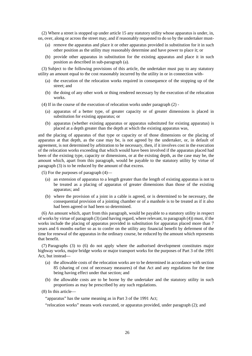(2) Where a street is stopped up under article 15 any statutory utility whose apparatus is under, in, on, over, along or across the street may, and if reasonably requested to do so by the undertaker must-

- (a) remove the apparatus and place it or other apparatus provided in substitution for it in such other position as the utility may reasonably determine and have power to place it; or
- (b) provide other apparatus in substitution for the existing apparatus and place it in such position as described in sub-paragraph (a).

(3) Subject to the following provisions of this article, the undertaker must pay to any statutory utility an amount equal to the cost reasonably incurred by the utility in or in connection with-

- (a) the execution of the relocation works required in consequence of the stopping up of the street; and
- (b) the doing of any other work or thing rendered necessary by the execution of the relocation works.
- (4) If in the course of the execution of relocation works under paragraph (2)
	- (a) apparatus of a better type, of greater capacity or of greater dimensions is placed in substitution for existing apparatus; or
	- (b) apparatus (whether existing apparatus or apparatus substituted for existing apparatus) is placed at a depth greater than the depth at which the existing apparatus was,

and the placing of apparatus of that type or capacity or of those dimensions or the placing of apparatus at that depth, as the case may be, is not agreed by the undertaker, or, in default of agreement, is not determined by arbitration to be necessary, then, if it involves cost in the execution of the relocation works exceeding that which would have been involved if the apparatus placed had been of the existing type, capacity or dimensions, or at the existing depth, as the case may be, the amount which, apart from this paragraph, would be payable to the statutory utility by virtue of paragraph (3) is to be reduced by the amount of that excess.

(5) For the purposes of paragraph (4)—

- (a) an extension of apparatus to a length greater than the length of existing apparatus is not to be treated as a placing of apparatus of greater dimensions than those of the existing apparatus; and
- (b) where the provision of a joint in a cable is agreed, or is determined to be necessary, the consequential provision of a jointing chamber or of a manhole is to be treated as if it also had been agreed or had been so determined.

(6) An amount which, apart from this paragraph, would be payable to a statutory utility in respect of works by virtue of paragraph (3) (and having regard, where relevant, to paragraph (4)) must, if the works include the placing of apparatus provided in substitution for apparatus placed more than 7 years and 6 months earlier so as to confer on the utility any financial benefit by deferment of the time for renewal of the apparatus in the ordinary course, be reduced by the amount which represents that benefit.

(7) Paragraphs (3) to (6) do not apply where the authorised development constitutes major highway works, major bridge works or major transport works for the purposes of Part 3 of the 1991 Act, but instead—

- (a) the allowable costs of the relocation works are to be determined in accordance with section 85 (sharing of cost of necessary measures) of that Act and any regulations for the time being having effect under that section; and
- (b) the allowable costs are to be borne by the undertaker and the statutory utility in such proportions as may be prescribed by any such regulations.
- (8) In this article—

"apparatus" has the same meaning as in Part 3 of the 1991 Act;

"relocation works" means work executed, or apparatus provided, under paragraph (2); and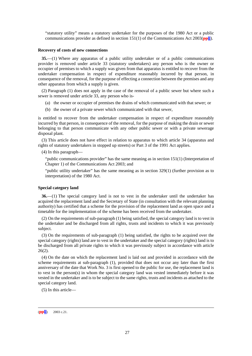"statutory utility" means a statutory undertaker for the purposes of the 1980 Act or a public communications provider as defined in section 151(1) of the Communications Act 2003(**ppll**).

#### **Recovery of costs of new connections**

**35.**—(1) Where any apparatus of a public utility undertaker or of a public communications provider is removed under article 33 (statutory undertakers) any person who is the owner or occupier of premises to which a supply was given from that apparatus is entitled to recover from the undertaker compensation in respect of expenditure reasonably incurred by that person, in consequence of the removal, for the purpose of effecting a connection between the premises and any other apparatus from which a supply is given.

(2) Paragraph (1) does not apply in the case of the removal of a public sewer but where such a sewer is removed under article 33, any person who is-

- (a) the owner or occupier of premises the drains of which communicated with that sewer; or
- (b) the owner of a private sewer which communicated with that sewer,

is entitled to recover from the undertaker compensation in respect of expenditure reasonably incurred by that person, in consequence of the removal, for the purpose of making the drain or sewer belonging to that person communicate with any other public sewer or with a private sewerage disposal plant.

(3) This article does not have effect in relation to apparatus to which article 34 (apparatus and rights of statutory undertakers in stopped up streets) or Part 3 of the 1991 Act applies.

(4) In this paragraph—

"public communications provider" has the same meaning as in section 151(1) (Interpretation of Chapter 1) of the Communications Act 2003; and

"public utility undertaker" has the same meaning as in section 329(1) (further provision as to interpretation) of the 1980 Act.

#### **Special category land**

**36.**—(1) The special category land is not to vest in the undertaker until the undertaker has acquired the replacement land and the Secretary of State (in consultation with the relevant planning authority) has certified that a scheme for the provision of the replacement land as open space and a timetable for the implementation of the scheme has been received from the undertaker.

(2) On the requirements of sub-paragraph (1) being satisfied, the special category land is to vest in the undertaker and be discharged from all rights, trusts and incidents to which it was previously subject.

(3) On the requirements of sub-paragraph (1) being satisfied, the rights to be acquired over the special category (rights) land are to vest in the undertaker and the special category (rights) land is to be discharged from all private rights to which it was previously subject in accordance with article  $26(2)$ .

(4) On the date on which the replacement land is laid out and provided in accordance with the scheme requirements at sub-paragraph (1), provided that does not occur any later than the first anniversary of the date that Work No. 3 is first opened to the public for use, the replacement land is to vest in the person(s) in whom the special category land was vested immediately before it was vested in the undertaker and is to be subject to the same rights, trusts and incidents as attached to the special category land.

(5) In this article—

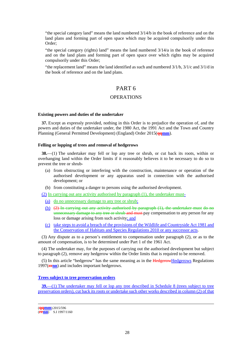"the special category land" means the land numbered 3/14/b in the book of reference and on the land plans and forming part of open space which may be acquired compulsorily under this Order;

"the special category (rights) land" means the land numbered 3/14/a in the book of reference and on the land plans and forming part of open space over which rights may be acquired compulsorily under this Order;

"the replacement land" means the land identified as such and numbered 3/1/b, 3/1/c and 3/1/d in the book of reference and on the land plans.

# PART 6

#### **OPERATIONS**

#### **Existing powers and duties of the undertaker**

**37.** Except as expressly provided, nothing in this Order is to prejudice the operation of, and the powers and duties of the undertaker under, the 1980 Act, the 1991 Act and the Town and Country Planning (General Permitted Development) (England) Order 2015(**qqmm**).

#### **Felling or lopping of trees and removal of hedgerows**

**38.**—(1) The undertaker may fell or lop any tree or shrub, or cut back its roots, within or overhanging land within the Order limits if it reasonably believes it to be necessary to do so to prevent the tree or shrub-

- (a) from obstructing or interfering with the construction, maintenance or operation of the authorised development or any apparatus used in connection with the authorised development; or
- (b) from constituting a danger to persons using the authorised development.

(2) In carrying out any activity authorised by paragraph (1), the undertaker must-

- (a) do no unnecessary damage to any tree or shrub;
- (b) (2) In carrying out any activity authorised by paragraph (1), the undertaker must do no unnecessary damage to any tree or shrub and must pay compensation to any person for any loss or damage arising from such activity; and
- (c) take steps to avoid a breach of the provisions of the Wildlife and Countryside Act 1981 and the Conservation of Habitats and Species Regulations 2010 or any successor acts.

(3) Any dispute as to a person's entitlement to compensation under paragraph (2), or as to the amount of compensation, is to be determined under Part 1 of the 1961 Act.

(4) The undertaker may, for the purposes of carrying out the authorised development but subject to paragraph (2), remove any hedgerow within the Order limits that is required to be removed.

(5) In this article "hedgerow" has the same meaning as in the HedgerowHedgerows Regulations 1997(**rrnn**) and includes important hedgerows.

#### **Trees subject to tree preservation orders**

**39.**—(1) The undertaker may fell or lop any tree described in Schedule 8 (trees subject to tree preservation orders), cut back its roots or undertake such other works described in column (2) of that

 (**qqmm**) 2015/596 (**rrnn**) S.I 1997/1160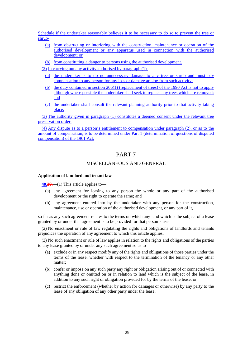Schedule if the undertaker reasonably believes it to be necessary to do so to prevent the tree or shrub-

- (a) from obstructing or interfering with the construction, maintenance or operation of the authorised development or any apparatus used in connection with the authorised development; or
- (b) from constituting a danger to persons using the authorised development.

(2) In carrying out any activity authorised by paragraph (1)-

- (a) the undertaker is to do no unnecessary damage to any tree or shrub and must pay compensation to any person for any loss or damage arising from such activity;
- (b) the duty contained in section 206(1) (replacement of trees) of the 1990 Act is not to apply although where possible the undertaker shall seek to replace any trees which are removed; and
- (c) the undertaker shall consult the relevant planning authority prior to that activity taking place.

(3) The authority given in paragraph (1) constitutes a deemed consent under the relevant tree preservation order.

(4) Any dispute as to a person's entitlement to compensation under paragraph (2), or as to the amount of compensation, is to be determined under Part 1 (determination of questions of disputed compensation) of the 1961 Act.

# PART 7

### MISCELLANEOUS AND GENERAL

#### **Application of landlord and tenant law**

**40.39.**—(1) This article applies to—

- (a) any agreement for leasing to any person the whole or any part of the authorised development or the right to operate the same; and
- (b) any agreement entered into by the undertaker with any person for the construction, maintenance, use or operation of the authorised development, or any part of it,

so far as any such agreement relates to the terms on which any land which is the subject of a lease granted by or under that agreement is to be provided for that person's use.

(2) No enactment or rule of law regulating the rights and obligations of landlords and tenants prejudices the operation of any agreement to which this article applies.

(3) No such enactment or rule of law applies in relation to the rights and obligations of the parties to any lease granted by or under any such agreement so as to—

- (a) exclude or in any respect modify any of the rights and obligations of those parties under the terms of the lease, whether with respect to the termination of the tenancy or any other matter;
- (b) confer or impose on any such party any right or obligation arising out of or connected with anything done or omitted on or in relation to land which is the subject of the lease, in addition to any such right or obligation provided for by the terms of the lease; or
- (c) restrict the enforcement (whether by action for damages or otherwise) by any party to the lease of any obligation of any other party under the lease.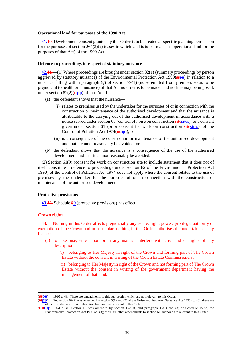#### **Operational land for purposes of the 1990 Act**

**41.40.** Development consent granted by this Order is to be treated as specific planning permission for the purposes of section 264(3)(a) (cases in which land is to be treated as operational land for the purposes of that Act) of the 1990 Act.

#### **Defence to proceedings in respect of statutory nuisance**

**42.41.**—(1) Where proceedings are brought under section 82(1) (summary proceedings by person aggrieved by statutory nuisance) of the Environmental Protection Act 1990(**ssoo**) in relation to a nuisance falling within paragraph (g) of section 79(1) (noise emitted from premises so as to be prejudicial to health or a nuisance) of that Act no order is to be made, and no fine may be imposed, under section 82(2)(**ttpp**) of that Act if-

- (a) the defendant shows that the nuisance—
	- (i) relates to premises used by the undertaker for the purposes of or in connection with the construction or maintenance of the authorised development and that the nuisance is attributable to the carrying out of the authorised development in accordance with a notice served under section 60 (control of noise on construction sitesites), or a consent given under section 61 (prior consent for work on construction sitesites), of the Control of Pollution Act 1974(**uuqq**); or
	- (ii) is a consequence of the construction or maintenance of the authorised development and that it cannot reasonably be avoided; or
- (b) the defendant shows that the nuisance is a consequence of the use of the authorised development and that it cannot reasonably be avoided.

(2) Section 61(9) (consent for work on construction site to include statement that it does not of itself constitute a defence to proceedings under section 82 of the Environmental Protection Act 1990) of the Control of Pollution Act 1974 does not apply where the consent relates to the use of premises by the undertaker for the purposes of or in connection with the construction or maintenance of the authorised development.

#### **Protective provisions**

**43.42.** Schedule 89 (protective provisions) has effect.

#### **Crown rights**

**43.**— Nothing in this Order affects prejudicially any estate, right, power, privilege, authority or exemption of the Crown and in particular, nothing in this Order authorises the undertaker or any licensee—

- (a) to take, use, enter upon or in any manner interfere with any land or rights of any description
	- (i) belonging to Her Majesty in right of the Crown and forming part of The Crown Estate without the consent in writing of the Crown Estate Commissioners;
	- (ii) belonging to Her Majesty in right of the Crown and not forming part of The Crown Estate without the consent in writing of the government department having the management of that land;

<sup>(</sup>**SSOO**) 1990 c. 43. There are amendments to this sub-section which are not relevant to this Order.<br>(**HDD**) Subsection 82(2) was amended by section 5(1) and (2) of the Noise and Statutory Nuisance

Subsection 82(2) was amended by section 5(1) and (2) of the Noise and Statutory Nuisance Act 1993 (c. 40); there are other amendments to this subsection but none are relevant to this Order.

<sup>(</sup>**uuqq**) 1974 c. 40*.* Section 61 was amended by section 162 of, and paragraph 15(1) and (3) of Schedule 15 to, the Environmental Protection Act 1990 (c. 43); there are other amendments to section 61 but none are relevant to this Order.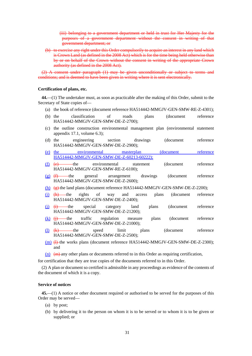(iii) belonging to a government department or held in trust for Her Majesty for the purposes of a government department without the consent in writing of that government department; or

(b) to exercise any right under this Order compulsorily to acquire an interest in any land which is Crown Land (as defined in the 2008 Act) which is for the time being held otherwise than by or on behalf of the Crown without the consent in writing of the appropriate Crown authority (as defined in the 2008 Act).

(2) A consent under paragraph (1) may be given unconditionally or subject to terms and conditions; and is deemed to have been given in writing where it is sent electronically.

#### **Certification of plans, etc.**

**44.**—(1) The undertaker must, as soon as practicable after the making of this Order, submit to the Secretary of State copies of—

- (a) the book of reference (document reference HA514442-MMGJV-GEN-SMW-RE-Z-4301);
- (b) the classification of roads plans (document reference HA514442-MMGJV-GEN-SMW-DE-Z-2700);
- (c) the outline construction environmental management plan (environmental statement appendix 17.1, volume 6.3);
- (d) the engineering section drawings (document reference HA514442-MMGJV-GEN-SMW-DE-Z-2900);
- (e) the environmental masterplan (document reference HA514442-MMGJV-GEN-SMW-DE-Z-60213-60222);
- (f) (e) the environmental statement (document reference HA514442-MMGJV-GEN-SMW-RE-Z-6100);
- $(g)$  (f) the general arrangement drawings (document reference HA514442-MMGJV-GEN-SMW-DE-Z-2600);
- (h) (g) the land plans (document reference HA514442-MMGJV-GEN-SMW-DE-Z-2200);
- (i)  $(h)$  the rights of way and access plans (document reference HA514442-MMGJV-GEN-SMW-DE-Z-2400);
- (j) (i) the special category land plans (document reference HA514442-MMGJV-GEN-SMW-DE-Z-21200);
- $(k)$   $(i)$  the traffic regulation measure plans (document reference HA514442-MMGJV-GEN-SMW-DE-Z-21000);
- (l) (k) the speed limit plans (document reference HA514442-MMGJV-GEN-SMW-DE-Z-2500);
- $(m)$   $(H)$ -the works plans (document reference HA514442-MMGJV-GEN-SMW-DE-Z-2300); and
- $(n)$  (m) any other plans or documents referred to in this Order as requiring certification,

for certification that they are true copies of the documents referred to in this Order.

(2) A plan or document so certified is admissible in any proceedings as evidence of the contents of the document of which it is a copy.

### **Service of notices**

**45.**—(1) A notice or other document required or authorised to be served for the purposes of this Order may be served—

- (a) by post;
- (b) by delivering it to the person on whom it is to be served or to whom it is to be given or supplied; or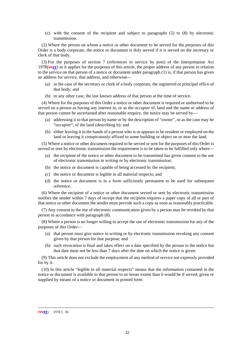(c) with the consent of the recipient and subject to paragraphs (5) to (8) by electronic transmission.

(2) Where the person on whom a notice or other document to be served for the purposes of this Order is a body corporate, the notice or document is duly served if it is served on the secretary or clerk of that body.

(3) For the purposes of section 7 (references to service by post) of the Interpretation Act 1978(**vvrr**) as it applies for the purposes of this article, the proper address of any person in relation to the service on that person of a notice or document under paragraph (1) is, if that person has given an address for service, that address, and otherwise—

- (a) in the case of the secretary or clerk of a body corporate, the registered or principal office of that body; and
- (b) in any other case, the last known address of that person at the time of service.

(4) Where for the purposes of this Order a notice or other document is required or authorised to be served on a person as having any interest in, or as the occupier of, land and the name or address of that person cannot be ascertained after reasonable enquiry, the notice may be served by—

- (a) addressing it to that person by name or by the description of "owner", or as the case may be "occupier", of the land (describing it); and
- (b) either leaving it in the hands of a person who is or appears to be resident or employed on the land or leaving it conspicuously affixed to some building or object on or near the land.

(5) Where a notice or other document required to be served or sent for the purposes of this Order is served or sent by electronic transmission the requirement is to be taken to be fulfilled only where—

- (a) the recipient of the notice or other document to be transmitted has given consent to the use of electronic transmission in writing or by electronic transmission;
- (b) the notice or document is capable of being accessed by the recipient;
- (c) the notice or document is legible in all material respects; and
- (d) the notice or document is in a form sufficiently permanent to be used for subsequent reference.

(6) Where the recipient of a notice or other document served or sent by electronic transmission notifies the sender within 7 days of receipt that the recipient requires a paper copy of all or part of that notice or other document the sender must provide such a copy as soon as reasonably practicable.

(7) Any consent to the use of electronic communication given by a person may be revoked by that person in accordance with paragraph (8).

(8) Where a person is no longer willing to accept the use of electronic transmission for any of the purposes of this Order—

- (a) that person must give notice in writing or by electronic transmission revoking any consent given by that person for that purpose; and
- (b) such revocation is final and takes effect on a date specified by the person in the notice but that date must not be less than 7 days after the date on which the notice is given.

(9) This article does not exclude the employment of any method of service not expressly provided for by it.

(10) In this article "legible in all material respects" means that the information contained in the notice or document is available to that person to no lesser extent than it would be if served, given or supplied by means of a notice or document in printed form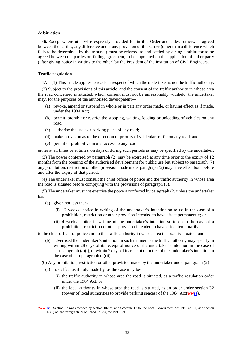#### **Arbitration**

**46.** Except where otherwise expressly provided for in this Order and unless otherwise agreed between the parties, any difference under any provision of this Order (other than a difference which falls to be determined by the tribunal) must be referred to and settled by a single arbitrator to be agreed between the parties or, failing agreement, to be appointed on the application of either party (after giving notice in writing to the other) by the President of the Institution of Civil Engineers.

### **Traffic regulation**

**47.**—(1) This article applies to roads in respect of which the undertaker is not the traffic authority.

(2) Subject to the provisions of this article, and the consent of the traffic authority in whose area the road concerned is situated, which consent must not be unreasonably withheld, the undertaker may, for the purposes of the authorised development—

- (a) revoke, amend or suspend in whole or in part any order made, or having effect as if made, under the 1984 Act;
- (b) permit, prohibit or restrict the stopping, waiting, loading or unloading of vehicles on any road;
- (c) authorise the use as a parking place of any road;
- (d) make provision as to the direction or priority of vehicular traffic on any road; and
- (e) permit or prohibit vehicular access to any road,

either at all times or at times, on days or during such periods as may be specified by the undertaker.

(3) The power conferred by paragraph (2) may be exercised at any time prior to the expiry of 12 months from the opening of the authorised development for public use but subject to paragraph (7) any prohibition, restriction or other provision made under paragraph (2) may have effect both before and after the expiry of that period.

(4) The undertaker must consult the chief officer of police and the traffic authority in whose area the road is situated before complying with the provisions of paragraph (5).

(5) The undertaker must not exercise the powers conferred by paragraph (2) unless the undertaker has—

- (a) given not less than-
	- (i) 12 weeks' notice in writing of the undertaker's intention so to do in the case of a prohibition, restriction or other provision intended to have effect permanently; or
	- (ii) 4 weeks' notice in writing of the undertaker's intention so to do in the case of a prohibition, restriction or other provision intended to have effect temporarily,

to the chief officer of police and to the traffic authority in whose area the road is situated; and

(b) advertised the undertaker's intention in such manner as the traffic authority may specify in writing within 28 days of its receipt of notice of the undertaker's intention in the case of sub-paragraph (a)(i), or within 7 days of its receipt of notice of the undertaker's intention in the case of sub-paragraph (a)(ii).

(6) Any prohibition, restriction or other provision made by the undertaker under paragraph  $(2)$ —

- (a) has effect as if duly made by, as the case may be-
	- (i) the traffic authority in whose area the road is situated, as a traffic regulation order under the 1984 Act; or
	- (ii) the local authority in whose area the road is situated, as an order under section 32 (power of local authorities to provide parking spaces) of the 1984 Act(**wwss**),

 <sup>(</sup>**wwss**) Section 32 was amended by section 102 of, and Schedule 17 to, the Local Government Act 1985 (c. 51) and section  $168(1)$  of, and paragraph 39 of Schedule 8 to, the 1991 Act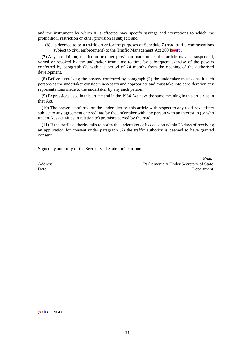and the instrument by which it is effected may specify savings and exemptions to which the prohibition, restriction or other provision is subject; and

(b) is deemed to be a traffic order for the purposes of Schedule 7 (road traffic contraventions subject to civil enforcement) to the Traffic Management Act 2004(**xxtt**).

(7) Any prohibition, restriction or other provision made under this article may be suspended, varied or revoked by the undertaker from time to time by subsequent exercise of the powers conferred by paragraph (2) within a period of 24 months from the opening of the authorised development.

(8) Before exercising the powers conferred by paragraph (2) the undertaker must consult such persons as the undertaker considers necessary and appropriate and must take into consideration any representations made to the undertaker by any such person.

(9) Expressions used in this article and in the 1984 Act have the same meaning in this article as in that Act.

(10) The powers conferred on the undertaker by this article with respect to any road have effect subject to any agreement entered into by the undertaker with any person with an interest in (or who undertakes activities in relation to) premises served by the road.

(11) If the traffic authority fails to notify the undertaker of its decision within 28 days of receiving an application for consent under paragraph (2) the traffic authority is deemed to have granted consent.

Signed by authority of the Secretary of State for Transport

*Name* Address Parliamentary Under Secretary of State Date Department

 $(\frac{xx}{t})$  2004 C.18.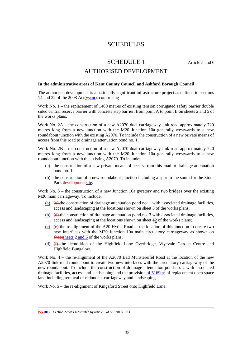# **SCHEDULES**

# SCHEDULE 1 Article 5 and 6

### AUTHORISED DEVELOPMENT

### **In the administrative areas of Kent County Council and Ashford Borough Council**

The authorised development is a nationally significant infrastructure project as defined in sections 14 and 22 of the 2008 Act(**yyuu**), comprising—

Work No. 1 – the replacement of 1460 metres of existing tension corrugated safety barrier double sided central reserve barrier with concrete step barrier, from point A to point B on sheets 2 and 5 of the works plans.

Work No. 2A – the construction of a new A2070 dual carriageway link road approximately 720 metres long from a new junction with the M20 Junction 10a generally westwards to a new roundabout junction with the existing A2070. To include the construction of a new private means of access from this road to drainage attenuation pond no. 1.

Work No. 2B – the construction of a new A2070 dual carriageway link road approximately 720 metres long from a new junction with the M20 Junction 10a generally westwards to a new roundabout junction with the existing A2070. To include:

- (a) the construction of a new private means of access from this road to drainage attenuation pond no. 1;
- (b) the construction of a new roundabout junction including a spur to the south for the Stour Park developmentsite.

Work No. 3 – the construction of a new Junction 10a gyratory and two bridges over the existing M20 main carriageway. To include:

- (a)  $\left( \theta \right)$  the construction of drainage attenuation pond no. 1 with associated drainage facilities, access and landscaping at the locations shown on sheet 3 of the works plans;
- (b) (d) the construction of drainage attenuation pond no. 3 with associated drainage facilities, access and landscaping at the locations shown on sheet  $\frac{1}{2}$  of the works plans;
- (c)  $(e)$  the re-alignment of the A20 Hythe Road at the location of this junction to create two new interfaces with the M20 Junction 10a main circulatory carriageway as shown on sheetsheets 2 and 5 of the works plans;
- (d) (f) the demolition of the Highfield Lane Overbridge, Wyevale Garden Centre and Highfield Bungalow.

Work No. 4 – the re-alignment of the A2070 Bad Munstereifel Road at the location of the new A2070 link road roundabout to create two new interfaces with the circulatory carriageway of the new roundabout. To include the construction of drainage attenuation pond no. 2 with associated drainage facilities, access and landscaping and the provision of  $5169<sup>m²</sup>$  of replacement open space land including removal of redundant carriageway and landscaping.

Work No. 5 – the re-alignment of Kingsford Street onto Highfield Lane.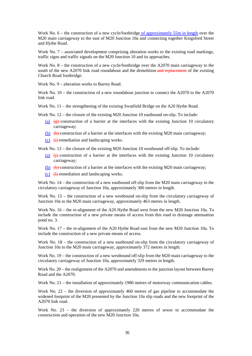Work No. 6 – the construction of a new cycle/footbridge of approximately 55m in length over the M20 main carriageway to the east of M20 Junction 10a and connecting together Kingsford Street and Hythe Road.

Work No. 7 – associated development comprising alteration works to the existing road markings, traffic signs and traffic signals on the M20 Junction 10 and its approaches.

Work No. 8 – the construction of a new cycle/footbridge over the A2070 main carriageway to the south of the new A2070 link road roundabout and the demolition-and replacement of the existing Church Road footbridge.

Work No. 9 – alteration works to Barrey Road.

Work No. 10 – the construction of a new roundabout junction to connect the A2070 to the A2070 link road.

Work No. 11 – the strengthening of the existing Swatfield Bridge on the A20 Hythe Road.

Work No. 12 – the closure of the existing M20 Junction 10 eastbound on-slip. To include:

- (a) (g) construction of a barrier at the interfaces with the existing Junction 10 circulatory carriageway;
- (b)  $(h)$  construction of a barrier at the interfaces with the existing M20 main carriageway;
- $(c)$   $(i)$ -remediation and landscaping works.

Work No. 13 – the closure of the existing M20 Junction 10 westbound of f-slip. To include:

- (a)  $\leftrightarrow$  construction of a barrier at the interfaces with the existing Junction 10 circulatory carriageway;
- (b)  $(k)$  construction of a barrier at the interfaces with the existing M20 main carriageway;
- $(c)$   $(l)$ -remediation and landscaping works.

Work No. 14 – the construction of a new eastbound off-slip from the M20 main carriageway to the circulatory carriageway of Junction 10a, approximately 300 metres in length.

Work No. 15 – the construction of a new westbound on-slip from the circulatory carriageway of Junction 10a to the M20 main carriageway, approximately 463 metres in length.

Work No. 16 – the re-alignment of the A20 Hythe Road west from the new M20 Junction 10a. To include the construction of a new private means of access from this road to drainage attenuation pond no. 3.

Work No. 17 – the re-alignment of the A20 Hythe Road east from the new M20 Junction 10a. To include the construction of a new private means of access.

Work No. 18 – the construction of a new eastbound on-slip from the circulatory carriageway of Junction 10a to the M20 main carriageway, approximately 372 metres in length.

Work No. 19 – the construction of a new westbound off-slip from the M20 main carriageway to the circulatory carriageway of Junction 10a, approximately 329 metres in length.

Work No. 20 – the realignment of the A2070 and amendments to the junction layout between Barrey Road and the A2070.

Work No. 21 – the installation of approximately 1980 metres of motorway communication cables.

Work No. 22 – the diversion of approximately 460 metres of gas pipeline to accommodate the widened footprint of the M20 presented by the Junction 10a slip roads and the new footprint of the A2070 link road.

Work No. 23 – the diversion of approximately 220 metres of sewer to accommodate the construction and operation of the new M20 Junction 10a.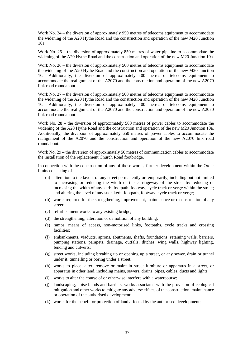Work No. 24 – the diversion of approximately 950 metres of telecoms equipment to accommodate the widening of the A20 Hythe Road and the construction and operation of the new M20 Junction 10a.

Work No. 25 – the diversion of approximately 850 metres of water pipeline to accommodate the widening of the A20 Hythe Road and the construction and operation of the new M20 Junction 10a.

Work No. 26 – the diversion of approximately 500 metres of telecoms equipment to accommodate the widening of the A20 Hythe Road and the construction and operation of the new M20 Junction 10a. Additionally, the diversion of approximately 400 metres of telecoms equipment to accommodate the realignment of the A2070 and the construction and operation of the new A2070 link road roundabout.

Work No. 27 – the diversion of approximately 500 metres of telecoms equipment to accommodate the widening of the A20 Hythe Road and the construction and operation of the new M20 Junction 10a. Additionally, the diversion of approximately 400 metres of telecoms equipment to accommodate the realignment of the A2070 and the construction and operation of the new A2070 link road roundabout.

Work No. 28 – the diversion of approximately 500 metres of power cables to accommodate the widening of the A20 Hythe Road and the construction and operation of the new M20 Junction 10a. Additionally, the diversion of approximately 650 metres of power cables to accommodate the realignment of the A2070 and the construction and operation of the new A2070 link road roundabout.

Work No. 29 – the diversion of approximately 50 metres of communication cables to accommodate the installation of the replacement Church Road footbridge.

In connection with the construction of any of those works, further development within the Order limits consisting of—

- (a) alteration to the layout of any street permanently or temporarily, including but not limited to increasing or reducing the width of the carriageway of the street by reducing or increasing the width of any kerb, footpath, footway, cycle track or verge within the street; and altering the level of any such kerb, footpath, footway, cycle track or verge;
- (b) works required for the strengthening, improvement, maintenance or reconstruction of any street;
- (c) refurbishment works to any existing bridge;
- (d) the strengthening, alteration or demolition of any building;
- (e) ramps, means of access, non-motorised links, footpaths, cycle tracks and crossing facilities;
- (f) embankments, viaducts, aprons, abutments, shafts, foundations, retaining walls, barriers, pumping stations, parapets, drainage, outfalls, ditches, wing walls, highway lighting, fencing and culverts;
- (g) street works, including breaking up or opening up a street, or any sewer, drain or tunnel under it; tunnelling or boring under a street;
- (h) works to place, alter, remove or maintain street furniture or apparatus in a street, or apparatus in other land, including mains, sewers, drains, pipes, cables, ducts and lights;
- (i) works to alter the course of or otherwise interfere with a watercourse;
- (j) landscaping, noise bunds and barriers, works associated with the provision of ecological mitigation and other works to mitigate any adverse effects of the construction, maintenance or operation of the authorised development;
- (k) works for the benefit or protection of land affected by the authorised development;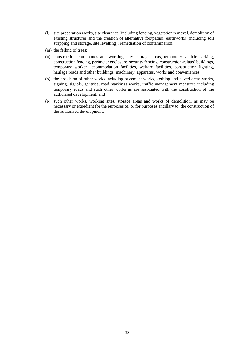- (l) site preparation works, site clearance (including fencing, vegetation removal, demolition of existing structures and the creation of alternative footpaths); earthworks (including soil stripping and storage, site levelling); remediation of contamination;
- (m) the felling of trees;
- (n) construction compounds and working sites, storage areas, temporary vehicle parking, construction fencing, perimeter enclosure, security fencing, construction-related buildings, temporary worker accommodation facilities, welfare facilities, construction lighting, haulage roads and other buildings, machinery, apparatus, works and conveniences;
- (o) the provision of other works including pavement works, kerbing and paved areas works, signing, signals, gantries, road markings works, traffic management measures including temporary roads and such other works as are associated with the construction of the authorised development; and
- (p) such other works, working sites, storage areas and works of demolition, as may be necessary or expedient for the purposes of, or for purposes ancillary to, the construction of the authorised development.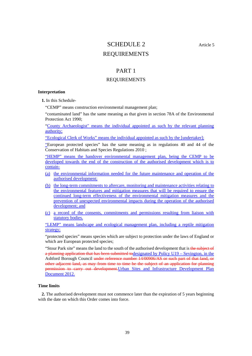# SCHEDULE 2 Article 5 REQUIREMENTS

### PART 1

### REQUIREMENTS

### **Interpretation**

**1.** In this Schedule-

"CEMP" means construction environmental management plan;

"contaminated land" has the same meaning as that given in section 78A of the Environmental Protection Act 1990;

"County Archaeologist" means the individual appointed as such by the relevant planning authority;

"Ecological Clerk of Works" means the individual appointed as such by the [undertaker];

"European protected species" has the same meaning as in regulations 40 and 44 of the Conservation of Habitats and Species Regulations 2010 ;

"HEMP" means the handover environmental management plan, being the CEMP to be developed towards the end of the construction of the authorised development which is to contain-

- (a) the environmental information needed for the future maintenance and operation of the authorised development;
- (b) the long-term commitments to aftercare, monitoring and maintenance activities relating to the environmental features and mitigation measures that will be required to ensure the continued long-term effectiveness of the environmental mitigation measures and the prevention of unexpected environmental impacts during the operation of the authorised development; and
- (c) a record of the consents, commitments and permissions resulting from liaison with statutory bodies.

"LEMP" means landscape and ecological management plan, including a reptile mitigation strategy;

"protected species" means species which are subject to protection under the laws of England or which are European protected species;

"Stour Park site" means the land to the south of the authorised development that is the subject of a planning application that has been submitted todesignated by Policy U19 – Sevington, in the Ashford Borough Council under reference number 14/00906/AS or such part of that land, or other adjacent land, as may from time to time be the subject of an application for planning permission to carry out development.Urban Sites and Infrastructure Development Plan Document 2012.

### **Time limits**

**2.** The authorised development must not commence later than the expiration of 5 years beginning with the date on which this Order comes into force.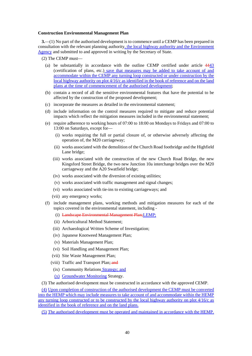#### **Construction Environmental Management Plan**

**3.**—(1) No part of the authorised development is to commence until a CEMP has been prepared in consultation with the relevant planning authority, the local highway authority and the Environment Agency and submitted to and approved in writing by the Secretary of State.

(2) The CEMP must—

- (a) be substantially in accordance with the outline CEMP certified under article 4443 (certification of plans, etc.) save that measures may be added to take account of and accommodate within the CEMP any turning loop constructed or under construction by the local highway authority on plot 4/16/c as identified in the book of reference and on the land plans at the time of commencement of the authorised development;
- (b) contain a record of all the sensitive environmental features that have the potential to be affected by the construction of the proposed development;
- (c) incorporate the measures as detailed in the environmental statement;
- (d) include information on the control measures required to mitigate and reduce potential impacts which reflect the mitigation measures included in the environmental statement;
- (e) require adherence to working hours of 07:00 to 18:00 on Mondays to Fridays and 07:00 to 13:00 on Saturdays, except for—
	- (i) works requiring the full or partial closure of, or otherwise adversely affecting the operation of, the M20 carriageway;
	- (ii) works associated with the demolition of the Church Road footbridge and the Highfield Lane bridge;
	- (iii) works associated with the construction of the new Church Road Bridge, the new Kingsford Street Bridge, the two new Junction 10a interchange bridges over the M20 carriageway and the A20 Swatfield bridge;
	- (iv) works associated with the diversion of existing utilities;
	- (v) works associated with traffic management and signal changes;
	- (vi) works associated with tie-ins to existing carriageways; and
	- (vii) any emergency works;
- (f) include management plans, working methods and mitigation measures for each of the topics covered in the environmental statement, including -
	- (i) Landscape Environmental Management Plan;LEMP;
	- (ii) Arboricultural Method Statement;
	- (iii) Archaeological Written Scheme of Investigation;
	- (iv) Japanese Knotweed Management Plan;
	- (v) Materials Management Plan;
	- (vi) Soil Handling and Management Plan;
	- (vii) Site Waste Management Plan;
	- (viii) Traffic and Transport Plan; and
	- (ix) Community Relations Strategy; and
	- (x) Groundwater Monitoring Strategy.

(3) The authorised development must be constructed in accordance with the approved CEMP.

(4) Upon completion of construction of the authorised development the CEMP must be converted into the HEMP which may include measures to take account of and accommodate within the HEMP any turning loop constructed or to be constructed by the local highway authority on plot 4/16/c as identified in the book of reference and on the land plans.

(5) The authorised development must be operated and maintained in accordance with the HEMP.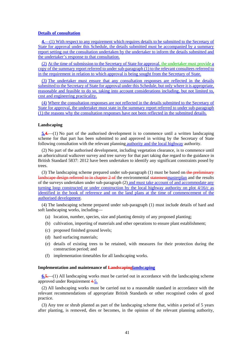#### **Details of consultation**

**4.**—(1) With respect to any requirement which requires details to be submitted to the Secretary of State for approval under this Schedule, the details submitted must be accompanied by a summary report setting out the consultation undertaken by the undertaker to inform the details submitted and the undertaker's response to that consultation.

(2) At the time of submission to the Secretary of State for approval, the undertaker must provide a copy of the summary report referred to under sub-paragraph (1) to the relevant consultees referred to in the requirement in relation to which approval is being sought from the Secretary of State.

(3) The undertaker must ensure that any consultation responses are reflected in the details submitted to the Secretary of State for approval under this Schedule, but only where it is appropriate, reasonable and feasible to do so, taking into account considerations including, but not limited to, cost and engineering practicality.

(4) Where the consultation responses are not reflected in the details submitted to the Secretary of State for approval, the undertaker must state in the summary report referred to under sub-paragraph (1) the reasons why the consultation responses have not been reflected in the submitted details.

#### **Landscaping**

**5.4.**—(1) No part of the authorised development is to commence until a written landscaping scheme for that part has been submitted to and approved in writing by the Secretary of State following consultation with the relevant planning authority and the local highway authority.

(2) No part of the authorised development, including vegetation clearance, is to commence until an arboricultural walkover survey and tree survey for that part taking due regard to the guidance in British Standard 5837: 2012 have been undertaken to identify any significant constraints posed by trees.

(3) The landscaping scheme prepared under sub-paragraph  $(1)$  must be based on-the preliminary landscape design referred to in chapter 2 of the environmental statement masterplan and the results of the surveys undertaken under sub-paragraph (2) and must take account of and accommodate any turning loop constructed or under construction by the local highway authority on plot 4/16/c as identified in the book of reference and on the land plans at the time of commencement of the authorised development.

(4) The landscaping scheme prepared under sub-paragraph (1) must include details of hard and soft landscaping works, including—

- (a) location, number, species, size and planting density of any proposed planting;
- (b) cultivation, importing of materials and other operations to ensure plant establishment;
- (c) proposed finished ground levels;
- (d) hard surfacing materials;
- (e) details of existing trees to be retained, with measures for their protection during the construction period; and
- (f) implementation timetables for all landscaping works.

#### **Implementation and maintenance of Landscapinglandscaping**

**6.5.**—(1) All landscaping works must be carried out in accordance with the landscaping scheme approved under Requirement 4.5.

(2) All landscaping works must be carried out to a reasonable standard in accordance with the relevant recommendations of appropriate British Standards or other recognised codes of good practice.

(3) Any tree or shrub planted as part of the landscaping scheme that, within a period of 5 years after planting, is removed, dies or becomes, in the opinion of the relevant planning authority,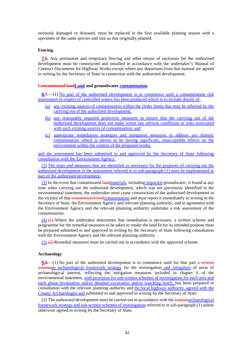seriously damaged or diseased, must be replaced in the first available planting season with a specimen of the same species and size as that originally planted.

#### **Fencing**

**7.6.** Any permanent and temporary fencing and other means of enclosure for the authorised development must be constructed and installed in accordance with the undertaker's Manual of Contract Documents for Highway Works except where any departures from that manual are agreed in writing by the Secretary of State in connection with the authorised development.

### **Contaminated landLand and groundwater contamination**

**8.7.**—(1) No part of the authorised development is to commence until a contamination risk assessment in respect of controlled waters has been produced which is to include details of-

- (a) any existing sources of contamination within the Order limits that may be affected by the carrying out of the authorised development;
- (b) any reasonably required protective measures to ensure that the carrying out of the authorised development does not make worse any adverse conditions or risks associated with such existing sources of contamination; and
- (c) appropriate remediation strategies and mitigation measures to address any historic contamination which is shown to be having significant, unacceptable effects on the environment within the context of the proposed works,

and the assessment has been submitted to and approved by the Secretary of State following consultation with the Environment Agency.

(2) The steps and measures that are identified as necessary for the purposes of carrying out the authorised development in the assessment referred to in sub-paragraph (1) must be implemented as part of the authorised development.

(3) In the event that contaminated landmaterials, including impacted groundwater, is found at any time when carrying out the authorised development, which was not previously identified in the environmental statement, the undertaker must cease construction of the authorised development in the vicinity of that contaminated landcontamination and must report it immediately in writing to the Secretary of State, the Environment Agency and relevant planning authority, and in agreement with the Environment Agency and the relevant planning authority undertake a risk assessment of the contamination.

 $(4)$   $(4)$  Where the undertaker determines that remediation is necessary, a written scheme and programme for the remedial measures to be taken to render the land fit for its intended purpose must be prepared submitted to and approved in writing by the Secretary of State following consultation with the Environment Agency and the relevant planning authority.

 $(5)$   $(2)$  Remedial measures must be carried out in accordance with the approved scheme.

### **Archaeology**

**9.8.**—(1) No part of the authorised development is to commence until for that part a written schemean archaeological framework strategy for the investigation and mitigation of areas of archaeological interest, reflecting the mitigation measures included in chapter 6 of the environmental statement, with provision for sub-written schemes of investigation for each area and each phase (evaluation and/or detailed excavation and/or watching brief), has been prepared in consultation with the relevant planning authority and the local highway authority, agreed with the County Archaeologist and submitted to and approved in writing by the Secretary of State.

(2) The authorised development must be carried out in accordance with the sehemearchaeological framework strategy and sub-written schemes of investigation referred to in sub-paragraph (1) unless otherwise agreed in writing by the Secretary of State.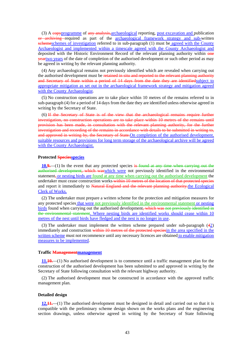(3) A copyprogramme of any analysis, archaeological reporting, post excavation and publication or archiving required as part of the **archaeological framework** strategy and sub-written schemeschemes of investigation referred to in sub-paragraph (1) must be agreed with the County Archaeologist and implemented within a timescale agreed with the County Archaeologist and deposited with the Historic Environment Record of the relevant planning authority within one yeartwo years of the date of completion of the authorised development or such other period as may be agreed in writing by the relevant planning authority.

(4) Any archaeological remains not previously identified which are revealed when carrying out the authorised development must be retained in situ and reported to the relevant planning authority and Secretary of State within a period of 14 days from the date they are identifiedsubject to appropriate mitigation as set out in the archaeological framework strategy and mitigation agreed with the County Archaeologist.

(5) No construction operations are to take place within 10 metres of the remains referred to in sub-paragraph (4) for a period of 14 days from the date they are identified unless otherwise agreed in writing by the Secretary of State.

(6) If the Secretary of State is of the view that the archaeological remains require further investigation, no construction operations are to take place within 10 metres of the remains until provision has been made, in consultation with the relevant planning authority, for the further investigation and recording of the remains in accordance with details to be submitted in writing to, and approved in writing by, the Secretary of State. On completion of the authorised development, suitable resources and provisions for long term storage of the archaeological archive will be agreed with the County Archaeologist.

### **Protected Speciesspecies**

**10.9.**—(1) In the event that any protected species is found at any time when carrying out the authorised development, which waswhich were not previously identified in the environmental statement, or nesting birds are found at any time when carrying out the authorised development the undertaker must cease construction works within 10 metres of the location of that protected species and report it immediately to Natural England and the relevant planning authority.the Ecological Clerk of Works.

(2) The undertaker must prepare a written scheme for the protection and mitigation measures for any protected species that were not previously identified in the environmental statement or nesting birds found when carrying out the authorised development, which was not previously identified in the environmental statement. Where nesting birds are identified works should cease within 10 metres of the nest until birds have fledged and the nest is no longer in use.

(3) The undertaker must implement the written scheme prepared under sub-paragraph (42) immediately and construction within 10 metres of the protected species in the area specified in the written scheme must not recommence until any necessary licences are obtained to enable mitigation measures to be implemented.

### **Traffic Managementmanagement**

**11.10.**—(1) No authorised development is to commence until a traffic management plan for the construction of the authorised development has been submitted to and approved in writing by the Secretary of State following consultation with the relevant highway authority.

(2) The authorised development must be constructed in accordance with the approved traffic management plan.

### **Detailed design**

**12.11.**—(1) The authorised development must be designed in detail and carried out so that it is compatible with the preliminary scheme design shown on the works plans and the engineering section drawings, unless otherwise agreed in writing by the Secretary of State following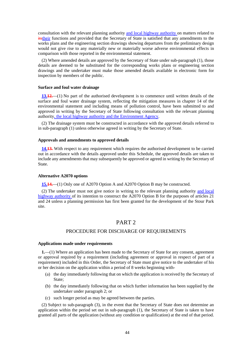consultation with the relevant planning authority and local highway authority on matters related to itstheir functions and provided that the Secretary of State is satisfied that any amendments to the works plans and the engineering section drawings showing departures from the preliminary design would not give rise to any materially new or materially worse adverse environmental effects in comparison with those reported in the environmental statement.

(2) Where amended details are approved by the Secretary of State under sub-paragraph (1), those details are deemed to be substituted for the corresponding works plans or engineering section drawings and the undertaker must make those amended details available in electronic form for inspection by members of the public.

### **Surface and foul water drainage**

**13.12.**—(1) No part of the authorised development is to commence until written details of the surface and foul water drainage system, reflecting the mitigation measures in chapter 14 of the environmental statement and including means of pollution control, have been submitted to and approved in writing by the Secretary of State following consultation with the relevant planning authority, the local highway authority and the Environment Agency.

(2) The drainage system must be constructed in accordance with the approved details referred to in sub-paragraph (1) unless otherwise agreed in writing by the Secretary of State.

### **Approvals and amendments to approved details**

**14.13.** With respect to any requirement which requires the authorised development to be carried out in accordance with the details approved under this Schedule, the approved details are taken to include any amendments that may subsequently be approved or agreed in writing by the Secretary of State.

#### **Alternative A2070 options**

**15.14.**—(1) Only one of A2070 Option A and A2070 Option B may be constructed.

(2) The undertaker must not give notice in writing to the relevant planning authority and local highway authority of its intention to construct the A2070 Option B for the purposes of articles 21 and 24 unless a planning permission has first been granted for the development of the Stour Park site.

### PART 2

### PROCEDURE FOR DISCHARGE OF REQUIREMENTS

#### **Applications made under requirements**

**1.**—(1) Where an application has been made to the Secretary of State for any consent, agreement or approval required by a requirement (including agreement or approval in respect of part of a requirement) included in this Order, the Secretary of State must give notice to the undertaker of his or her decision on the application within a period of 8 weeks beginning with-

- (a) the day immediately following that on which the application is received by the Secretary of State;
- (b) the day immediately following that on which further information has been supplied by the undertaker under paragraph 2; or
- (c) such longer period as may be agreed between the parties.

(2) Subject to sub-paragraph (3), in the event that the Secretary of State does not determine an application within the period set out in sub-paragraph (1), the Secretary of State is taken to have granted all parts of the application (without any condition or qualification) at the end of that period.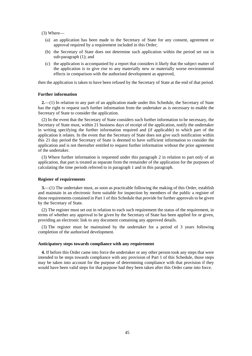(3) Where—

- (a) an application has been made to the Secretary of State for any consent, agreement or approval required by a requirement included in this Order;
- (b) the Secretary of State does not determine such application within the period set out in sub-paragraph (1); and
- (c) the application is accompanied by a report that considers it likely that the subject matter of the application is to give rise to any materially new or materially worse environmental effects in comparison with the authorised development as approved,

then the application is taken to have been refused by the Secretary of State at the end of that period.

#### **Further information**

**2.**—(1) In relation to any part of an application made under this Schedule, the Secretary of State has the right to request such further information from the undertaker as is necessary to enable the Secretary of State to consider the application.

(2) In the event that the Secretary of State considers such further information to be necessary, the Secretary of State must, within 21 business days of receipt of the application, notify the undertaker in writing specifying the further information required and (if applicable) to which part of the application it relates. In the event that the Secretary of State does not give such notification within this 21 day period the Secretary of State is deemed to have sufficient information to consider the application and is not thereafter entitled to request further information without the prior agreement of the undertaker.

(3) Where further information is requested under this paragraph 2 in relation to part only of an application, that part is treated as separate from the remainder of the application for the purposes of calculating the time periods referred to in paragraph 1 and in this paragraph.

#### **Register of requirements**

**3.**—(1) The undertaker must, as soon as practicable following the making of this Order, establish and maintain in an electronic form suitable for inspection by members of the public a register of those requirements contained in Part 1 of this Schedule that provide for further approvals to be given by the Secretary of State.

(2) The register must set out in relation to each such requirement the status of the requirement, in terms of whether any approval to be given by the Secretary of State has been applied for or given, providing an electronic link to any document containing any approved details.

(3) The register must be maintained by the undertaker for a period of 3 years following completion of the authorised development.

#### **Anticipatory steps towards compliance with any requirement**

**4.** If before this Order came into force the undertaker or any other person took any steps that were intended to be steps towards compliance with any provision of Part 1 of this Schedule, those steps may be taken into account for the purpose of determining compliance with that provision if they would have been valid steps for that purpose had they been taken after this Order came into force.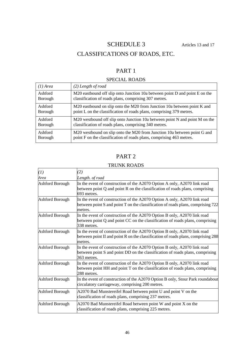# SCHEDULE 3 Articles 13 and 17

# CLASSIFICATIONS OF ROADS, ETC.

# PART 1

# SPECIAL ROADS

| $(1)$ Area | $(2)$ Length of road                                                        |
|------------|-----------------------------------------------------------------------------|
| Ashford    | M20 eastbound off slip onto Junction 10a between point D and point E on the |
| Borough    | classification of roads plans, comprising 307 metres.                       |
| Ashford    | M20 eastbound on slip onto the M20 from Junction 10a between point K and    |
| Borough    | point L on the classification of roads plans, comprising 379 metres.        |
| Ashford    | M20 westbound off slip onto Junction 10a between point N and point M on the |
| Borough    | classification of roads plans, comprising 340 metres.                       |
| Ashford    | M20 westbound on slip onto the M20 from Junction 10a between point G and    |
| Borough    | point F on the classification of roads plans, comprising 463 metres.        |

# PART 2

### TRUNK ROADS

| (1)                    | (2)                                                                                                                                                                         |
|------------------------|-----------------------------------------------------------------------------------------------------------------------------------------------------------------------------|
| Area                   | Length. of road                                                                                                                                                             |
| Ashford Borough        | In the event of construction of the A2070 Option A only, A2070 link road<br>between point $Q$ and point $R$ on the classification of roads plans, comprising<br>693 metres. |
| Ashford Borough        | In the event of construction of the A2070 Option A only, A2070 link road<br>between point S and point T on the classification of roads plans, comprising 722<br>metres.     |
| Ashford Borough        | In the event of construction of the A2070 Option B only, A2070 link road<br>between point Q and point CC on the classification of roads plans, comprising<br>338 metres.    |
| Ashford Borough        | In the event of construction of the A2070 Option B only, A2070 link road<br>between point II and point R on the classification of roads plans, comprising 288<br>metres.    |
| Ashford Borough        | In the event of construction of the A2070 Option B only, A2070 link road<br>between point S and point DD on the classification of roads plans, comprising<br>363 metres.    |
| Ashford Borough        | In the event of construction of the A2070 Option B only, A2070 link road<br>between point HH and point T on the classification of roads plans, comprising<br>288 metres.    |
| Ashford Borough        | In the event of construction of the A2070 Option B only, Stour Park roundabout<br>circulatory carriageway, comprising 200 metres.                                           |
| Ashford Borough        | A2070 Bad Munstereifel Road between point U and point V on the<br>classification of roads plans, comprising 237 metres.                                                     |
| <b>Ashford Borough</b> | A2070 Bad Munstereifel Road between point W and point X on the<br>classification of roads plans, comprising 225 metres.                                                     |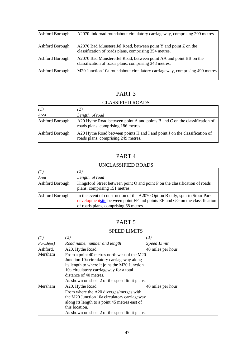| Ashford Borough | A2070 link road roundabout circulatory carriageway, comprising 200 metres.                                                 |
|-----------------|----------------------------------------------------------------------------------------------------------------------------|
| Ashford Borough | $A2070$ Bad Munstereifel Road, between point Y and point Z on the<br>classification of roads plans, comprising 354 metres. |
| Ashford Borough | A2070 Bad Munstereifel Road, between point AA and point BB on the<br>classification of roads plans, comprising 348 metres. |
| Ashford Borough | M20 Junction 10a roundabout circulatory carriageway, comprising 490 metres.                                                |

# CLASSIFIED ROADS

| (1)             |                                                                                                                     |
|-----------------|---------------------------------------------------------------------------------------------------------------------|
| Area            | Length. of road                                                                                                     |
| Ashford Borough | $A20$ Hythe Road between point A and points B and C on the classification of<br>roads plans, comprising 186 metres. |
| Ashford Borough | A 20 Hythe Road between points H and I and point J on the classification of<br>roads plans, comprising 249 metres.  |

# PART 4

### UNCLASSIFIED ROADS

| (I)             |                                                                                                                                                                                                     |
|-----------------|-----------------------------------------------------------------------------------------------------------------------------------------------------------------------------------------------------|
| Area            | Length. of road                                                                                                                                                                                     |
| Ashford Borough | Kingsford Street between point O and point P on the classification of roads<br>plans, comprising 151 metres.                                                                                        |
| Ashford Borough | In the event of construction of the A2070 Option B only, spur to Stour Park<br>developmentsite between point FF and points EE and GG on the classification<br>of roads plans, comprising 68 metres. |

# PART 5

# SPEED LIMITS

| (1)        | (2)                                                                                                                                                                                                                                                               | (3)               |
|------------|-------------------------------------------------------------------------------------------------------------------------------------------------------------------------------------------------------------------------------------------------------------------|-------------------|
| Parish(es) | Road name, number and length                                                                                                                                                                                                                                      | Speed Limit       |
| Ashford,   | A20, Hythe Road                                                                                                                                                                                                                                                   | 40 miles per hour |
| Mersham    | From a point 40 metres north west of the M20<br>Junction 10a circulatory carriageway along<br>its length to where it joins the M20 Junction<br>10a circulatory carriageway for a total<br>distance of 40 metres.<br>As shown on sheet 2 of the speed limit plans. |                   |
| Mersham    | A20, Hythe Road<br>From where the A20 diverges/merges with<br>the M20 Junction 10a circulatory carriageway<br>along its length to a point 45 metres east of<br>this location.<br>As shown on sheet 2 of the speed limit plans.                                    | 40 miles per hour |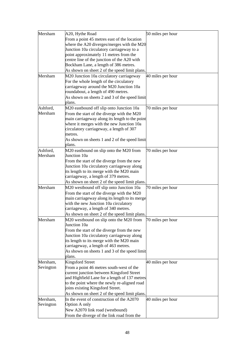| Mersham   | A20, Hythe Road                                                                   | 50 miles per hour |
|-----------|-----------------------------------------------------------------------------------|-------------------|
|           | From a point 45 metres east of the location                                       |                   |
|           | where the A20 diverges/merges with the M20                                        |                   |
|           | Junction 10a circulatory carriageway to a                                         |                   |
|           | point approximately 11 metres from the                                            |                   |
|           | centre line of the junction of the A20 with                                       |                   |
|           | Bockham Lane, a length of 386 metres.                                             |                   |
|           | As shown on sheet 2 of the speed limit plans.                                     |                   |
| Mersham   | M20 Junction 10a circulatory carriageway                                          | 40 miles per hour |
|           | For the whole length of the circulatory                                           |                   |
|           | carriageway around the M20 Junction 10a                                           |                   |
|           | roundabout, a length of 490 metres.                                               |                   |
|           | As shown on sheets 2 and 3 of the speed limit                                     |                   |
|           | plans.                                                                            |                   |
| Ashford,  | M20 eastbound off slip onto Junction 10a                                          | 70 miles per hour |
| Mersham   | From the start of the diverge with the M20                                        |                   |
|           | main carriageway along its length to the point                                    |                   |
|           | where it merges with the new Junction 10a                                         |                   |
|           | circulatory carriageway, a length of 307                                          |                   |
|           | metres.                                                                           |                   |
|           | As shown on sheets 1 and 2 of the speed limit                                     |                   |
|           | plans.                                                                            |                   |
| Ashford,  | M20 eastbound on slip onto the M20 from                                           | 70 miles per hour |
| Mersham   | Junction 10a                                                                      |                   |
|           | From the start of the diverge from the new                                        |                   |
|           | Junction 10a circulatory carriageway along                                        |                   |
|           | its length to its merge with the M20 main<br>carriageway, a length of 379 metres. |                   |
|           | As shown on sheet 2 of the speed limit plans.                                     |                   |
| Mersham   | M20 westbound off slip onto Junction 10a                                          | 70 miles per hour |
|           | From the start of the diverge with the M20                                        |                   |
|           | main carriageway along its length to its merge                                    |                   |
|           | with the new Junction 10a circulatory                                             |                   |
|           | carriageway, a length of 340 metres.                                              |                   |
|           | As shown on sheet 2 of the speed limit plans.                                     |                   |
| Mersham   | M20 westbound on slip onto the M20 from                                           | 70 miles per hour |
|           | Junction 10a                                                                      |                   |
|           | From the start of the diverge from the new                                        |                   |
|           | Junction 10a circulatory carriageway along                                        |                   |
|           | its length to its merge with the M20 main                                         |                   |
|           | carriageway, a length of 463 metres.                                              |                   |
|           | As shown on sheets 1 and 3 of the speed limit                                     |                   |
|           | plans.                                                                            |                   |
| Mersham,  | <b>Kingsford Street</b>                                                           | 40 miles per hour |
| Sevington | From a point 46 metres south-west of the                                          |                   |
|           | current junction between Kingsford Street                                         |                   |
|           | and Highfield Lane for a length of 137 metres                                     |                   |
|           | to the point where the newly re-aligned road                                      |                   |
|           | joins existing Kingsford Street.                                                  |                   |
|           | As shown on sheet 2 of the speed limit plans.                                     |                   |
| Mersham,  | In the event of construction of the A2070                                         | 40 miles per hour |
| Sevington | Option A only                                                                     |                   |
|           | New A2070 link road (westbound)                                                   |                   |
|           | From the diverge of the link road from the                                        |                   |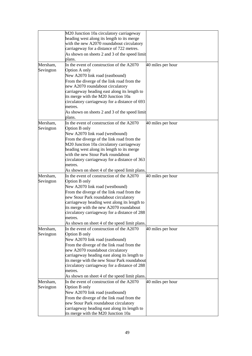|           | M20 Junction 10a circulatory carriageway                                             |                   |
|-----------|--------------------------------------------------------------------------------------|-------------------|
|           | heading west along its length to its merge                                           |                   |
|           | with the new A2070 roundabout circulatory                                            |                   |
|           | carriageway for a distance of 722 metres.                                            |                   |
|           | As shown on sheets 2 and 3 of the speed limit                                        |                   |
|           | plans.                                                                               |                   |
| Mersham,  | In the event of construction of the A2070                                            | 40 miles per hour |
| Sevington | Option A only                                                                        |                   |
|           | New A2070 link road (eastbound)                                                      |                   |
|           | From the diverge of the link road from the                                           |                   |
|           | new A2070 roundabout circulatory                                                     |                   |
|           | carriageway heading east along its length to                                         |                   |
|           | its merge with the M20 Junction 10a<br>circulatory carriageway for a distance of 693 |                   |
|           | metres.                                                                              |                   |
|           | As shown on sheets 2 and 3 of the speed limit                                        |                   |
|           | plans.                                                                               |                   |
| Mersham,  | In the event of construction of the A2070                                            | 40 miles per hour |
| Sevington | Option B only                                                                        |                   |
|           | New A2070 link road (westbound)                                                      |                   |
|           | From the diverge of the link road from the                                           |                   |
|           | M20 Junction 10a circulatory carriageway                                             |                   |
|           | heading west along its length to its merge                                           |                   |
|           | with the new Stour Park roundabout                                                   |                   |
|           | circulatory carriageway for a distance of 363                                        |                   |
|           | metres.                                                                              |                   |
|           | As shown on sheet 4 of the speed limit plans.                                        |                   |
| Mersham,  | In the event of construction of the A2070                                            | 40 miles per hour |
| Sevington | Option B only                                                                        |                   |
|           | New A2070 link road (westbound)                                                      |                   |
|           | From the diverge of the link road from the                                           |                   |
|           | new Stour Park roundabout circulatory                                                |                   |
|           | carriageway heading west along its length to                                         |                   |
|           | its merge with the new A2070 roundabout                                              |                   |
|           | circulatory carriageway for a distance of 288                                        |                   |
|           | metres.                                                                              |                   |
|           | As shown on sheet 4 of the speed limit plans.                                        |                   |
| Mersham,  | In the event of construction of the A2070                                            | 40 miles per hour |
| Sevington | Option B only                                                                        |                   |
|           | New A2070 link road (eastbound)                                                      |                   |
|           | From the diverge of the link road from the                                           |                   |
|           | new A2070 roundabout circulatory                                                     |                   |
|           | carriageway heading east along its length to                                         |                   |
|           | its merge with the new Stour Park roundabout                                         |                   |
|           | circulatory carriageway for a distance of 288                                        |                   |
|           | metres.                                                                              |                   |
|           | As shown on sheet 4 of the speed limit plans.                                        |                   |
| Mersham,  | In the event of construction of the A2070                                            | 40 miles per hour |
| Sevington | Option B only                                                                        |                   |
|           | New A2070 link road (eastbound)                                                      |                   |
|           | From the diverge of the link road from the                                           |                   |
|           | new Stour Park roundabout circulatory                                                |                   |
|           | carriageway heading east along its length to                                         |                   |
|           | its merge with the M20 Junction 10a                                                  |                   |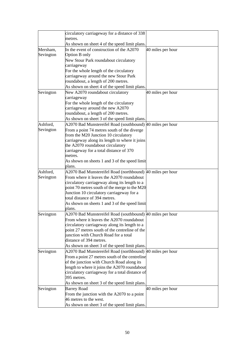|           | circulatory carriageway for a distance of 338<br>metres.                   |                   |
|-----------|----------------------------------------------------------------------------|-------------------|
|           | As shown on sheet 4 of the speed limit plans.                              |                   |
| Mersham,  | In the event of construction of the A2070                                  | 40 miles per hour |
| Sevington | Option B only                                                              |                   |
|           | New Stour Park roundabout circulatory                                      |                   |
|           | carriageway                                                                |                   |
|           | For the whole length of the circulatory                                    |                   |
|           | carriageway around the new Stour Park                                      |                   |
|           | roundabout, a length of 200 metres.                                        |                   |
|           | As shown on sheet 4 of the speed limit plans.                              |                   |
| Sevington | New A2070 roundabout circulatory                                           | 40 miles per hour |
|           | carriageway                                                                |                   |
|           | For the whole length of the circulatory                                    |                   |
|           | carriageway around the new A2070                                           |                   |
|           | roundabout, a length of 200 metres.                                        |                   |
|           | As shown on sheet 3 of the speed limit plans.                              |                   |
| Ashford,  | A2070 Bad Munstereifel Road (southbound) 40 miles per hour                 |                   |
| Sevington | From a point 74 metres south of the diverge                                |                   |
|           | from the M20 Junction 10 circulatory                                       |                   |
|           | carriageway along its length to where it joins                             |                   |
|           | the A2070 roundabout circulatory                                           |                   |
|           | carriageway for a total distance of 370                                    |                   |
|           | metres.                                                                    |                   |
|           | As shown on sheets 1 and 3 of the speed limit                              |                   |
|           | plans.                                                                     |                   |
| Ashford,  | A2070 Bad Munstereifel Road (northbound) 40 miles per hour                 |                   |
| Sevington | From where it leaves the A2070 roundabout                                  |                   |
|           | circulatory carriageway along its length to a                              |                   |
|           | point 70 metres south of the merge to the M20                              |                   |
|           | Junction 10 circulatory carriageway for a<br>total distance of 394 metres. |                   |
|           |                                                                            |                   |
|           | As shown on sheets 1 and 3 of the speed limit<br>plans.                    |                   |
|           | A2070 Bad Munstereifel Road (southbound) 40 miles per hour                 |                   |
| Sevington | From where it leaves the A2070 roundabout                                  |                   |
|           | circulatory carriageway along its length to a                              |                   |
|           | point 27 metres south of the centreline of the                             |                   |
|           | junction with Church Road for a total                                      |                   |
|           | distance of 394 metres.                                                    |                   |
|           | As shown on sheet 3 of the speed limit plans.                              |                   |
| Sevington | A2070 Bad Munstereifel Road (northbound) 40 miles per hour                 |                   |
|           | From a point 27 metres south of the centreline                             |                   |
|           | of the junction with Church Road along its                                 |                   |
|           | length to where it joins the A2070 roundabout                              |                   |
|           | circulatory carriageway for a total distance of                            |                   |
|           | 395 metres.                                                                |                   |
|           | As shown on sheet 3 of the speed limit plans.                              |                   |
| Sevington | <b>Barrey Road</b>                                                         | 40 miles per hour |
|           | From the junction with the A2070 to a point                                |                   |
|           | 46 metres to the west.                                                     |                   |
|           | As shown on sheet 3 of the speed limit plans.                              |                   |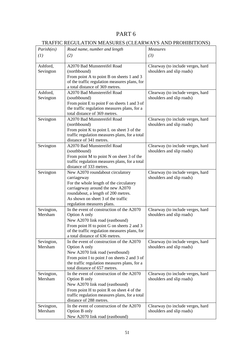# TRAFFIC REGULATION MEASURES (CLEARWAYS AND PROHIBITIONS)

|                       | IN THE REGULATION MEADORED (CELAR WATER AND TROITEDITIONS) |                                   |
|-----------------------|------------------------------------------------------------|-----------------------------------|
| Parish(es)            | Measures<br>Road name, number and length                   |                                   |
| (1)                   | (2)                                                        | (3)                               |
|                       |                                                            |                                   |
| Ashford,              | A2070 Bad Munstereifel Road                                | Clearway (to include verges, hard |
| Sevington             | (northbound)                                               | shoulders and slip roads)         |
|                       | From point A to point B on sheets 1 and 3                  |                                   |
|                       | of the traffic regulation measures plans, for              |                                   |
|                       | a total distance of 369 metres.                            |                                   |
| Ashford,              | A2070 Bad Munstereifel Road                                | Clearway (to include verges, hard |
| Sevington             | (southbound)                                               | shoulders and slip roads)         |
|                       | From point E to point F on sheets 1 and 3 of               |                                   |
|                       | the traffic regulation measures plans, for a               |                                   |
|                       | total distance of 369 metres.                              |                                   |
|                       |                                                            |                                   |
| Sevington             | A2070 Bad Munstereifel Road                                | Clearway (to include verges, hard |
|                       | (northbound)                                               | shoulders and slip roads)         |
|                       | From point K to point L on sheet 3 of the                  |                                   |
|                       | traffic regulation measures plans, for a total             |                                   |
|                       | distance of 341 metres.                                    |                                   |
| Sevington             | A2070 Bad Munstereifel Road                                | Clearway (to include verges, hard |
|                       | (southbound)                                               | shoulders and slip roads)         |
|                       | From point M to point N on sheet 3 of the                  |                                   |
|                       | traffic regulation measures plans, for a total             |                                   |
|                       | distance of 333 metres.                                    |                                   |
| Sevington             | New A2070 roundabout circulatory                           | Clearway (to include verges, hard |
|                       | carriageway                                                | shoulders and slip roads)         |
|                       | For the whole length of the circulatory                    |                                   |
|                       | carriageway around the new A2070                           |                                   |
|                       | roundabout, a length of 200 metres.                        |                                   |
|                       | As shown on sheet 3 of the traffic                         |                                   |
|                       | regulation measures plans.                                 |                                   |
|                       | In the event of construction of the A2070                  | Clearway (to include verges, hard |
| Sevington,<br>Mersham | Option A only                                              | shoulders and slip roads)         |
|                       |                                                            |                                   |
|                       | New A2070 link road (eastbound)                            |                                   |
|                       | From point H to point G on sheets 2 and 3                  |                                   |
|                       | of the traffic regulation measures plans, for              |                                   |
|                       | a total distance of 636 metres.                            |                                   |
| Sevington,            | In the event of construction of the A2070                  | Clearway (to include verges, hard |
| Mersham               | Option A only                                              | shoulders and slip roads)         |
|                       | New A2070 link road (westbound)                            |                                   |
|                       | From point I to point J on sheets 2 and 3 of               |                                   |
|                       | the traffic regulation measures plans, for a               |                                   |
|                       | total distance of 657 metres.                              |                                   |
| Sevington,            | In the event of construction of the A2070                  | Clearway (to include verges, hard |
| Mersham               | Option B only                                              | shoulders and slip roads)         |
|                       | New A2070 link road (eastbound)                            |                                   |
|                       | From point H to point R on sheet 4 of the                  |                                   |
|                       | traffic regulation measures plans, for a total             |                                   |
|                       | distance of 288 metres.                                    |                                   |
| Sevington,            | In the event of construction of the A2070                  | Clearway (to include verges, hard |
| Mersham               | Option B only                                              | shoulders and slip roads)         |
|                       | New A2070 link road (eastbound)                            |                                   |
|                       |                                                            |                                   |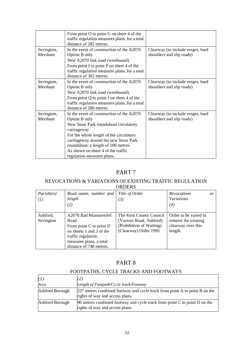|                       | From point O to point G on sheet 4 of the<br>traffic regulation measures plans, for a total<br>distance of 282 metres.                                                                                                                                                                                            |                                                                |
|-----------------------|-------------------------------------------------------------------------------------------------------------------------------------------------------------------------------------------------------------------------------------------------------------------------------------------------------------------|----------------------------------------------------------------|
| Sevington,<br>Mersham | In the event of construction of the A2070<br>Option B only<br>New A2070 link road (westbound)<br>From point I to point P on sheet 4 of the<br>traffic regulation measures plans, for a total<br>distance of 302 metres.                                                                                           | Clearway (to include verges, hard<br>shoulders and slip roads) |
| Sevington,<br>Mersham | In the event of construction of the A2070<br>Option B only<br>New A2070 link road (westbound)<br>From point $Q$ to point $J$ on sheet 4 of the<br>traffic regulation measures plans, for a total<br>distance of 288 metres.                                                                                       | Clearway (to include verges, hard<br>shoulders and slip roads) |
| Sevington,<br>Mersham | In the event of construction of the A2070<br>Option B only<br>New Stour Park roundabout circulatory<br>carriageway<br>For the whole length of the circulatory<br>carriageway around the new Stour Park<br>roundabout, a length of 200 metres.<br>As shown on sheet 4 of the traffic<br>regulation measures plans. | Clearway (to include verges, hard<br>shoulders and slip roads) |

### REVOCATIONS & VARIATIONS OF EXISTING TRAFFIC REGULATION ORDERS

| Parish(es)<br>(1)     | Road name, number and<br>length<br>(2)                                                                                                                            | Title of Order<br>(3)                                                                                   | <b>Revocations</b><br><i>Variations</i><br>(4)                                | or |
|-----------------------|-------------------------------------------------------------------------------------------------------------------------------------------------------------------|---------------------------------------------------------------------------------------------------------|-------------------------------------------------------------------------------|----|
| Ashford,<br>Sevington | A2070 Bad Munstereifel<br>Road<br>From point C to point D<br>on sheets 1 and 3 of the<br>traffic regulation<br>measures plans, a total<br>distance of 748 metres. | The Kent County Council<br>(Various Road, Ashford)<br>(Prohibition of Waiting)<br>(Clearway) Order 1995 | Order to be varied to<br>remove the existing<br>clearway over this<br>length. |    |

# PART 8

# FOOTPATHS, CYCLE TRACKS AND FOOTWAYS

| (I)             | <sup>2</sup>                                                                                                  |
|-----------------|---------------------------------------------------------------------------------------------------------------|
| Area            | Length of Footpath/Cycle track/Footway                                                                        |
| Ashford Borough | 337 metres combined footway and cycle track from point A to point B on the<br>rights of way and access plans. |
| Ashford Borough | 90 metres combined footway and cycle track from point C to point D on the<br>rights of way and access plans.  |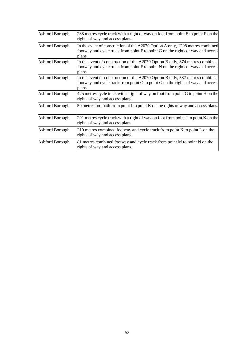| Ashford Borough | 288 metres cycle track with a right of way on foot from point E to point F on the<br>rights of way and access plans.                                                       |
|-----------------|----------------------------------------------------------------------------------------------------------------------------------------------------------------------------|
| Ashford Borough | In the event of construction of the A2070 Option A only, 1298 metres combined<br>footway and cycle track from point F to point G on the rights of way and access<br>plans. |
| Ashford Borough | In the event of construction of the A2070 Option B only, 874 metres combined<br>footway and cycle track from point F to point N on the rights of way and access<br>plans.  |
| Ashford Borough | In the event of construction of the A2070 Option B only, 537 metres combined<br>footway and cycle track from point O to point G on the rights of way and access<br>plans.  |
| Ashford Borough | 425 metres cycle track with a right of way on foot from point G to point H on the<br>rights of way and access plans.                                                       |
| Ashford Borough | 50 metres footpath from point I to point K on the rights of way and access plans.                                                                                          |
| Ashford Borough | 291 metres cycle track with a right of way on foot from point J to point K on the<br>rights of way and access plans.                                                       |
| Ashford Borough | 210 metres combined footway and cycle track from point K to point L on the<br>rights of way and access plans.                                                              |
| Ashford Borough | 81 metres combined footway and cycle track from point M to point N on the<br>rights of way and access plans.                                                               |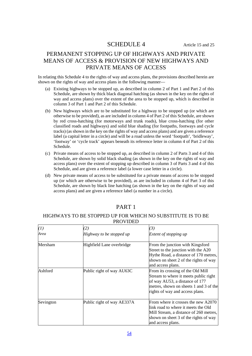### SCHEDULE 4 Article 15 and 25

# PERMANENT STOPPING UP OF HIGHWAYS AND PRIVATE MEANS OF ACCESS & PROVISION OF NEW HIGHWAYS AND PRIVATE MEANS OF ACCESS

In relating this Schedule 4 to the rights of way and access plans, the provisions described herein are shown on the rights of way and access plans in the following manner—

- (a) Existing highways to be stopped up, as described in column 2 of Part 1 and Part 2 of this Schedule, are shown by thick black diagonal hatching (as shown in the key on the rights of way and access plans) over the extent of the area to be stopped up, which is described in column 3 of Part 1 and Part 2 of this Schedule.
- (b) New highways which are to be substituted for a highway to be stopped up (or which are otherwise to be provided), as are included in column 4 of Part 2 of this Schedule, are shown by red cross-hatching (for motorways and trunk roads), blue cross-hatching (for other classified roads and highways) and solid blue shading (for footpaths, footways and cycle tracks) (as shown in the key on the rights of way and access plans) and are given a reference label (a capital letter in a circle) and will be a road unless the word 'footpath', 'bridleway', 'footway' or 'cycle track' appears beneath its reference letter in column 4 of Part 2 of this Schedule.
- (c) Private means of access to be stopped up, as described in column 2 of Parts 3 and 4 of this Schedule, are shown by solid black shading (as shown in the key on the rights of way and access plans) over the extent of stopping up described in column 3 of Parts 3 and 4 of this Schedule, and are given a reference label (a lower case letter in a circle).
- (d) New private means of access to be substituted for a private means of access to be stopped up (or which are otherwise to be provided), as are included in column 4 of Part 3 of this Schedule, are shown by black line hatching (as shown in the key on the rights of way and access plans) and are given a reference label (a number in a circle).

| (1)       | (2)                        | (3)                                                                                                                                                                                       |
|-----------|----------------------------|-------------------------------------------------------------------------------------------------------------------------------------------------------------------------------------------|
| Area      | Highway to be stopped up   | Extent of stopping up                                                                                                                                                                     |
| Mersham   | Highfield Lane overbridge  | From the junction with Kingsford<br>Street to the junction with the A20<br>Hythe Road, a distance of 170 metres,<br>shown on sheet 2 of the rights of way<br>and access plans.            |
| Ashford   | Public right of way AU63C  | From its crossing of the Old Mill<br>Stream to where it meets public right<br>of way AU53, a distance of 177<br>metres, shown on sheets 1 and 3 of the<br>rights of way and access plans. |
| Sevington | Public right of way AE337A | From where it crosses the new A2070<br>llink road to where it meets the Old<br>Mill Stream, a distance of 260 metres,<br>shown on sheet 3 of the rights of way<br>and access plans.       |

# PART 1

### HIGHWAYS TO BE STOPPED UP FOR WHICH NO SUBSTITUTE IS TO BE PROVIDED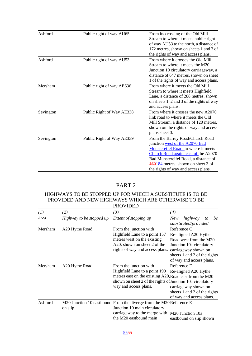| Ashford   | Public right of way AU65  | From its crossing of the Old Mill         |
|-----------|---------------------------|-------------------------------------------|
|           |                           | Stream to where it meets public right     |
|           |                           | of way AU53 to the north, a distance of   |
|           |                           | 172 metres, shown on sheets 1 and 3 of    |
|           |                           | the rights of way and access plans.       |
| Ashford   | Public right of way AU53  | From where it crosses the Old Mill        |
|           |                           | Stream to where it meets the M20          |
|           |                           | Junction 10 circulatory carriageway, a    |
|           |                           | distance of 647 metres, shown on sheet    |
|           |                           | 1 of the rights of way and access plans.  |
| Mersham   | Public right of way AE636 | From where it meets the Old Mill          |
|           |                           | Stream to where it meets Highfield        |
|           |                           | Lane, a distance of 288 metres, shown     |
|           |                           | on sheets 1, 2 and 3 of the rights of way |
|           |                           | and access plans.                         |
| Sevington | Public Right of Way AE338 | From where it crosses the new A2070       |
|           |                           | link road to where it meets the Old       |
|           |                           | Mill Stream, a distance of 120 metres,    |
|           |                           | shown on the rights of way and access     |
|           |                           | plans sheet 3.                            |
| Sevington | Public Right of Way AE339 | From the Barrey Road/Church Road          |
|           |                           | junction west of the A2070 Bad            |
|           |                           | Munstereifel Road to where it meets       |
|           |                           | Church Road again, east of the A2070      |
|           |                           | Bad Munstereifel Road, a distance of      |
|           |                           | 460184 metres, shown on sheet 3 of        |
|           |                           | the rights of way and access plans.       |

### HIGHWAYS TO BE STOPPED UP FOR WHICH A SUBSTITUTE IS TO BE PROVIDED AND NEW HIGHWAYS WHICH ARE OTHERWISE TO BE PROVIDED

| (1)     | (2)                      | (3)                                                                                                                                                                                                       | $\left( 4\right)$                                                                                                                                                             |
|---------|--------------------------|-----------------------------------------------------------------------------------------------------------------------------------------------------------------------------------------------------------|-------------------------------------------------------------------------------------------------------------------------------------------------------------------------------|
| Area    | Highway to be stopped up | Extent of stopping up                                                                                                                                                                                     | highway<br>New<br>be<br>to<br>substituted/provided                                                                                                                            |
| Mersham | A20 Hythe Road           | From the junction with<br>Highfield Lane to a point 157<br>metres west on the existing<br>A20, shown on sheet 2 of the<br>rights of way and access plans.                                                 | Reference C<br>Re-aligned A20 Hythe<br>Road west from the M20<br>Junction 10a circulatory<br>carriageway shown on<br>sheets 1 and 2 of the rights<br>of way and access plans. |
| Mersham | A20 Hythe Road           | From the junction with<br>Highfield Lane to a point 190<br>metres east on the existing A20, Road east from the M20<br>shown on sheet 2 of the rights of Junction 10a circulatory<br>way and access plans. | Reference D<br>Re-aligned A20 Hythe<br>carriageway shown on<br>sheets 1 and 2 of the rights<br>of way and access plans.                                                       |
| Ashford | on slip                  | M20 Junction 10 eastbound From the diverge from the M20Reference E<br>Junction 10 main circulatory<br>carriageway to the merge with<br>the M20 eastbound main                                             | M20 Junction 10a<br>eastbound on slip shown                                                                                                                                   |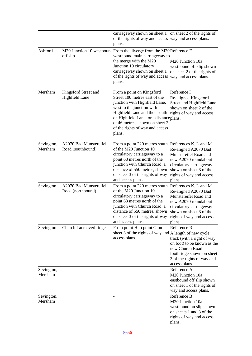|                       |                                               | carriageway shown on sheet 1<br>of the rights of way and access<br>plans.                                                                                                                                                                                                          | on sheet 2 of the rights of<br>way and access plans.                                                                                                                                       |
|-----------------------|-----------------------------------------------|------------------------------------------------------------------------------------------------------------------------------------------------------------------------------------------------------------------------------------------------------------------------------------|--------------------------------------------------------------------------------------------------------------------------------------------------------------------------------------------|
| Ashford               | off slip                                      | M20 Junction 10 westbound From the diverge from the M20 Reference F<br>westbound main carriageway to<br>the merge with the M20<br>Junction 10 circulatory<br>carriageway shown on sheet 1<br>of the rights of way and access<br>plans.                                             | M20 Junction 10a<br>westbound off slip shown<br>on sheet 2 of the rights of<br>way and access plans.                                                                                       |
| Mersham               | Kingsford Street and<br><b>Highfield Lane</b> | From a point on Kingsford<br>Street 100 metres east of the<br>junction with Highfield Lane,<br>west to the junction with<br>Highfield Lane and then south<br>on Highfield Lane for a distanceplans.<br>of 46 metres, shown on sheet 2<br>of the rights of way and access<br>plans. | Reference I<br>Re-aligned Kingsford<br>Street and Highfield Lane<br>shown on sheet 2 of the<br>rights of way and access                                                                    |
| Sevington,<br>Mersham | A2070 Bad Munstereifel<br>Road (southbound)   | From a point 220 metres south<br>of the M20 Junction 10<br>circulatory carriageway to a<br>point 68 metres north of the<br>junction with Church Road, a<br>distance of 550 metres, shown<br>on sheet 3 of the rights of way<br>and access plans.                                   | References K, L and M<br>Re-aligned A2070 Bad<br>Munstereifel Road and<br>new A2070 roundabout<br>circulatory carriageway<br>shown on sheet 3 of the<br>rights of way and access<br>plans. |
| Sevington             | A2070 Bad Munstereifel<br>Road (northbound)   | From a point 220 metres south<br>of the M20 Junction 10<br>circulatory carriageway to a<br>point 68 metres north of the<br>junction with Church Road, a<br>distance of 550 metres, shown<br>on sheet 3 of the rights of way<br>and access plans.                                   | References K, L and M<br>Re-aligned A2070 Bad<br>Munstereifel Road and<br>new A2070 roundabout<br>circulatory carriageway<br>shown on sheet 3 of the<br>rights of way and access<br>plans. |
| Sevington             | Church Lane overbridge                        | From point H to point G on<br>sheet 3 of the rights of way and $A$ length of new cycle<br>access plans.                                                                                                                                                                            | Reference R<br>track (with a right of way<br>on foot) to be known as the<br>new Church Road<br>footbridge shown on sheet<br>3 of the rights of way and<br>access plans.                    |
| Sevington,<br>Mersham |                                               |                                                                                                                                                                                                                                                                                    | Reference A<br>M20 Junction 10a<br>eastbound off slip shown<br>on sheet 1 of the rights of<br>way and access plans.                                                                        |
| Sevington,<br>Mersham |                                               |                                                                                                                                                                                                                                                                                    | Reference B<br>M20 Junction 10a<br>westbound on slip shown<br>on sheets 1 and 3 of the<br>rights of way and access<br>plans.                                                               |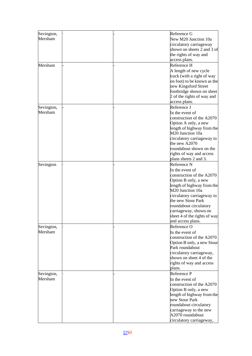| Sevington, |  | Reference G                                    |
|------------|--|------------------------------------------------|
| Mersham    |  | New M20 Junction 10a                           |
|            |  | circulatory carriageway                        |
|            |  | shown on sheets 2 and 3 of                     |
|            |  | the rights of way and                          |
|            |  | access plans.                                  |
| Mersham    |  | Reference H                                    |
|            |  | A length of new cycle                          |
|            |  | track (with a right of way                     |
|            |  | on foot) to be known as the                    |
|            |  | new Kingsford Street                           |
|            |  | footbridge shown on sheet                      |
|            |  | 2 of the rights of way and                     |
|            |  | access plans.                                  |
| Sevington, |  | Reference J                                    |
| Mersham    |  | In the event of                                |
|            |  | construction of the A2070                      |
|            |  |                                                |
|            |  | Option A only, a new                           |
|            |  | length of highway from the<br>M20 Junction 10a |
|            |  |                                                |
|            |  | circulatory carriageway to                     |
|            |  | the new A2070                                  |
|            |  | roundabout shown on the                        |
|            |  | rights of way and access                       |
|            |  | plans sheets 2 and 3.                          |
| Sevington  |  | Reference N                                    |
|            |  | In the event of                                |
|            |  | construction of the A2070                      |
|            |  | Option B only, a new                           |
|            |  | length of highway from the                     |
|            |  | M20 Junction 10a                               |
|            |  | circulatory carriageway to                     |
|            |  | the new Stour Park                             |
|            |  | roundabout circulatory                         |
|            |  | carriageway, shown on                          |
|            |  | sheet 4 of the rights of way                   |
|            |  | and access plans.                              |
| Sevington, |  | Reference O                                    |
| Mersham    |  | In the event of                                |
|            |  | construction of the A2070                      |
|            |  | Option B only, a new Stour                     |
|            |  | Park roundabout                                |
|            |  | circulatory carriageway,                       |
|            |  | shown on sheet 4 of the                        |
|            |  | rights of way and access                       |
|            |  | plans.                                         |
| Sevington, |  | Reference P                                    |
| Mersham    |  | In the event of                                |
|            |  | construction of the A2070                      |
|            |  | Option B only, a new                           |
|            |  | length of highway from the                     |
|            |  | new Stour Park                                 |
|            |  | roundabout circulatory                         |
|            |  |                                                |
|            |  | carriageway to the new<br>A2070 roundabout     |
|            |  |                                                |
|            |  | circulatory carriageway,                       |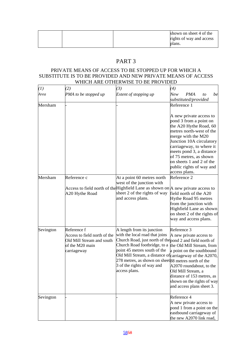|  | shown on sheet 4 of the  |
|--|--------------------------|
|  | rights of way and access |
|  | plans.                   |

### PRIVATE MEANS OF ACCESS TO BE STOPPED UP FOR WHICH A SUBSTITUTE IS TO BE PROVIDED AND NEW PRIVATE MEANS OF ACCESS WHICH ARE OTHERWISE TO BE PROVIDED

| (1)       | (2)                                                                                                        | (3)                                                                                                                                                                                                                                                                                                                                                         | (4)                                                                                                                                                                                                                                                                                                                                 |
|-----------|------------------------------------------------------------------------------------------------------------|-------------------------------------------------------------------------------------------------------------------------------------------------------------------------------------------------------------------------------------------------------------------------------------------------------------------------------------------------------------|-------------------------------------------------------------------------------------------------------------------------------------------------------------------------------------------------------------------------------------------------------------------------------------------------------------------------------------|
| Area      | PMA to be stopped up                                                                                       | Extent of stopping up                                                                                                                                                                                                                                                                                                                                       | New<br><b>PMA</b><br>be<br>to<br>substituted/provided                                                                                                                                                                                                                                                                               |
| Mersham   |                                                                                                            |                                                                                                                                                                                                                                                                                                                                                             | Reference 1<br>A new private access to<br>pond 3 from a point on<br>the A20 Hythe Road, 60<br>metres north-west of the<br>merge with the M20<br>Junction 10A circulatory<br>carriageway, to where it<br>meets pond 3, a distance<br>of 75 metres, as shown<br>on sheets 1 and 2 of the<br>public rights of way and<br>access plans. |
| Mersham   | Reference c<br>A20 Hythe Road                                                                              | At a point 60 metres north<br>west of the junction with<br>Access to field north of the Highfield Lane as shown on $A$ new private access to<br>sheet 2 of the rights of way<br>and access plans.                                                                                                                                                           | Reference 2<br>field north of the A20<br>Hythe Road 95 metres<br>from the junction with<br>Highfield Lane as shown<br>on sheet 2 of the rights of<br>way and access plans.                                                                                                                                                          |
| Sevington | Reference f<br>Access to field north of the<br>Old Mill Stream and south<br>of the M20 main<br>carriageway | A length from its junction<br>with the local road that joins<br>Church Road, just north of the pond 2 and field north of<br>Church Road footbridge, to a<br>point 45 metres south of the<br>Old Mill Stream, a distance of carriageway of the A2070,<br>278 metres, as shown on sheet 88 metres north of the<br>3 of the rights of way and<br>access plans. | Reference 3<br>A new private access to<br>the Old Mill Stream, from<br>a point on the southbound<br>A2070 roundabout, to the<br>Old Mill Stream, a<br>distance of 153 metres, as<br>shown on the rights of way<br>and access plans sheet 3.                                                                                         |
| Sevington |                                                                                                            |                                                                                                                                                                                                                                                                                                                                                             | Reference 4<br>A new private access to<br>pond 1 from a point on the<br>eastbound carriageway of<br>the new A2070 link road,                                                                                                                                                                                                        |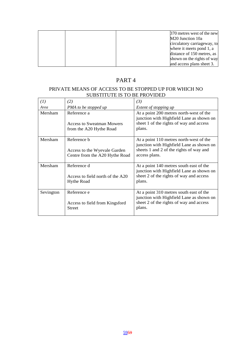|  | 370 metres west of the new   |
|--|------------------------------|
|  | M <sub>20</sub> Junction 10a |
|  | circulatory carriageway, to  |
|  | where it meets pond 1, a     |
|  | distance of 150 metres, as   |
|  | shown on the rights of way   |
|  | and access plans sheet 3.    |

### PRIVATE MEANS OF ACCESS TO BE STOPPED UP FOR WHICH NO SUBSTITUTE IS TO BE PROVIDED

| (1)       | (2)                                                                           | (3)                                                                                                                                             |
|-----------|-------------------------------------------------------------------------------|-------------------------------------------------------------------------------------------------------------------------------------------------|
| Area      | PMA to be stopped up                                                          | Extent of stopping up                                                                                                                           |
| Mersham   | Reference a<br><b>Access to Sweatman Mowers</b><br>from the A20 Hythe Road    | At a point 200 metres north-west of the<br>junction with Highfield Lane as shown on<br>sheet 1 of the rights of way and access<br>plans.        |
| Mersham   | Reference b<br>Access to the Wyevale Garden<br>Centre from the A20 Hythe Road | At a point 110 metres north-west of the<br>junction with Highfield Lane as shown on<br>sheets 1 and 2 of the rights of way and<br>access plans. |
| Mersham   | Reference d<br>Access to field north of the A20<br><b>Hythe Road</b>          | At a point 140 metres south east of the<br>junction with Highfield Lane as shown on<br>sheet 2 of the rights of way and access<br>plans.        |
| Sevington | Reference e<br>Access to field from Kingsford<br><b>Street</b>                | At a point 310 metres south east of the<br>junction with Highfield Lane as shown on<br>sheet 2 of the rights of way and access<br>plans.        |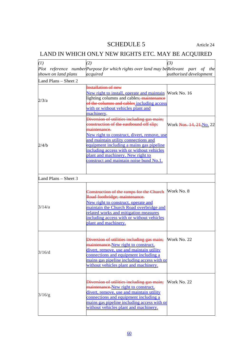# SCHEDULE 5 Article 24

# LAND IN WHICH ONLY NEW RIGHTS ETC. MAY BE ACQUIRED

| (1)                  | (2)                                                                                  | (3)                                  |
|----------------------|--------------------------------------------------------------------------------------|--------------------------------------|
|                      | Plot reference number Purpose for which rights over land may be Relevant part of the |                                      |
| shown on land plans  | acquired                                                                             | authorised development               |
| Land Plans - Sheet 2 |                                                                                      |                                      |
|                      | <b>Installation of new</b>                                                           |                                      |
|                      | New right to install, operate and maintain Work No. 16                               |                                      |
|                      | lighting columns and cables; maintenance                                             |                                      |
| 2/3/a                | of the columns and cables including access                                           |                                      |
|                      | with or without vehicles plant and                                                   |                                      |
|                      | machinery.                                                                           |                                      |
|                      | Diversion of utilities including gas main;                                           |                                      |
|                      | construction of the eastbound off slip;                                              | Work <del>Nos. 14, 21, No</del> . 22 |
|                      | maintenance.                                                                         |                                      |
|                      | <u>New right to construct, divert, remove, use</u>                                   |                                      |
|                      | and maintain utility connections and                                                 |                                      |
| 2/4/b                | equipment including a mains gas pipeline                                             |                                      |
|                      | including access with or without vehicles                                            |                                      |
|                      | plant and machinery. New right to                                                    |                                      |
|                      | construct and maintain noise bund No.1.                                              |                                      |
|                      |                                                                                      |                                      |
|                      |                                                                                      |                                      |
| Land Plans - Sheet 3 |                                                                                      |                                      |
|                      |                                                                                      |                                      |
|                      | Construction of the ramps for the Church                                             | Work No. 8                           |
|                      | Road footbridge; maintenance.                                                        |                                      |
|                      | New right to construct, operate and                                                  |                                      |
| 3/14/a               | maintain the Church Road overbridge and                                              |                                      |
|                      | related works and mitigation measures                                                |                                      |
|                      | including access with or without vehicles                                            |                                      |
|                      | plant and machinery.                                                                 |                                      |
|                      |                                                                                      |                                      |
|                      | Diversion of utilities including gas main;                                           | Work No. 22                          |
|                      | maintenance. New right to construct,                                                 |                                      |
|                      | divert, remove, use and maintain utility                                             |                                      |
| 3/16/d               | connections and equipment including a                                                |                                      |
|                      | mains gas pipeline including access with or                                          |                                      |
|                      | without vehicles plant and machinery.                                                |                                      |
|                      |                                                                                      |                                      |
|                      | Diversion of utilities including gas main;                                           | Work No. 22                          |
|                      | maintenance. New right to construct,                                                 |                                      |
|                      | divert, remove, use and maintain utility                                             |                                      |
| 3/16/g               | connections and equipment including a                                                |                                      |
|                      | mains gas pipeline including access with or                                          |                                      |
|                      | without vehicles plant and machinery.                                                |                                      |
|                      |                                                                                      |                                      |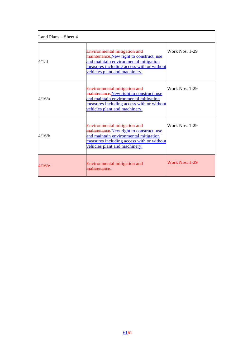| Land Plans – Sheet 4 |                                                                                                                                                                                                 |                |
|----------------------|-------------------------------------------------------------------------------------------------------------------------------------------------------------------------------------------------|----------------|
| 4/1/d                | Environmental mitigation and<br>maintenance. New right to construct, use<br>and maintain environmental mitigation<br>measures including access with or without<br>vehicles plant and machinery. | Work Nos. 1-29 |
| 4/16/a               | Environmental mitigation and<br>maintenance. New right to construct, use<br>and maintain environmental mitigation<br>measures including access with or without<br>vehicles plant and machinery. | Work Nos. 1-29 |
| 4/16/b               | Environmental mitigation and<br>maintenance. New right to construct, use<br>and maintain environmental mitigation<br>measures including access with or without<br>vehicles plant and machinery. | Work Nos. 1-29 |
| 4/16/e               | Environmental mitigation and                                                                                                                                                                    | Work Nos. 1-29 |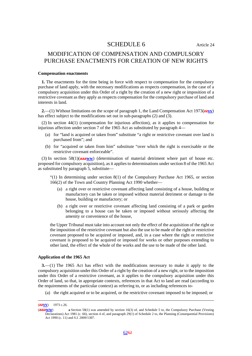### SCHEDULE 6 Article 24

# MODIFICATION OF COMPENSATION AND COMPULSORY PURCHASE ENACTMENTS FOR CREATION OF NEW RIGHTS

#### **Compensation enactments**

**1.** The enactments for the time being in force with respect to compensation for the compulsory purchase of land apply, with the necessary modifications as respects compensation, in the case of a compulsory acquisition under this Order of a right by the creation of a new right or imposition of a restrictive covenant as they apply as respects compensation for the compulsory purchase of land and interests in land.

**2.**—(1) Without limitations on the scope of paragraph 1, the Land Compensation Act 1973(**zzvv**) has effect subject to the modifications set out in sub-paragraphs (2) and (3).

(2) In section 44(1) (compensation for injurious affection), as it applies to compensation for injurious affection under section 7 of the 1965 Act as substituted by paragraph 4—

- (a) for "land is acquired or taken from" substitute "a right or restrictive covenant over land is purchased from"; and
- (b) for "acquired or taken from him" substitute "over which the right is exercisable or the restrictive covenant enforceable".

(3) In section 58(1)(**aaaww**) (determination of material detriment where part of house etc. proposed for compulsory acquisition), as it applies to determinations under section 8 of the 1965 Act as substituted by paragraph 5, substitute—

 $(1)$  In determining under section  $8(1)$  of the Compulsory Purchase Act 1965, or section 166(2) of the Town and Country Planning Act 1990 whether—

- (a) a right over or restrictive covenant affecting land consisting of a house, building or manufactory can be taken or imposed without material detriment or damage to the house, building or manufactory; or
- (b) a right over or restrictive covenant affecting land consisting of a park or garden belonging to a house can be taken or imposed without seriously affecting the amenity or convenience of the house,

the Upper Tribunal must take into account not only the effect of the acquisition of the right or the imposition of the restrictive covenant but also the use to be made of the right or restrictive covenant proposed to be acquired or imposed, and, in a case where the right or restrictive covenant is proposed to be acquired or imposed for works or other purposes extending to other land, the effect of the whole of the works and the use to be made of the other land.

### **Application of the 1965 Act**

**3.**—(1) The 1965 Act has effect with the modifications necessary to make it apply to the compulsory acquisition under this Order of a right by the creation of a new right, or to the imposition under this Order of a restrictive covenant, as it applies to the compulsory acquisition under this Order of land, so that, in appropriate contexts, references in that Act to land are read (according to the requirements of the particular context) as referring to, or as including references to-

(a) the right acquired or to be acquired, or the restrictive covenant imposed to be imposed; or

 <sup>(</sup>**zzvv**) 1973 c.26.

<sup>(</sup>**aaaww**) **a** Section 58(1) was amended by section 16(3) of, and Schedule 5 to, the Compulsory Purchase (Vesting Declarations) Act 1981 (c. 66), section 4 of, and paragraph 29(1) of Schedule 2 to, the Planning (Consequential Provisions) Act 1990 (c. 11) and S.I. 2009/1307.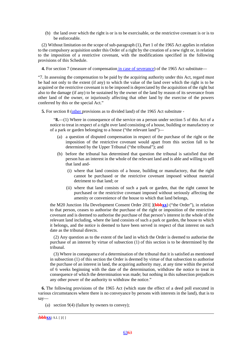(b) the land over which the right is or is to be exercisable, or the restrictive covenant is or is to be enforceable.

(2) Without limitation on the scope of sub-paragraph (1), Part 1 of the 1965 Act applies in relation to the compulsory acquisition under this Order of a right by the creation of a new right or, in relation to the imposition of a restrictive covenant, with the modifications specified in the following provisions of this Schedule.

**4.** For section 7 (measure of compensation in case of severance) of the 1965 Act substitute—

"7. In assessing the compensation to be paid by the acquiring authority under this Act, regard must be had not only to the extent (if any) to which the value of the land over which the right is to be acquired or the restrictive covenant is to be imposed is depreciated by the acquisition of the right but also to the damage (if any) to be sustained by the owner of the land by reason of its severance from other land of the owner, or injuriously affecting that other land by the exercise of the powers conferred by this or the special Act."

**5.** For section 8 (other provisions as to divided land) of the 1965 Act substitute -

"**8.**—(1) Where in consequence of the service on a person under section 5 of this Act of a notice to treat in respect of a right over land consisting of a house, building or manufactory or of a park or garden belonging to a house ("the relevant land")—

- (a) a question of disputed compensation in respect of the purchase of the right or the imposition of the restrictive covenant would apart from this section fall to be determined by the Upper Tribunal ("the tribunal"); and
- (b) before the tribunal has determined that question the tribunal is satisfied that the person has an interest in the whole of the relevant land and is able and willing to sell that land and-
	- (i) where that land consists of a house, building or manufactory, that the right cannot be purchased or the restrictive covenant imposed without material detriment to that land; or
	- (ii) where that land consists of such a park or garden, that the right cannot be purchased or the restrictive covenant imposed without seriously affecting the amenity or convenience of the house to which that land belongs,

the M20 Junction 10a Development Consent Order 201[ ](**bbbxx**) ("the Order"), in relation to that person, ceases to authorise the purchase of the right or imposition of the restrictive covenant and is deemed to authorise the purchase of that person's interest in the whole of the relevant land including, where the land consists of such a park or garden, the house to which it belongs, and the notice is deemed to have been served in respect of that interest on such date as the tribunal directs.

(2) Any question as to the extent of the land in which the Order is deemed to authorise the purchase of an interest by virtue of subsection (1) of this section is to be determined by the tribunal.

(3) Where in consequence of a determination of the tribunal that it is satisfied as mentioned in subsection (1) of this section the Order is deemed by virtue of that subsection to authorise the purchase of an interest in land, the acquiring authority may, at any time within the period of 6 weeks beginning with the date of the determination, withdraw the notice to treat in consequence of which the determination was made; but nothing in this subsection prejudices any other power of the authority to withdraw the notice."

**6.** The following provisions of the 1965 Act (which state the effect of a deed poll executed in various circumstances where there is no conveyance by persons with interests in the land), that is to say—

(a) section 9(4) (failure by owners to convey);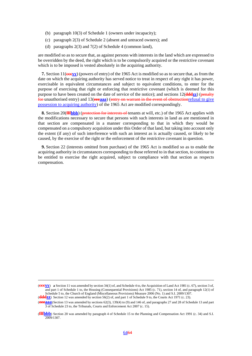- (b) paragraph 10(3) of Schedule 1 (owners under incapacity);
- (c) paragraph 2(3) of Schedule 2 (absent and untraced owners); and
- (d) paragraphs 2(3) and 7(2) of Schedule 4 (common land),

are modified so as to secure that, as against persons with interests in the land which are expressed to be overridden by the deed, the right which is to be compulsorily acquired or the restrictive covenant which is to be imposed is vested absolutely in the acquiring authority.

**7.** Section 11(**cccyy**) (powers of entry) of the 1965 Act is modified so as to secure that, as from the date on which the acquiring authority has served notice to treat in respect of any right it has power, exercisable in equivalent circumstances and subject to equivalent conditions, to enter for the purpose of exercising that right or enforcing that restrictive covenant (which is deemed for this purpose to have been created on the date of service of the notice); and sections 12(**dddzz**) (penalty for unauthorised entry) and 13(**eeeaaa**) (entry on warrant in the event of obstructionrefusal to give possession to acquiring authority) of the 1965 Act are modified correspondingly.

**8.** Section 20(**fffbbb**) (protection for interests of tenants at will, etc.) of the 1965 Act applies with the modifications necessary to secure that persons with such interests in land as are mentioned in that section are compensated in a manner corresponding to that in which they would be compensated on a compulsory acquisition under this Order of that land, but taking into account only the extent (if any) of such interference with such an interest as is actually caused, or likely to be caused, by the exercise of the right or the enforcement of the restrictive covenant in question.

**9.** Section 22 (interests omitted from purchase) of the 1965 Act is modified so as to enable the acquiring authority in circumstances corresponding to those referred to in that section, to continue to be entitled to exercise the right acquired, subject to compliance with that section as respects compensation.

 $\overline{a}$ 

<sup>(</sup>**cccyy**) **a** Section 11 was amended by section 34(1) of, and Schedule 4 to, the Acquisition of Land Act 1981 (c. 67), section 3 of, and part 1 of Schedule 1 to, the Housing (Consequential Provisions) Act 1985 (c. 71), section 14 of, and paragraph 12(1) of Schedule 5 to, the Church of England (Miscellaneous Provisions) Measure 2006 (No. 1) and S.I. 2009/1307.

<sup>(</sup>**dddzz**) Section 12 was amended by section 56(2) of, and part 1 of Schedule 9 to, the Courts Act 1971 (c. 23).

<sup>(</sup>**eeeaaa**) Section 13 was amended by sections 62(3), 139(4) to (9) and 146 of, and paragraphs 27 and 28 of Schedule 13 and part 3 of Schedule 23 to, the Tribunals, Courts and Enforcement Act 2007 (c. 15).

<sup>(</sup>**fffbbb**) Section 20 was amended by paragraph 4 of Schedule 15 to the Planning and Compensation Act 1991 (c. 34) and S.I. 2009/1307.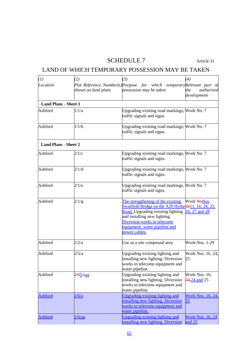# SCHEDULE 7 Article 31

# LAND OF WHICH TEMPORARY POSSESSION MAY BE TAKEN

| (1)                         | (2)                  | (3)                                                                                                                                                                                                                                                          | (4)                                        |
|-----------------------------|----------------------|--------------------------------------------------------------------------------------------------------------------------------------------------------------------------------------------------------------------------------------------------------------|--------------------------------------------|
| Location                    |                      | Plot Reference Number(s) Purpose for which temporary Relevant part of                                                                                                                                                                                        |                                            |
|                             | shown on land plans  | possession may be taken                                                                                                                                                                                                                                      | authorised<br>the<br>development           |
| <b>Land Plans - Sheet 1</b> |                      |                                                                                                                                                                                                                                                              |                                            |
| Ashford                     | 1/1/a                | Upgrading existing road markings, Work No. 7<br>traffic signals and signs.                                                                                                                                                                                   |                                            |
| Ashford                     | 1/1/b                | Upgrading existing road markings, Work No. 7<br>traffic signals and signs.                                                                                                                                                                                   |                                            |
| <b>Land Plans - Sheet 2</b> |                      |                                                                                                                                                                                                                                                              |                                            |
| Ashford                     | 2/1/c                | Upgrading existing road markings, Work No. 7<br>traffic signals and signs.                                                                                                                                                                                   |                                            |
| Ashford                     | 2/1/d                | Upgrading existing road markings, Work No. 7<br>traffic signals and signs.                                                                                                                                                                                   |                                            |
| Ashford                     | 2/1/e                | Upgrading existing road markings, Work No. 7<br>traffic signals and signs.                                                                                                                                                                                   |                                            |
| Ashford                     | 2/1/g                | The strengthening of the existing<br>Swatfield Bridge on the A20 Hythe 1611, 16, 24, 25,<br>Road. Upgrading existing lighting 26, 27 and 28<br>and installing new lighting.<br>Diversion works to telecoms<br>equipment, water pipeline and<br>power cables. | Work NoNos.                                |
| Ashford                     | 2/2/a                | Use as a site compound area.                                                                                                                                                                                                                                 | <b>Work Nos. 1-29</b>                      |
| Ashford                     | 2/5/a                | Upgrading existing lighting and<br>installing new lighting. Diversion<br>works to telecoms equipment and<br>water pipeline.                                                                                                                                  | Work Nos. 16, 24,<br>25                    |
| Ashford                     | 2/ <del>65/aaa</del> | Upgrading existing lighting and<br>installing new lighting. Diversion<br>works to telecoms equipment and<br>water pipeline.                                                                                                                                  | Work Nos. 16,<br>24,24 and 25              |
| Ashford                     | 2/6/a                | <b>Upgrading existing lighting and</b><br>installing new lighting. Diversion<br>works to telecoms equipment and<br>water pipeline.                                                                                                                           | <b>Work Nos. 16, 24.</b><br>$\frac{25}{2}$ |
| <b>Ashford</b>              | 2/6/aa               | Upgrading existing lighting and<br>installing new lighting. Diversion                                                                                                                                                                                        | <b>Work Nos. 16, 24</b><br>and $25$        |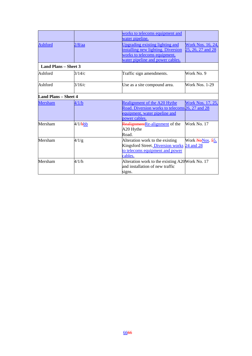|                             |            | works to telecoms equipment and<br>water pipeline.                                                                                                                                                |  |
|-----------------------------|------------|---------------------------------------------------------------------------------------------------------------------------------------------------------------------------------------------------|--|
| <b>Ashford</b>              | 2/8/aa     | <b>Upgrading existing lighting and</b><br><b>Work Nos. 16, 24,</b><br>installing new lighting. Diversion<br>25, 26, 27 and 28<br>works to telecoms equipment,<br>water pipeline and power cables. |  |
| <b>Land Plans - Sheet 3</b> |            |                                                                                                                                                                                                   |  |
| Ashford                     | 3/14/c     | Work No. 9<br>Traffic sign amendments.                                                                                                                                                            |  |
| Ashford                     | 3/16/c     | <b>Work Nos. 1-29</b><br>Use as a site compound area.                                                                                                                                             |  |
| <b>Land Plans - Sheet 4</b> |            |                                                                                                                                                                                                   |  |
| <b>Mersham</b>              | 4/1/b      | <b>Work Nos. 17, 25,</b><br>Realignment of the A20 Hythe<br>Road. Diversion works to telecoms 26, 27 and 28<br>equipment, water pipeline and<br>power cables.                                     |  |
| Mersham                     | $4/1/b$ bb | RealignmentRe-alignment of the<br>Work No. 17<br>A20 Hythe<br>Road.                                                                                                                               |  |
| Mersham                     | 4/1/g      | Alteration work to the existing<br>Work NoNos 55,<br>Kingsford Street. Diversion works<br>24 and 28<br>to telecoms equipment and power<br>cables.                                                 |  |
| Mersham                     | 4/1/h      | Alteration work to the existing A20Work No. 17<br>and installation of new traffic<br>signs.                                                                                                       |  |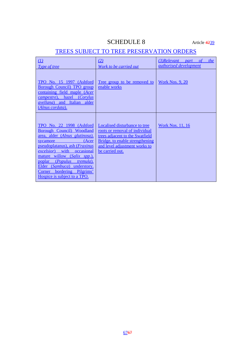# SCHEDULE 8 Article 4239

# TREES SUBJECT TO TREE PRESERVATION ORDERS

| $\varpi$<br>Type of tree                                                                                                                                                                                                                                                                                                                                                                                                                                                                                                                                                                               | (2)<br>Work to be carried out                                                                                                                                                             | $(3)$ Relevant part of<br>the<br><i>authorised development</i> |
|--------------------------------------------------------------------------------------------------------------------------------------------------------------------------------------------------------------------------------------------------------------------------------------------------------------------------------------------------------------------------------------------------------------------------------------------------------------------------------------------------------------------------------------------------------------------------------------------------------|-------------------------------------------------------------------------------------------------------------------------------------------------------------------------------------------|----------------------------------------------------------------|
| <b>TPO No. 15 1997 (Ashford</b><br>Borough Council) TPO group<br>containing field maple ( <i>Acer</i><br><i>campestre</i> ), hazel<br><i>Corylus</i><br><i>avellana</i> ) and Italian alder<br>(Alnus cordata).                                                                                                                                                                                                                                                                                                                                                                                        | <u>Tree group to be removed to</u><br>enable works                                                                                                                                        | <b>Work Nos. 9, 20</b>                                         |
| TPO No. 22 1998 (Ashford<br><b>Borough Council</b> ) Woodland<br>area, alder (Alnus glutinosa),<br>(Acer<br>sycamore and the system of the state of the system of the state of the state of the state of the state of the state of the state of the state of the state of the state of the state of the state of the state of the state of<br>pseudoplatanus), ash ( <i>Fraxinus</i><br><i>excelsior</i> ) with occasional<br>mature willow (Salix spp.).<br>poplar ( <i>Populus</i><br><i>tremula</i> ).<br>Elder (Sambuca) understory.<br>Corner bordering Pilgrims'<br>Hospice is subject to a TPO. | Localised disturbance to tree<br>roots or removal of individual<br>trees adjacent to the Swatfield<br>Bridge, to enable strengthening<br>and level adjustment works to<br>be carried out. | <b>Work Nos. 11, 16</b>                                        |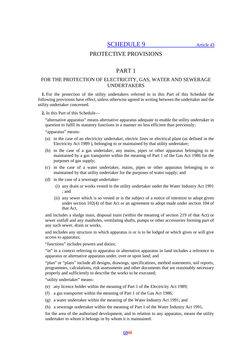SCHEDULE 9 Article 43

# PROTECTIVE PROVISIONS

# PART 1

## FOR THE PROTECTION OF ELECTRICITY, GAS, WATER AND SEWERAGE UNDERTAKERS

**1.** For the protection of the utility undertakers referred to in this Part of this Schedule the following provisions have effect, unless otherwise agreed in writing between the undertaker and the utility undertaker concerned.

**2.** In this Part of this Schedule—

"alternative apparatus" means alternative apparatus adequate to enable the utility undertaker in question to fulfil its statutory functions in a manner no less efficient than previously;

"apparatus" means-

- (a) in the case of an electricity undertaker, electric lines or electrical plant (as defined in the Electricity Act 1989 ), belonging to or maintained by that utility undertaker;
- (b) in the case of a gas undertaker, any mains, pipes or other apparatus belonging to or maintained by a gas transporter within the meaning of Part 1 of the Gas Act 1986 for the purposes of gas supply;
- (c) in the case of a water undertaker, mains, pipes or other apparatus belonging to or maintained by that utility undertaker for the purposes of water supply; and
- (d) in the case of a sewerage undertaker-
	- (i) any drain or works vested in the utility undertaker under the Water Industry Act 1991 ; and
	- (ii) any sewer which is so vested or is the subject of a notice of intention to adopt given under section 102(4) of that Act or an agreement to adopt made under section 104 of that Act,

and includes a sludge main, disposal main (within the meaning of section 219 of that Act) or sewer outfall and any manholes, ventilating shafts, pumps or other accessories forming part of any such sewer, drain or works,

and includes any structure in which apparatus is or is to be lodged or which gives or will give access to apparatus;

"functions" includes powers and duties;

"in" in a context referring to apparatus or alternative apparatus in land includes a reference to apparatus or alternative apparatus under, over or upon land; and

"plan" or "plans" include all designs, drawings, specifications, method statements, soil reports, programmes, calculations, risk assessments and other documents that are reasonably necessary properly and sufficiently to describe the works to be executed;

"utility undertaker" means-

- (e) any licence holder within the meaning of Part 1 of the Electricity Act 1989;
- (f) a gas transporter within the meaning of Part 1 of the Gas Act 1986;
- (g) a water undertaker within the meaning of the Water Industry Act 1991; and

(h) a sewerage undertaker within the meaning of Part 1 of the Water Industry Act 1991,

for the area of the authorised development, and in relation to any apparatus, means the utility undertaker to whom it belongs or by whom it is maintained.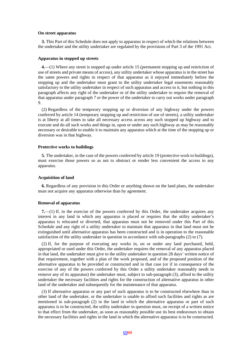#### **On street apparatus**

**3.** This Part of this Schedule does not apply to apparatus in respect of which the relations between the undertaker and the utility undertaker are regulated by the provisions of Part 3 of the 1991 Act.

#### **Apparatus in stopped up streets**

**4.**—(1) Where any street is stopped up under article 15 (permanent stopping up and restriction of use of streets and private means of access), any utility undertaker whose apparatus is in the street has the same powers and rights in respect of that apparatus as it enjoyed immediately before the stopping up and the undertaker must grant to the utility undertaker legal easements reasonably satisfactory to the utility undertaker in respect of such apparatus and access to it, but nothing in this paragraph affects any right of the undertaker or of the utility undertaker to require the removal of that apparatus under paragraph 7 or the power of the undertaker to carry out works under paragraph 9.

(2) Regardless of the temporary stopping up or diversion of any highway under the powers conferred by article 14 (temporary stopping up and restriction of use of streets), a utility undertaker is at liberty at all times to take all necessary access across any such stopped up highway and to execute and do all such works and things in, upon or under any such highway as may be reasonably necessary or desirable to enable it to maintain any apparatus which at the time of the stopping up or diversion was in that highway.

### **Protective works to buildings**

**5.** The undertaker, in the case of the powers conferred by article 19 (protective work to buildings), must exercise those powers so as not to obstruct or render less convenient the access to any apparatus.

#### **Acquisition of land**

**6.** Regardless of any provision in this Order or anything shown on the land plans, the undertaker must not acquire any apparatus otherwise than by agreement.

### **Removal of apparatus**

**7.**—(1) If, in the exercise of the powers conferred by this Order, the undertaker acquires any interest in any land in which any apparatus is placed or requires that the utility undertaker's apparatus is relocated or diverted, that apparatus must not be removed under this Part of this Schedule and any right of a utility undertaker to maintain that apparatus in that land must not be extinguished until alternative apparatus has been constructed and is in operation to the reasonable satisfaction of the utility undertaker in question in accordance with sub-paragraphs (2) to (7).

(2) If, for the purpose of executing any works in, on or under any land purchased, held, appropriated or used under this Order, the undertaker requires the removal of any apparatus placed in that land, the undertaker must give to the utility undertaker in question 28 days' written notice of that requirement, together with a plan of the work proposed, and of the proposed position of the alternative apparatus to be provided or constructed and in that case (or if in consequence of the exercise of any of the powers conferred by this Order a utility undertaker reasonably needs to remove any of its apparatus) the undertaker must, subject to sub-paragraph (3), afford to the utility undertaker the necessary facilities and rights for the construction of alternative apparatus in other land of the undertaker and subsequently for the maintenance of that apparatus.

(3) If alternative apparatus or any part of such apparatus is to be constructed elsewhere than in other land of the undertaker, or the undertaker is unable to afford such facilities and rights as are mentioned in sub-paragraph (2) in the land in which the alternative apparatus or part of such apparatus is to be constructed, the utility undertaker in question must, on receipt of a written notice to that effect from the undertaker, as soon as reasonably possible use its best endeavours to obtain the necessary facilities and rights in the land in which the alternative apparatus is to be constructed.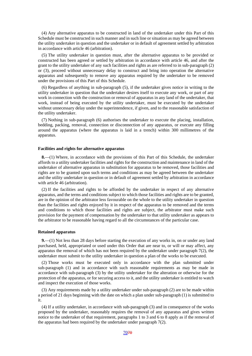(4) Any alternative apparatus to be constructed in land of the undertaker under this Part of this Schedule must be constructed in such manner and in such line or situation as may be agreed between the utility undertaker in question and the undertaker or in default of agreement settled by arbitration in accordance with article 46 (arbitration).

(5) The utility undertaker in question must, after the alternative apparatus to be provided or constructed has been agreed or settled by arbitration in accordance with article 46, and after the grant to the utility undertaker of any such facilities and rights as are referred to in sub-paragraph (2) or (3), proceed without unnecessary delay to construct and bring into operation the alternative apparatus and subsequently to remove any apparatus required by the undertaker to be removed under the provisions of this Part of this Schedule.

(6) Regardless of anything in sub-paragraph (5), if the undertaker gives notice in writing to the utility undertaker in question that the undertaker desires itself to execute any work, or part of any work in connection with the construction or removal of apparatus in any land of the undertaker, that work, instead of being executed by the utility undertaker, must be executed by the undertaker without unnecessary delay under the superintendence, if given, and to the reasonable satisfaction of the utility undertaker.

(7) Nothing in sub-paragraph (6) authorises the undertaker to execute the placing, installation, bedding, packing, removal, connection or disconnection of any apparatus, or execute any filling around the apparatus (where the apparatus is laid in a trench) within 300 millimetres of the apparatus.

#### **Facilities and rights for alternative apparatus**

**8.**—(1) Where, in accordance with the provisions of this Part of this Schedule, the undertaker affords to a utility undertaker facilities and rights for the construction and maintenance in land of the undertaker of alternative apparatus in substitution for apparatus to be removed, those facilities and rights are to be granted upon such terms and conditions as may be agreed between the undertaker and the utility undertaker in question or in default of agreement settled by arbitration in accordance with article 46 (arbitration).

(2) If the facilities and rights to be afforded by the undertaker in respect of any alternative apparatus, and the terms and conditions subject to which those facilities and rights are to be granted, are in the opinion of the arbitrator less favourable on the whole to the utility undertaker in question than the facilities and rights enjoyed by it in respect of the apparatus to be removed and the terms and conditions to which those facilities and rights are subject, the arbitrator must make such provision for the payment of compensation by the undertaker to that utility undertaker as appears to the arbitrator to be reasonable having regard to all the circumstances of the particular case.

#### **Retained apparatus**

**9.**—(1) Not less than 28 days before starting the execution of any works in, on or under any land purchased, held, appropriated or used under this Order that are near to, or will or may affect, any apparatus the removal of which has not been required by the undertaker under paragraph 7(2), the undertaker must submit to the utility undertaker in question a plan of the works to be executed.

(2) Those works must be executed only in accordance with the plan submitted under sub-paragraph (1) and in accordance with such reasonable requirements as may be made in accordance with sub-paragraph (3) by the utility undertaker for the alteration or otherwise for the protection of the apparatus, or for securing access to it, and the utility undertaker is entitled to watch and inspect the execution of those works.

(3) Any requirements made by a utility undertaker under sub-paragraph (2) are to be made within a period of 21 days beginning with the date on which a plan under sub-paragraph (1) is submitted to it.

(4) If a utility undertaker, in accordance with sub-paragraph (3) and in consequence of the works proposed by the undertaker, reasonably requires the removal of any apparatus and gives written notice to the undertaker of that requirement, paragraphs 1 to 3 and 6 to 8 apply as if the removal of the apparatus had been required by the undertaker under paragraph 7(2).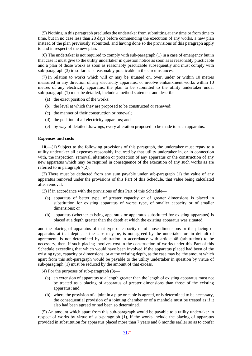(5) Nothing in this paragraph precludes the undertaker from submitting at any time or from time to time, but in no case less than 28 days before commencing the execution of any works, a new plan instead of the plan previously submitted, and having done so the provisions of this paragraph apply to and in respect of the new plan.

(6) The undertaker is not required to comply with sub-paragraph (1) in a case of emergency but in that case it must give to the utility undertaker in question notice as soon as is reasonably practicable and a plan of those works as soon as reasonably practicable subsequently and must comply with sub-paragraph (3) in so far as is reasonably practicable in the circumstances.

(7) In relation to works which will or may be situated on, over, under or within 10 metres measured in any direction of any electricity apparatus, or involve embankment works within 10 metres of any electricity apparatus, the plan to be submitted to the utility undertaker under sub-paragraph (1) must be detailed, include a method statement and describe—

- (a) the exact position of the works;
- (b) the level at which they are proposed to be constructed or renewed;
- (c) the manner of their construction or renewal;
- (d) the position of all electricity apparatus; and
- (e) by way of detailed drawings, every alteration proposed to be made to such apparatus.

#### **Expenses and costs**

**10.**—(1) Subject to the following provisions of this paragraph, the undertaker must repay to a utility undertaker all expenses reasonably incurred by that utility undertaker in, or in connection with, the inspection, removal, alteration or protection of any apparatus or the construction of any new apparatus which may be required in consequence of the execution of any such works as are referred to in paragraph 7(2).

(2) There must be deducted from any sum payable under sub-paragraph (1) the value of any apparatus removed under the provisions of this Part of this Schedule, that value being calculated after removal.

- (3) If in accordance with the provisions of this Part of this Schedule—
	- (a) apparatus of better type, of greater capacity or of greater dimensions is placed in substitution for existing apparatus of worse type, of smaller capacity or of smaller dimensions; or
	- (b) apparatus (whether existing apparatus or apparatus substituted for existing apparatus) is placed at a depth greater than the depth at which the existing apparatus was situated,

and the placing of apparatus of that type or capacity or of those dimensions or the placing of apparatus at that depth, as the case may be, is not agreed by the undertaker or, in default of agreement, is not determined by arbitration in accordance with article 46 (arbitration) to be necessary, then, if such placing involves cost in the construction of works under this Part of this Schedule exceeding that which would have been involved if the apparatus placed had been of the existing type, capacity or dimensions, or at the existing depth, as the case may be, the amount which apart from this sub-paragraph would be payable to the utility undertaker in question by virtue of sub-paragraph (1) must be reduced by the amount of that excess.

- (4) For the purposes of sub-paragraph (3)—
	- (a) an extension of apparatus to a length greater than the length of existing apparatus must not be treated as a placing of apparatus of greater dimensions than those of the existing apparatus; and
	- (b) where the provision of a joint in a pipe or cable is agreed, or is determined to be necessary, the consequential provision of a jointing chamber or of a manhole must be treated as if it also had been agreed or had been so determined.

(5) An amount which apart from this sub-paragraph would be payable to a utility undertaker in respect of works by virtue of sub-paragraph (1), if the works include the placing of apparatus provided in substitution for apparatus placed more than 7 years and 6 months earlier so as to confer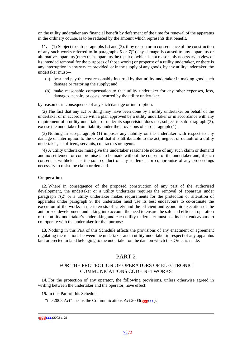on the utility undertaker any financial benefit by deferment of the time for renewal of the apparatus in the ordinary course, is to be reduced by the amount which represents that benefit.

**11.**—(1) Subject to sub-paragraphs (2) and (3), if by reason or in consequence of the construction of any such works referred to in paragraphs 5 or 7(2) any damage is caused to any apparatus or alternative apparatus (other than apparatus the repair of which is not reasonably necessary in view of its intended removal for the purposes of those works) or property of a utility undertaker, or there is any interruption in any service provided, or in the supply of any goods, by any utility undertaker, the undertaker must—

- (a) bear and pay the cost reasonably incurred by that utility undertaker in making good such damage or restoring the supply; and
- (b) make reasonable compensation to that utility undertaker for any other expenses, loss, damages, penalty or costs incurred by the utility undertaker,

by reason or in consequence of any such damage or interruption.

(2) The fact that any act or thing may have been done by a utility undertaker on behalf of the undertaker or in accordance with a plan approved by a utility undertaker or in accordance with any requirement of a utility undertaker or under its supervision does not, subject to sub-paragraph (3), excuse the undertaker from liability under the provisions of sub-paragraph (1).

(3) Nothing in sub-paragraph (1) imposes any liability on the undertaker with respect to any damage or interruption to the extent that it is attributable to the act, neglect or default of a utility undertaker, its officers, servants, contractors or agents.

(4) A utility undertaker must give the undertaker reasonable notice of any such claim or demand and no settlement or compromise is to be made without the consent of the undertaker and, if such consent is withheld, has the sole conduct of any settlement or compromise of any proceedings necessary to resist the claim or demand.

#### **Cooperation**

**12.** Where in consequence of the proposed construction of any part of the authorised development, the undertaker or a utility undertaker requires the removal of apparatus under paragraph 7(2) or a utility undertaker makes requirements for the protection or alteration of apparatus under paragraph 9, the undertaker must use its best endeavours to co-ordinate the execution of the works in the interests of safety and the efficient and economic execution of the authorised development and taking into account the need to ensure the safe and efficient operation of the utility undertaker's undertaking and each utility undertaker must use its best endeavours to co- operate with the undertaker for that purpose.

**13.** Nothing in this Part of this Schedule affects the provisions of any enactment or agreement regulating the relations between the undertaker and a utility undertaker in respect of any apparatus laid or erected in land belonging to the undertaker on the date on which this Order is made.

# PART 2

# FOR THE PROTECTION OF OPERATORS OF ELECTRONIC COMMUNICATIONS CODE NETWORKS

**14.** For the protection of any operator, the following provisions, unless otherwise agreed in writing between the undertaker and the operator, have effect.

**15.** In this Part of this Schedule—

"the 2003 Act" means the Communications Act 2003(**gggccc**);

 <sup>(</sup>**gggccc**) 2003 c. 21.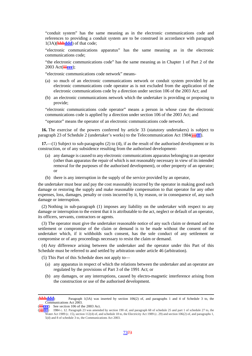"conduit system" has the same meaning as in the electronic communications code and references to providing a conduit system are to be construed in accordance with paragraph 1(3A)(**hhhddd**) of that code;

"electronic communications apparatus" has the same meaning as in the electronic communications code;

"the electronic communications code" has the same meaning as in Chapter 1 of Part 2 of the 2003 Act(**iiieee**);

"electronic communications code network" means-

- (a) so much of an electronic communications network or conduit system provided by an electronic communications code operator as is not excluded from the application of the electronic communications code by a direction under section 106 of the 2003 Act; and
- (b) an electronic communications network which the undertaker is providing or proposing to provide;

"electronic communications code operator" means a person in whose case the electronic communications code is applied by a direction under section 106 of the 2003 Act; and

"operator" means the operator of an electronic communications code network.

**16.** The exercise of the powers conferred by article 33 (statutory undertakers) is subject to paragraph 23 of Schedule 2 (undertaker's works) to the Telecommunication Act 1984(**jjjfff**).

**17.**—(1) Subject to sub-paragraphs (2) to (4), if as the result of the authorised development or its construction, or of any subsidence resulting from the authorised development-

- (a) any damage is caused to any electronic communications apparatus belonging to an operator (other than apparatus the repair of which is not reasonably necessary in view of its intended removal for the purposes of the authorised development), or other property of an operator; or
- (b) there is any interruption in the supply of the service provided by an operator,

the undertaker must bear and pay the cost reasonably incurred by the operator in making good such damage or restoring the supply and make reasonable compensation to that operator for any other expenses, loss, damages, penalty or costs incurred by it, by reason, or in consequence of, any such damage or interruption.

(2) Nothing in sub-paragraph (1) imposes any liability on the undertaker with respect to any damage or interruption to the extent that it is attributable to the act, neglect or default of an operator, its officers, servants, contractors or agents.

(3) The operator must give the undertaker reasonable notice of any such claim or demand and no settlement or compromise of the claim or demand is to be made without the consent of the undertaker which, if it withholds such consent, has the sole conduct of any settlement or compromise or of any proceedings necessary to resist the claim or demand.

(4) Any difference arising between the undertaker and the operator under this Part of this Schedule must be referred to and settled by arbitration under article 46 (arbitration).

(5) This Part of this Schedule does not apply to—

- (a) any apparatus in respect of which the relations between the undertaker and an operator are regulated by the provisions of Part 3 of the 1991 Act; or
- (b) any damages, or any interruptions, caused by electro-magnetic interference arising from the construction or use of the authorised development.

 <sup>(</sup>**hhhddd**) Paragraph 1(3A) was inserted by section 106(2) of, and paragraphs 1 and 4 of Schedule 3 to, the Communications Act 2003.

**eee**) See section 106 of the 2003 Act.

<sup>(</sup>**jjjfff**) 1984 c. 12. Paragraph 23 was amended by section 190 of, and paragraph 68 of schedule 25 and part 1 of schedule 27 to, the Water Act 1989 (c. 15), section 112(4) of, and schedule 18 to, the Electricity Act 1989 (c. 29) and section 106(2) of, and paragraphs 1, 5(d) and 8 of schedule 3 to, the Communications Act 2003.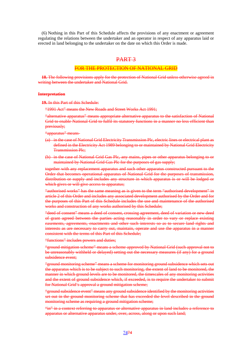(6) Nothing in this Part of this Schedule affects the provisions of any enactment or agreement regulating the relations between the undertaker and an operator in respect of any apparatus laid or erected in land belonging to the undertaker on the date on which this Order is made.

## PART 3

### FOR THE PROTECTION OF NATIONAL GRID

**18.** The following provisions apply for the protection of National Grid unless otherwise agreed in writing between the undertaker and National Grid.

#### **Interpretation**

**19.** In this Part of this Schedule:

"1991 Act" means the New Roads and Street Works Act 1991;

"alternative apparatus" means appropriate alternative apparatus to the satisfaction of National Grid to enable National Grid to fulfil its statutory functions in a manner no less efficient than previously;

"apparatus" means-

- (a) in the case of National Grid Electricity Transmission Plc, electric lines or electrical plant as defined in the Electricity Act 1989 belonging to or maintained by National Grid Electricity Transmission Plc;
- (b) in the case of National Grid Gas Plc, any mains, pipes or other apparatus belonging to or maintained by National Grid Gas Plc for the purposes of gas supply;

together with any replacement apparatus and such other apparatus constructed pursuant to the Order that becomes operational apparatus of National Grid for the purposes of transmission, distribution or supply and includes any structure in which apparatus is or will be lodged or which gives or will give access to apparatus;

"authorised works" has the same meaning as is given to the term "authorised development" in article 2 of this Order and includes any associated development authorised by the Order and for the purposes of this Part of this Schedule includes the use and maintenance of the authorised works and construction of any works authorised by this Schedule;

"deed of consent" means a deed of consent, crossing agreement, deed of variation or new deed of grant agreed between the parties acting reasonably in order to vary or replace existing easements, agreements, enactments and other such interests so as to secure land rights and interests as are necessary to carry out, maintain, operate and use the apparatus in a manner consistent with the terms of this Part of this Schedule;

"functions" includes powers and duties;

"ground mitigation scheme" means a scheme approved by National Grid (such approval not to be unreasonably withheld or delayed) setting out the necessary measures (if any) for a ground subsidence event:

"ground monitoring scheme" means a scheme for monitoring ground subsidence which sets out the apparatus which is to be subject to such monitoring, the extent of land to be monitored, the manner in which ground levels are to be monitored, the timescales of any monitoring activities and the extent of ground subsidence which, if exceeded, is to require the undertaker to submit for National Grid's approval a ground mitigation scheme;

"ground subsidence event" means any ground subsidence identified by the monitoring activities set out in the ground monitoring scheme that has exceeded the level described in the ground monitoring scheme as requiring a ground mitigation scheme;

"in" in a context referring to apparatus or alternative apparatus in land includes a reference to apparatus or alternative apparatus under, over, across, along or upon such land;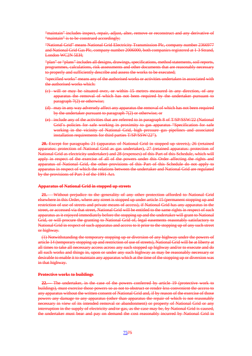"maintain" includes inspect, repair, adjust, alter, remove or reconstruct and any derivative of "maintain" is to be construed accordingly;

"National Grid" means National Grid Electricity Transmission Plc, company number 2366977 and National Grid Gas Plc, company number 2006000, both companies registered at 1-3 Strand, London WC2N 5EH;

"plan" or "plans" includes all designs, drawings, specifications, method statements, soil reports, programmes, calculations, risk assessments and other documents that are reasonably necessary to properly and sufficiently describe and assess the works to be executed;

"specified works" means any of the authorised works or activities undertaken in associated with the authorised works which:

- (c) will or may be situated over, or within 15 metres measured in any direction, of any apparatus the removal of which has not been required by the undertaker pursuant to paragraph 7(2) or otherwise;
- (d) may in any way adversely affect any apparatus the removal of which has not been required by the undertaker pursuant to paragraph 7(2) or otherwise; or
- (e) include any of the activities that are referred to in paragraph 8 of T/SP/SSW/22 (National Grid's policies for safe working in proximity to gas apparatus "Specification for safe working in the vicinity of National Grid, high pressure gas pipelines and associated installation requirements for third parties T/SP/SSW/22").

**20.** Except for paragraphs 21 (apparatus of National Grid in stopped up streets), 26 (retained apparatus: protection of National Grid as gas undertaker), 27 (retained apparatus: protection of National Grid as electricity undertaker) and 28 (expenses) of this Part of this Schedule, which will apply in respect of the exercise of all of the powers under this Order affecting the rights and apparatus of National Grid, the other provisions of this Part of this Schedule do not apply to apparatus in respect of which the relations between the undertaker and National Grid are regulated by the provisions of Part 3 of the 1991 Act.

#### **Apparatus of National Grid in stopped up streets**

**21.**— Without prejudice to the generality of any other protection afforded to National Grid elsewhere in this Order, where any street is stopped up under article 15 (permanent stopping up and restriction of use of streets and private means of access), if National Grid has any apparatus in the street, or accessed via that street, National Grid will be entitled to the same rights in respect of such apparatus as it enjoyed immediately before the stopping up and the undertaker will grant to National Grid, or will procure the granting to National Grid of, legal easements reasonably satisfactory to National Grid in respect of such apparatus and access to it prior to the stopping up of any such street or highway.

(1) Notwithstanding the temporary stopping up or diversion of any highway under the powers of article 14 (temporary stopping up and restriction of use of streets), National Grid will be at liberty at all times to take all necessary access across any such stopped up highway and/or to execute and do all such works and things in, upon or under any such highway as may be reasonably necessary or desirable to enable it to maintain any apparatus which at the time of the stopping up or diversion was in that highway.

#### **Protective works to buildings**

**22.**— The undertaker, in the case of the powers conferred by article 19 (protective work to buildings), must exercise those powers so as not to obstruct or render less convenient the access to any apparatus without the written consent of National Grid and, if by reason of the exercise of those powers any damage to any apparatus (other than apparatus the repair of which is not reasonably necessary in view of its intended removal or abandonment) or property of National Grid or any interruption in the supply of electricity and/or gas, as the case may be, by National Grid is caused, the undertaker must bear and pay on demand the cost reasonably incurred by National Grid in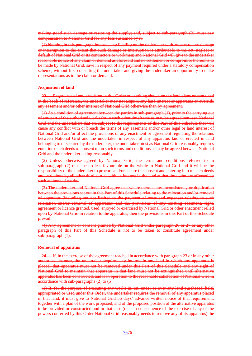making good such damage or restoring the supply; and, subject to sub-paragraph (2), must pay compensation to National Grid for any loss sustained by it.

(1) Nothing in this paragraph imposes any liability on the undertaker with respect to any damage or interruption to the extent that such damage or interruption is attributable to the act, neglect or default of National Grid or its contractors or workmen; and National Grid will give to the undertaker reasonable notice of any claim or demand as aforesaid and no settlement or compromise thereof is to be made by National Grid, save in respect of any payment required under a statutory compensation scheme, without first consulting the undertaker and giving the undertaker an opportunity to make representations as to the claim or demand.

#### **Acquisition of land**

**23.**— Regardless of any provision in this Order or anything shown on the land plans or contained in the book of reference, the undertaker may not acquire any land interest or apparatus or override any easement and/or other interest of National Grid otherwise than by agreement.

(1) As a condition of agreement between the parties in sub-paragraph (1), prior to the carrying out of any part of the authorised works (or in such other timeframe as may be agreed between National Grid and the undertaker) that are subject to the requirements of this Part of this Schedule that will cause any conflict with or breach the terms of any easement and/or other legal or land interest of National Grid and/or affect the provisions of any enactment or agreement regulating the relations between National Grid and the undertaker in respect of any apparatus laid or erected in land belonging to or secured by the undertaker, the undertaker must as National Grid reasonably requires enter into such deeds of consent upon such terms and conditions as may be agreed between National Grid and the undertaker acting reasonably.

(2) Unless otherwise agreed by National Grid, the terms and conditions referred to in sub-paragraph (2) must be no less favourable on the whole to National Grid and it will be the responsibility of the undertaker to procure and/or secure the consent and entering into of such deeds and variations by all other third parties with an interest in the land at that time who are affected by such authorised works.

(3) The undertaker and National Grid agree that where there is any inconsistency or duplication between the provisions set out in this Part of this Schedule relating to the relocation and/or removal of apparatus (including but not limited to the payment of costs and expenses relating to such relocation and/or removal of apparatus) and the provisions of any existing easement, right, agreement or licence granted, used, enjoyed or exercised by National Grid or other enactment relied upon by National Grid in relation to the apparatus, then the provisions in this Part of this Schedule prevail.

(4) Any agreement or consent granted by National Grid under paragraph 26 or 27 or any other paragraph of this Part of this Schedule is not to be taken to constitute agreement under sub-paragraph  $(1)$ .

#### **Removal of apparatus**

**24.**— If, in the exercise of the agreement reached in accordance with paragraph 23 or in any other authorised manner, the undertaker acquires any interest in any land in which any apparatus is placed, that apparatus must not be removed under this Part of this Schedule and any right of National Grid to maintain that apparatus in that land must not be extinguished until alternative apparatus has been constructed, and is in operation to the reasonable satisfaction of National Grid in accordance with sub-paragraphs (2) to (5).

(1) If, for the purpose of executing any works in, on, under or over any land purchased, held, appropriated or used under this Order, the undertaker requires the removal of any apparatus placed in that land, it must give to National Grid 56 days' advance written notice of that requirement, together with a plan of the work proposed, and of the proposed position of the alternative apparatus to be provided or constructed and in that case (or if in consequence of the exercise of any of the powers conferred by this Order National Grid reasonably needs to remove any of its apparatus) the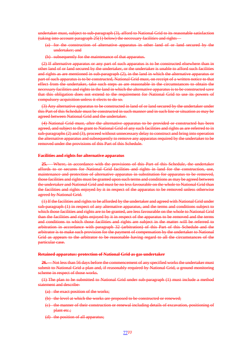undertaker must, subject to sub-paragraph (3), afford to National Grid to its reasonable satisfaction (taking into account paragraph 25(1) below) the necessary facilities and rights—

- (a) for the construction of alternative apparatus in other land of or land secured by the undertaker; and
- subsequently for the maintenance of that apparatus.

(2) If alternative apparatus or any part of such apparatus is to be constructed elsewhere than in other land of or land secured by the undertaker, or the undertaker is unable to afford such facilities and rights as are mentioned in sub-paragraph (2), in the land in which the alternative apparatus or part of such apparatus is to be constructed, National Grid must, on receipt of a written notice to that effect from the undertaker, take such steps as are reasonable in the circumstances to obtain the necessary facilities and rights in the land in which the alternative apparatus is to be constructed save that this obligation does not extend to the requirement for National Grid to use its powers of compulsory acquisition unless it elects to do so.

(3) Any alternative apparatus to be constructed in land of or land secured by the undertaker under this Part of this Schedule must be constructed in such manner and in such line or situation as may be agreed between National Grid and the undertaker.

(4) National Grid must, after the alternative apparatus to be provided or constructed has been agreed, and subject to the grant to National Grid of any such facilities and rights as are referred to in sub-paragraphs (2) and (3), proceed without unnecessary delay to construct and bring into operation the alternative apparatus and subsequently to remove any apparatus required by the undertaker to be removed under the provisions of this Part of this Schedule.

#### **Facilities and rights for alternative apparatus**

**25.**— Where, in accordance with the provisions of this Part of this Schedule, the undertaker affords to or secures for National Grid facilities and rights in land for the construction, use, maintenance and protection of alternative apparatus in substitution for apparatus to be removed, those facilities and rights must be granted upon such terms and conditions as may be agreed between the undertaker and National Grid and must be no less favourable on the whole to National Grid than the facilities and rights enjoyed by it in respect of the apparatus to be removed unless otherwise agreed by National Grid.

(1) If the facilities and rights to be afforded by the undertaker and agreed with National Grid under sub-paragraph (1) in respect of any alternative apparatus, and the terms and conditions subject to which those facilities and rights are to be granted, are less favourable on the whole to National Grid than the facilities and rights enjoyed by it in respect of the apparatus to be removed and the terms and conditions to which those facilities and rights are subject in the matter will be referred to arbitration in accordance with paragraph 32 (arbitration) of this Part of this Schedule and the arbitrator is to make such provision for the payment of compensation by the undertaker to National Grid as appears to the arbitrator to be reasonable having regard to all the circumstances of the particular case.

#### **Retained apparatus: protection of National Grid as gas undertaker**

**26.**— Not less than 56 days before the commencement of any specified works the undertaker must submit to National Grid a plan and, if reasonably required by National Grid, a ground monitoring scheme in respect of those works.

(1) The plan to be submitted to National Grid under sub-paragraph (1) must include a method statement and describe-

- (a) the exact position of the works;
- (b) the level at which the works are proposed to be constructed or renewed;
- (c) the manner of their construction or renewal including details of excavation, positioning of plant etc.:
- (d) the position of all apparatus;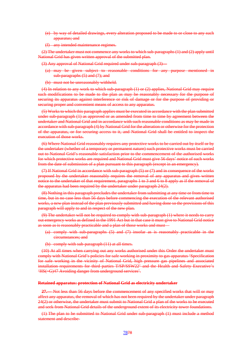- (e) by way of detailed drawings, every alteration proposed to be made to or close to any such apparatus; and
- (f) any intended maintenance regimes.

(2) The undertaker must not commence any works to which sub-paragraphs (1) and (2) apply until National Grid has given written approval of the submitted plan.

(3) Any approval of National Grid required under sub-paragraph (3)—

- (a) may be given subject to reasonable conditions for any purpose mentioned in sub-paragraphs (5) and (7); and
- (b) must not be unreasonably withheld.

(4) In relation to any work to which sub-paragraph (1) or (2) applies, National Grid may require such modifications to be made to the plan as may be reasonably necessary for the purpose of securing its apparatus against interference or risk of damage or for the purpose of providing or securing proper and convenient means of access to any apparatus.

(5) Works to which this paragraph applies must be executed in accordance with the plan submitted under sub-paragraph (1) as approved or as amended from time to time by agreement between the undertaker and National Grid and in accordance with such reasonable conditions as may be made in accordance with sub-paragraph (4) by National Grid for the alteration or otherwise for the protection of the apparatus, or for securing access to it, and National Grid shall be entitled to inspect the execution of those works.

(6) Where National Grid reasonably requires any protective works to be carried out by itself or by the undertaker (whether of a temporary or permanent nature) such protective works must be carried out to National Grid's reasonable satisfaction prior to the commencement of the authorised works for which protective works are required and National Grid must give 56 days' notice of such works from the date of submission of a plan pursuant to this paragraph (except in an emergency).

(7) If National Grid in accordance with sub-paragraph (5) or (7) and in consequence of the works proposed by the undertaker reasonably requires the removal of any apparatus and gives written notice to the undertaker of that requirement, paragraphs 1 to 3 and 6 to 8 apply as if the removal of the apparatus had been required by the undertaker under paragraph 24(2).

(8) Nothing in this paragraph precludes the undertaker from submitting at any time or from time to time, but in no case less than 56 days before commencing the execution of the relevant authorised works, a new plan instead of the plan previously submitted and having done so the provisions of this paragraph will apply to and in respect of the new plan.

(9) The undertaker will not be required to comply with sub-paragraph (1) where it needs to carry out emergency works as defined in the 1991 Act but in that case it must give to National Grid notice as soon as is reasonably practicable and a plan of those works and must—

- (a) comply with sub-paragraphs (5) and (7) insofar as is reasonably practicable in the circumstances; and
- (b) comply with sub-paragraph (11) at all times.

(10) At all times when carrying out any works authorised under this Order the undertaker must comply with National Grid's policies for safe working in proximity to gas apparatus 'Specification for safe working in the vicinity of National Grid, high pressure gas pipelines and associated installation requirements for third parties T/SP/SSW22' and the Health and Safety Executive's 'HS(~G)47 Avoiding danger from underground services'.

#### **Retained apparatus: protection of National Grid as electricity undertaker**

**27.**— Not less than 56 days before the commencement of any specified works that will or may affect any apparatus, the removal of which has not been required by the undertaker under paragraph 24(2) or otherwise, the undertaker must submit to National Grid a plan of the works to be executed and seek from National Grid details of the underground extent of its electricity tower foundations.

(1) The plan to be submitted to National Grid under sub-paragraph (1) must include a method statement and describe-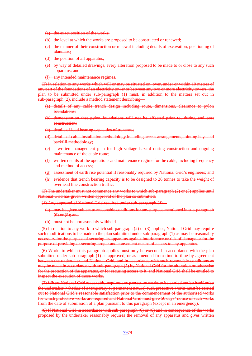- the exact position of the works;
- (b) the level at which the works are proposed to be constructed or renewed;
- (c) the manner of their construction or renewal including details of excavation, positioning of plant etc.;
- (d) the position of all apparatus;
- (e) by way of detailed drawings, every alteration proposed to be made to or close to any such apparatus; and
- (f) any intended maintenance regimes.

(2) In relation to any works which will or may be situated on, over, under or within 10 metres of any part of the foundations of an electricity tower or between any two or more electricity towers, the plan to be submitted under sub-paragraph (1) must, in addition to the matters set out in sub-paragraph (2), include a method statement describing—

- (a) details of any cable trench design including route, dimensions, clearance to pylon foundations;
- (b) demonstration that pylon foundations will not be affected prior to, during and post construction;
- (c) details of load bearing capacities of trenches;
- (d) details of cable installation methodology including access arrangements, jointing bays and backfill methodology;
- (e) a written management plan for high voltage hazard during construction and ongoing maintenance of the cable route;
- (f) written details of the operations and maintenance regime for the cable, including frequency and method of access;
- (g) assessment of earth rise potential if reasonably required by National Grid's engineers; and
- (h) evidence that trench bearing capacity is to be designed to 26 tonnes to take the weight of overhead line construction traffic.

(3) The undertaker must not commence any works to which sub-paragraph (2) or (3) applies until National Grid has given written approval of the plan so submitted.

(4) Any approval of National Grid required under sub-paragraph (4)

- (a) may be given subject to reasonable conditions for any purpose mentioned in sub-paragraph (6) or (8); and
- (b) must not be unreasonably withheld.

(5) In relation to any work to which sub-paragraph (2) or (3) applies, National Grid may require such modifications to be made to the plan submitted under sub-paragraph (1) as may be reasonably necessary for the purpose of securing its apparatus against interference or risk of damage or for the purpose of providing or securing proper and convenient means of access to any apparatus.

(6) Works to which this paragraph applies must only be executed in accordance with the plan submitted under sub-paragraph (1) as approved, or as amended from time to time by agreement between the undertaker and National Grid, and in accordance with such reasonable conditions as may be made in accordance with sub-paragraph (5) by National Grid for the alteration or otherwise for the protection of the apparatus, or for securing access to it, and National Grid shall be entitled to inspect the execution of those works.

(7) Where National Grid reasonably requires any protective works to be carried out by itself or by the undertaker (whether of a temporary or permanent nature) such protective works must be carried out to National Grid's reasonable satisfaction prior to the commencement of the authorised works for which protective works are required and National Grid must give 56 days' notice of such works from the date of submission of a plan pursuant to this paragraph (except in an emergency).

(8) If National Grid in accordance with sub-paragraph (6) or (8) and in consequence of the works proposed by the undertaker reasonably requires the removal of any apparatus and gives written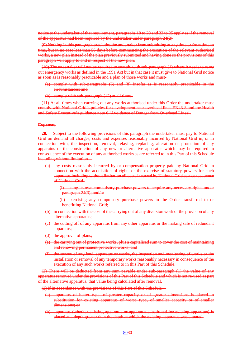notice to the undertaker of that requirement, paragraphs 18 to 20 and 23 to 25 apply as if the removal of the apparatus had been required by the undertaker under paragraph 24(2).

(9) Nothing in this paragraph precludes the undertaker from submitting at any time or from time to time, but in no case less than 56 days before commencing the execution of the relevant authorised works, a new plan instead of the plan previously submitted and having done so the provisions of this paragraph will apply to and in respect of the new plan.

(10) The undertaker will not be required to comply with sub-paragraph (1) where it needs to carry out emergency works as defined in the 1991 Act but in that case it must give to National Grid notice as soon as is reasonably practicable and a plan of those works and must-

- (a) comply with sub-paragraphs (6) and (8) insofar as is reasonably practicable in the circumstances; and
- (b) comply with sub-paragraph (12) at all times.

(11) At all times when carrying out any works authorised under this Order the undertaker must comply with National Grid's policies for development near overhead lines EN43-8 and the Health and Safety Executive's guidance note 6 'Avoidance of Danger from Overhead Lines'.

#### **Expenses**

**28.**— Subject to the following provisions of this paragraph the undertaker must pay to National Grid on demand all charges, costs and expenses reasonably incurred by National Grid in, or in connection with, the inspection, removal, relaying, replacing, alteration or protection of any apparatus or the construction of any new or alternative apparatus which may be required in consequence of the execution of any authorised works as are referred to in this Part of this Schedule including without limitation-

(a) any costs reasonably incurred by or compensation properly paid by National Grid in connection with the acquisition of rights or the exercise of statutory powers for such apparatus including without limitation all costs incurred by National Grid as a consequence of National Grid-

(i) using its own compulsory purchase powers to acquire any necessary rights under paragraph 24(3); and/or

- (ii) exercising any compulsory purchase powers in the Order transferred to or benefitting National Grid;
- (b) in connection with the cost of the carrying out of any diversion work or the provision of any alternative apparatus;
- (c) the cutting off of any apparatus from any other apparatus or the making safe of redundant apparatus;
- (d) the approval of plans;
- (e) the carrying out of protective works, plus a capitalised sum to cover the cost of maintaining and renewing permanent protective works; and
- (f) the survey of any land, apparatus or works, the inspection and monitoring of works or the installation or removal of any temporary works reasonably necessary in consequence of the execution of any such works referred to in this Part of this Schedule.

(2) There will be deducted from any sum payable under sub-paragraph (1) the value of any apparatus removed under the provisions of this Part of this Schedule and which is not re-used as part of the alternative apparatus, that value being calculated after removal.

(3) if in accordance with the provisions of this Part of this Schedule—

- (a) apparatus of better type, of greater capacity or of greater dimensions is placed in substitution for existing apparatus of worse type, of smaller capacity or of smaller dimensions; or
- (b) apparatus (whether existing apparatus or apparatus substituted for existing apparatus) is placed at a depth greater than the depth at which the existing apparatus was situated,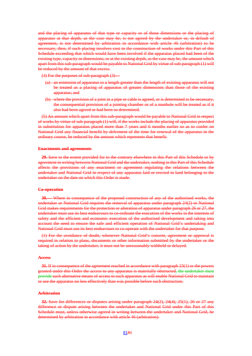and the placing of apparatus of that type or capacity or of those dimensions or the placing of apparatus at that depth, as the case may be, is not agreed by the undertaker or, in default of agreement, is not determined by arbitration in accordance with article 46 (arbitration) to be necessary, then, if such placing involves cost in the construction of works under this Part of this Schedule exceeding that which would have been involved if the apparatus placed had been of the existing type, capacity or dimensions, or at the existing depth, as the case may be, the amount which apart from this sub-paragraph would be payable to National Grid by virtue of sub-paragraph (1) will be reduced by the amount of that excess.

(4) For the purposes of sub-paragraph (3)—

- (a) an extension of apparatus to a length greater than the length of existing apparatus will not be treated as a placing of apparatus of greater dimensions than those of the existing apparatus; and
- (b) where the provision of a joint in a pipe or cable is agreed, or is determined to be necessary, the consequential provision of a jointing chamber or of a manhole will be treated as if it also had been agreed or had been so determined.

(5) An amount which apart from this sub-paragraph would be payable to National Grid in respect of works by virtue of sub-paragraph (1) will, if the works include the placing of apparatus provided in substitution for apparatus placed more than 7 years and 6 months earlier so as to confer on National Grid any financial benefit by deferment of the time for renewal of the apparatus in the ordinary course, be reduced by the amount which represents that benefit.

#### **Enactments and agreements**

**29.** Save to the extent provided for to the contrary elsewhere in this Part of this Schedule or by agreement in writing between National Grid and the undertaker, nothing in this Part of this Schedule affects the provisions of any enactment or agreement regulating the relations between the undertaker and National Grid in respect of any apparatus laid or erected in land belonging to the undertaker on the date on which this Order is made.

#### **Co-operation**

**30.**— Where in consequence of the proposed construction of any of the authorised works, the undertaker or National Grid requires the removal of apparatus under paragraph 24(2) or National Grid makes requirements for the protection or alteration of apparatus under paragraph 26 or 27, the undertaker must use its best endeavours to co-ordinate the execution of the works in the interests of safety and the efficient and economic execution of the authorised development and taking into account the need to ensure the safe and efficient operation of National Grid's undertaking and National Grid must use its best endeavours to co-operate with the undertaker for that purpose.

(1) For the avoidance of doubt, whenever National Grid's consent, agreement or approval is required in relation to plans, documents or other information submitted by the undertaker or the taking of action by the undertaker, it must not be unreasonably withheld or delayed.

#### **Access**

**31.** If in consequence of the agreement reached in accordance with paragraph 23(1) or the powers granted under this Order the access to any apparatus is materially obstructed, the undertaker must provide such alternative means of access to such apparatus as will enable National Grid to maintain or use the apparatus no less effectively than was possible before such obstruction.

#### **Arbitration**

**32.** Save for differences or disputes arising under paragraph 24(2), 24(4), 25(1), 26 or 27 any difference or dispute arising between the undertaker and National Grid under this Part of this Schedule must, unless otherwise agreed in writing between the undertaker and National Grid, be determined by arbitration in accordance with article 46 (arbitration).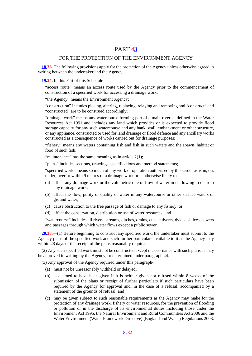# PART 43

# FOR THE PROTECTION OF THE ENVIRONMENT AGENCY

**18.33.** The following provisions apply for the protection of the Agency unless otherwise agreed in writing between the undertaker and the Agency.

**19.34.** In this Part of this Schedule—

"access route" means an access route used by the Agency prior to the commencement of construction of a specified work for accessing a drainage work;

"the Agency" means the Environment Agency;

"construction" includes placing, altering, replacing, relaying and removing and "construct" and "constructed" are to be construed accordingly;

"drainage work" means any watercourse forming part of a main river as defined in the Water Resources Act 1991 and includes any land which provides or is expected to provide flood storage capacity for any such watercourse and any bank, wall, embankment or other structure, or any appliance, constructed or used for land drainage or flood defence and any ancillary works constructed as a consequence of works carried out for drainage purposes;

"fishery" means any waters containing fish and fish in such waters and the spawn, habitat or food of such fish;

"maintenance" has the same meaning as in article  $2(1)$ ;

"plans" includes sections, drawings, specifications and method statements;

"specified work" means so much of any work or operation authorised by this Order as is in, on, under, over or within 9 metres of a drainage work or is otherwise likely to-

- (a) affect any drainage work or the volumetric rate of flow of water in or flowing to or from any drainage work;
- (b) affect the flow, purity or quality of water in any watercourse or other surface waters or ground water;
- (c) cause obstruction to the free passage of fish or damage to any fishery; or
- (d) affect the conservation, distribution or use of water resources; and

"watercourse" includes all rivers, streams, ditches, drains, cuts, culverts, dykes, sluices, sewers and passages through which water flows except a public sewer.

**20.35.**—(1) Before beginning to construct any specified work, the undertaker must submit to the Agency plans of the specified work and such further particulars available to it as the Agency may within 28 days of the receipt of the plans reasonably require.

(2) Any such specified work must not be constructed except in accordance with such plans as may be approved in writing by the Agency, or determined under paragraph 44.

(3) Any approval of the Agency required under this paragraph-

- (a) must not be unreasonably withheld or delayed;
- (b) is deemed to have been given if it is neither given nor refused within 8 weeks of the submission of the plans or receipt of further particulars if such particulars have been required by the Agency for approval and, in the case of a refusal, accompanied by a statement of the grounds of refusal; and
- (c) may be given subject to such reasonable requirements as the Agency may make for the protection of any drainage work, fishery or water resources, for the prevention of flooding or pollution or in the discharge of its environmental duties including those under the Environment Act 1995, the Natural Environment and Rural Communities Act 2006 and the Water Environment (Water Framework Directive) (England and Wales) Regulations 2003.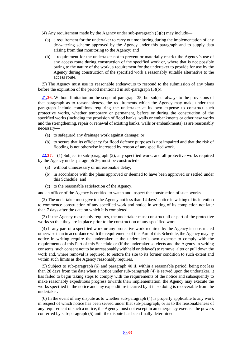- (4) Any requirement made by the Agency under sub-paragraph  $(3)(c)$  may include—
	- (a) a requirement for the undertaker to carry out monitoring during the implementation of any de-watering scheme approved by the Agency under this paragraph and to supply data arising from that monitoring to the Agency; and
	- (b) a requirement for the undertaker not to prevent or materially restrict the Agency's use of any access route during construction of the specified work or, where that is not possible owing to the nature of the work, a requirement for the undertaker to provide for use by the Agency during construction of the specified work a reasonably suitable alternative to the access route.

(5) The Agency must use its reasonable endeavours to respond to the submission of any plans before the expiration of the period mentioned in sub-paragraph (3)(b).

**21.36.** Without limitation on the scope of paragraph 35, but subject always to the provisions of that paragraph as to reasonableness, the requirements which the Agency may make under that paragraph include conditions requiring the undertaker at its own expense to construct such protective works, whether temporary or permanent, before or during the construction of the specified works (including the provision of flood banks, walls or embankments or other new works and the strengthening, repair or renewal of existing banks, walls or embankments) as are reasonably necessary—

- (a) to safeguard any drainage work against damage; or
- (b) to secure that its efficiency for flood defence purposes is not impaired and that the risk of flooding is not otherwise increased by reason of any specified work.

**22.37.**—(1) Subject to sub-paragraph (2), any specified work, and all protective works required by the Agency under paragraph 36, must be constructed-

- (a) without unnecessary or unreasonable delay;
- (b) in accordance with the plans approved or deemed to have been approved or settled under this Schedule; and
- (c) to the reasonable satisfaction of the Agency,

and an officer of the Agency is entitled to watch and inspect the construction of such works.

(2) The undertaker must give to the Agency not less than 14 days' notice in writing of its intention to commence construction of any specified work and notice in writing of its completion not later than 7 days after the date on which it is completed.

(3) If the Agency reasonably requires, the undertaker must construct all or part of the protective works so that they are in place prior to the construction of any specified work.

(4) If any part of a specified work or any protective work required by the Agency is constructed otherwise than in accordance with the requirements of this Part of this Schedule, the Agency may by notice in writing require the undertaker at the undertaker's own expense to comply with the requirements of this Part of this Schedule or (if the undertaker so elects and the Agency in writing consents, such consent not to be unreasonably withheld or delayed) to remove, alter or pull down the work and, where removal is required, to restore the site to its former condition to such extent and within such limits as the Agency reasonably requires.

(5) Subject to sub-paragraph (6) and paragraph 40 if, within a reasonable period, being not less than 28 days from the date when a notice under sub-paragraph (4) is served upon the undertaker, it has failed to begin taking steps to comply with the requirements of the notice and subsequently to make reasonably expeditious progress towards their implementation, the Agency may execute the works specified in the notice and any expenditure incurred by it in so doing is recoverable from the undertaker.

(6) In the event of any dispute as to whether sub-paragraph (4) is properly applicable to any work in respect of which notice has been served under that sub-paragraph, or as to the reasonableness of any requirement of such a notice, the Agency must not except in an emergency exercise the powers conferred by sub-paragraph (5) until the dispute has been finally determined.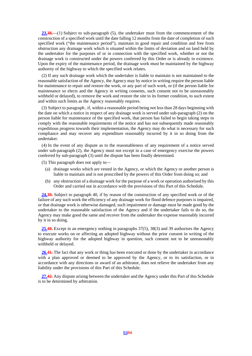**23.38.**—(1) Subject to sub-paragraph (5), the undertaker must from the commencement of the construction of a specified work until the date falling 12 months from the date of completion of such specified work ("the maintenance period"), maintain in good repair and condition and free from obstruction any drainage work which is situated within the limits of deviation and on land held by the undertaker for the purposes of or in connection with the specified work, whether or not the drainage work is constructed under the powers conferred by this Order or is already in existence. Upon the expiry of the maintenance period, the drainage work must be maintained by the highway authority of the highway to which the specified work relates.

(2) If any such drainage work which the undertaker is liable to maintain is not maintained to the reasonable satisfaction of the Agency, the Agency may by notice in writing require the person liable for maintenance to repair and restore the work, or any part of such work, or (if the person liable for maintenance so elects and the Agency in writing consents, such consent not to be unreasonably withheld or delayed), to remove the work and restore the site to its former condition, to such extent and within such limits as the Agency reasonably requires.

(3) Subject to paragraph , if, within a reasonable period being not less than 28 days beginning with the date on which a notice in respect of any drainage work is served under sub-paragraph (2) on the person liable for maintenance of the specified work, that person has failed to begin taking steps to comply with the reasonable requirements of the notice and has not subsequently made reasonably expeditious progress towards their implementation, the Agency may do what is necessary for such compliance and may recover any expenditure reasonably incurred by it in so doing from the undertaker.

(4) In the event of any dispute as to the reasonableness of any requirement of a notice served under sub-paragraph (2), the Agency must not except in a case of emergency exercise the powers conferred by sub-paragraph (3) until the dispute has been finally determined.

(5) This paragraph does not apply to—

- (a) drainage works which are vested in the Agency, or which the Agency or another person is liable to maintain and is not proscribed by the powers of this Order from doing so; and
- (b) any obstruction of a drainage work for the purpose of a work or operation authorised by this Order and carried out in accordance with the provisions of this Part of this Schedule.

**24.39.** Subject to paragraph 40, if by reason of the construction of any specified work or of the failure of any such work the efficiency of any drainage work for flood defence purposes is impaired, or that drainage work is otherwise damaged, such impairment or damage must be made good by the undertaker to the reasonable satisfaction of the Agency and if the undertaker fails to do so, the Agency may make good the same and recover from the undertaker the expense reasonably incurred by it in so doing.

**25.40.** Except in an emergency nothing in paragraphs 37(5), 38(3) and 39 authorises the Agency to execute works on or affecting an adopted highway without the prior consent in writing of the highway authority for the adopted highway in question, such consent not to be unreasonably withheld or delayed.

**26.41.** The fact that any work or thing has been executed or done by the undertaker in accordance with a plan approved or deemed to be approved by the Agency, or to its satisfaction, or in accordance with any directions or award of an arbitrator, does not relieve the undertaker from any liability under the provisions of this Part of this Schedule.

**27.42.** Any dispute arising between the undertaker and the Agency under this Part of this Schedule is to be determined by arbitration.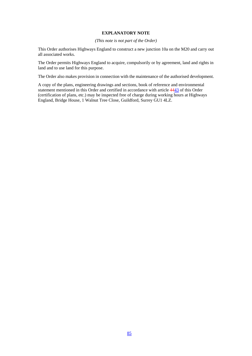### **EXPLANATORY NOTE**

### *(This note is not part of the Order)*

This Order authorises Highways England to construct a new junction 10a on the M20 and carry out all associated works.

The Order permits Highways England to acquire, compulsorily or by agreement, land and rights in land and to use land for this purpose.

The Order also makes provision in connection with the maintenance of the authorised development.

A copy of the plans, engineering drawings and sections, book of reference and environmental statement mentioned in this Order and certified in accordance with article 4443 of this Order (certification of plans, etc.) may be inspected free of charge during working hours at Highways England, Bridge House, 1 Walnut Tree Close, Guildford, Surrey GU1 4LZ.